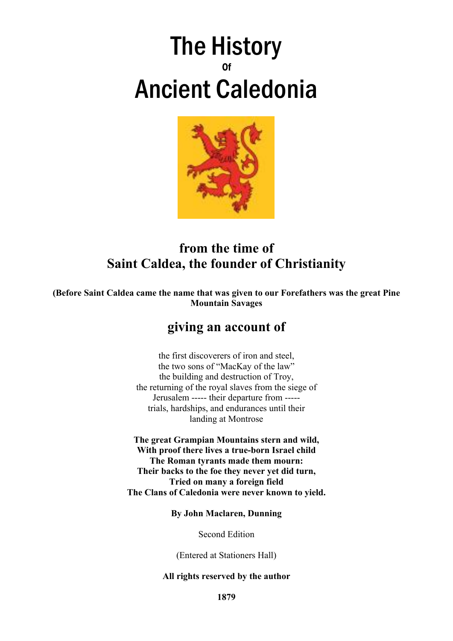# The History 0f Ancient Caledonia



# **from the time of Saint Caldea, the founder of Christianity**

**(Before Saint Caldea came the name that was given to our Forefathers was the great Pine Mountain Savages**

# **giving an account of**

the first discoverers of iron and steel, the two sons of "MacKay of the law" the building and destruction of Troy, the returning of the royal slaves from the siege of Jerusalem ----- their departure from ---- trials, hardships, and endurances until their landing at Montrose

**The great Grampian Mountains stern and wild, With proof there lives a true-born Israel child The Roman tyrants made them mourn: Their backs to the foe they never yet did turn, Tried on many a foreign field The Clans of Caledonia were never known to yield.**

**By John Maclaren, Dunning**

Second Edition

(Entered at Stationers Hall)

#### **All rights reserved by the author**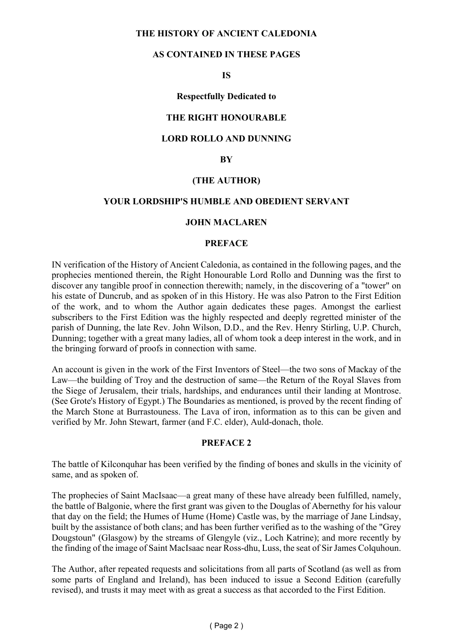#### **THE HISTORY OF ANCIENT CALEDONIA**

#### **AS CONTAINED IN THESE PAGES**

#### **IS**

#### **Respectfully Dedicated to**

#### **THE RIGHT HONOURABLE**

#### **LORD ROLLO AND DUNNING**

#### **BY**

#### **(THE AUTHOR)**

#### **YOUR LORDSHIP'S HUMBLE AND OBEDIENT SERVANT**

#### **JOHN MACLAREN**

#### **PREFACE**

IN verification of the History of Ancient Caledonia, as contained in the following pages, and the prophecies mentioned therein, the Right Honourable Lord Rollo and Dunning was the first to discover any tangible proof in connection therewith; namely, in the discovering of a "tower" on his estate of Duncrub, and as spoken of in this History. He was also Patron to the First Edition of the work, and to whom the Author again dedicates these pages. Amongst the earliest subscribers to the First Edition was the highly respected and deeply regretted minister of the parish of Dunning, the late Rev. John Wilson, D.D., and the Rev. Henry Stirling, U.P. Church, Dunning; together with a great many ladies, all of whom took a deep interest in the work, and in the bringing forward of proofs in connection with same.

An account is given in the work of the First Inventors of Steel—the two sons of Mackay of the Law—the building of Troy and the destruction of same—the Return of the Royal Slaves from the Siege of Jerusalem, their trials, hardships, and endurances until their landing at Montrose. (See Grote's History of Egypt.) The Boundaries as mentioned, is proved by the recent finding of the March Stone at Burrastouness. The Lava of iron, information as to this can be given and verified by Mr. John Stewart, farmer (and F.C. elder), Auld-donach, thole.

#### **PREFACE 2**

The battle of Kilconquhar has been verified by the finding of bones and skulls in the vicinity of same, and as spoken of.

The prophecies of Saint MacIsaac—a great many of these have already been fulfilled, namely, the battle of Balgonie, where the first grant was given to the Douglas of Abernethy for his valour that day on the field; the Humes of Hume (Home) Castle was, by the marriage of Jane Lindsay, built by the assistance of both clans; and has been further verified as to the washing of the "Grey Dougstoun" (Glasgow) by the streams of Glengyle (viz., Loch Katrine); and more recently by the finding of the image of Saint MacIsaac near Ross-dhu, Luss, the seat of Sir James Colquhoun.

The Author, after repeated requests and solicitations from all parts of Scotland (as well as from some parts of England and Ireland), has been induced to issue a Second Edition (carefully revised), and trusts it may meet with as great a success as that accorded to the First Edition.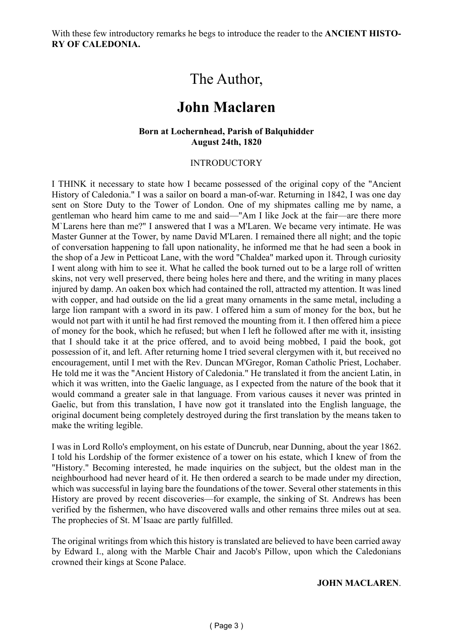With these few introductory remarks he begs to introduce the reader to the **ANCIENT HISTO-RY OF CALEDONIA.**

# The Author,

# **John Maclaren**

#### **Born at Lochernhead, Parish of Balquhidder August 24th, 1820**

#### INTRODUCTORY

I THINK it necessary to state how I became possessed of the original copy of the "Ancient History of Caledonia." I was a sailor on board a man-of-war. Returning in 1842, I was one day sent on Store Duty to the Tower of London. One of my shipmates calling me by name, a gentleman who heard him came to me and said—"Am I like Jock at the fair—are there more M`Larens here than me?" I answered that I was a M'Laren. We became very intimate. He was Master Gunner at the Tower, by name David M'Laren. I remained there all night; and the topic of conversation happening to fall upon nationality, he informed me that he had seen a book in the shop of a Jew in Petticoat Lane, with the word "Chaldea" marked upon it. Through curiosity I went along with him to see it. What he called the book turned out to be a large roll of written skins, not very well preserved, there being holes here and there, and the writing in many places injured by damp. An oaken box which had contained the roll, attracted my attention. It was lined with copper, and had outside on the lid a great many ornaments in the same metal, including a large lion rampant with a sword in its paw. I offered him a sum of money for the box, but he would not part with it until he had first removed the mounting from it. I then offered him a piece of money for the book, which he refused; but when I left he followed after me with it, insisting that I should take it at the price offered, and to avoid being mobbed, I paid the book, got possession of it, and left. After returning home I tried several clergymen with it, but received no encouragement, until I met with the Rev. Duncan M'Gregor, Roman Catholic Priest, Lochaber. He told me it was the "Ancient History of Caledonia." He translated it from the ancient Latin, in which it was written, into the Gaelic language, as I expected from the nature of the book that it would command a greater sale in that language. From various causes it never was printed in Gaelic, but from this translation, I have now got it translated into the English language, the original document being completely destroyed during the first translation by the means taken to make the writing legible.

I was in Lord Rollo's employment, on his estate of Duncrub, near Dunning, about the year 1862. I told his Lordship of the former existence of a tower on his estate, which I knew of from the "History." Becoming interested, he made inquiries on the subject, but the oldest man in the neighbourhood had never heard of it. He then ordered a search to be made under my direction, which was successful in laying bare the foundations of the tower. Several other statements in this History are proved by recent discoveries—for example, the sinking of St. Andrews has been verified by the fishermen, who have discovered walls and other remains three miles out at sea. The prophecies of St. M`Isaac are partly fulfilled.

The original writings from which this history is translated are believed to have been carried away by Edward I., along with the Marble Chair and Jacob's Pillow, upon which the Caledonians crowned their kings at Scone Palace.

#### **JOHN MACLAREN**.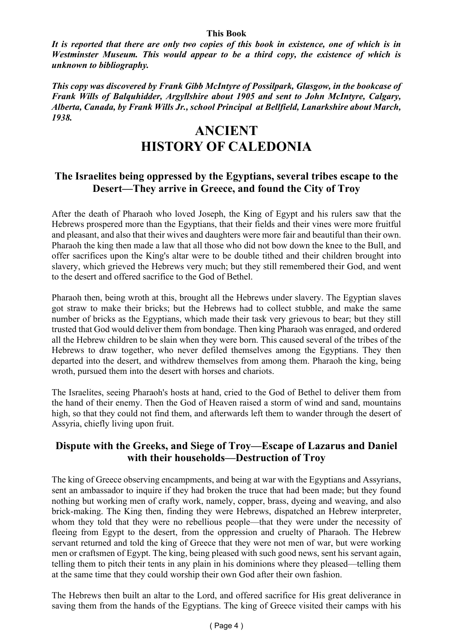#### **This Book**

*It is reported that there are only two copies of this book in existence, one of which is in Westminster Museum. This would appear to be a third copy, the existence of which is unknown to bibliography.*

*This copy was discovered by Frank Gibb McIntyre of Possilpark, Glasgow, in the bookcase of Frank Wills of Balquhidder, Argyllshire about 1905 and sent to John McIntyre, Calgary, Alberta, Canada, by Frank Wills Jr., school Principal at Bellfield, Lanarkshire about March, 1938.*

# **ANCIENT HISTORY OF CALEDONIA**

### **The Israelites being oppressed by the Egyptians, several tribes escape to the Desert—They arrive in Greece, and found the City of Troy**

After the death of Pharaoh who loved Joseph, the King of Egypt and his rulers saw that the Hebrews prospered more than the Egyptians, that their fields and their vines were more fruitful and pleasant, and also that their wives and daughters were more fair and beautiful than their own. Pharaoh the king then made a law that all those who did not bow down the knee to the Bull, and offer sacrifices upon the King's altar were to be double tithed and their children brought into slavery, which grieved the Hebrews very much; but they still remembered their God, and went to the desert and offered sacrifice to the God of Bethel.

Pharaoh then, being wroth at this, brought all the Hebrews under slavery. The Egyptian slaves got straw to make their bricks; but the Hebrews had to collect stubble, and make the same number of bricks as the Egyptians, which made their task very grievous to bear; but they still trusted that God would deliver them from bondage. Then king Pharaoh was enraged, and ordered all the Hebrew children to be slain when they were born. This caused several of the tribes of the Hebrews to draw together, who never defiled themselves among the Egyptians. They then departed into the desert, and withdrew themselves from among them. Pharaoh the king, being wroth, pursued them into the desert with horses and chariots.

The Israelites, seeing Pharaoh's hosts at hand, cried to the God of Bethel to deliver them from the hand of their enemy. Then the God of Heaven raised a storm of wind and sand, mountains high, so that they could not find them, and afterwards left them to wander through the desert of Assyria, chiefly living upon fruit.

#### **Dispute with the Greeks, and Siege of Troy—Escape of Lazarus and Daniel with their households—Destruction of Troy**

The king of Greece observing encampments, and being at war with the Egyptians and Assyrians, sent an ambassador to inquire if they had broken the truce that had been made; but they found nothing but working men of crafty work, namely, copper, brass, dyeing and weaving, and also brick-making. The King then, finding they were Hebrews, dispatched an Hebrew interpreter, whom they told that they were no rebellious people—that they were under the necessity of fleeing from Egypt to the desert, from the oppression and cruelty of Pharaoh. The Hebrew servant returned and told the king of Greece that they were not men of war, but were working men or craftsmen of Egypt. The king, being pleased with such good news, sent his servant again, telling them to pitch their tents in any plain in his dominions where they pleased—telling them at the same time that they could worship their own God after their own fashion.

The Hebrews then built an altar to the Lord, and offered sacrifice for His great deliverance in saving them from the hands of the Egyptians. The king of Greece visited their camps with his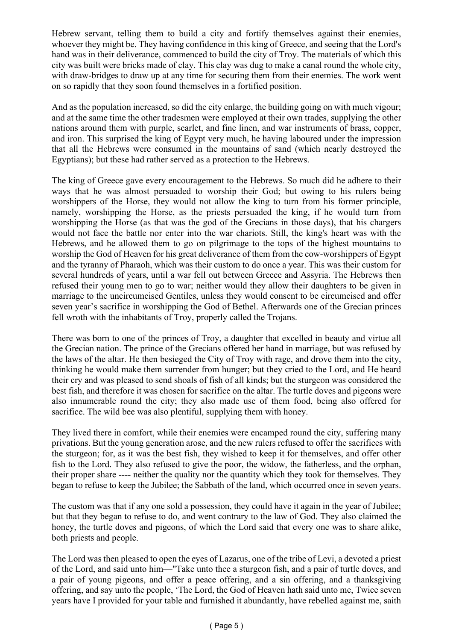Hebrew servant, telling them to build a city and fortify themselves against their enemies, whoever they might be. They having confidence in this king of Greece, and seeing that the Lord's hand was in their deliverance, commenced to build the city of Troy. The materials of which this city was built were bricks made of clay. This clay was dug to make a canal round the whole city, with draw-bridges to draw up at any time for securing them from their enemies. The work went on so rapidly that they soon found themselves in a fortified position.

And as the population increased, so did the city enlarge, the building going on with much vigour; and at the same time the other tradesmen were employed at their own trades, supplying the other nations around them with purple, scarlet, and fine linen, and war instruments of brass, copper, and iron. This surprised the king of Egypt very much, he having laboured under the impression that all the Hebrews were consumed in the mountains of sand (which nearly destroyed the Egyptians); but these had rather served as a protection to the Hebrews.

The king of Greece gave every encouragement to the Hebrews. So much did he adhere to their ways that he was almost persuaded to worship their God; but owing to his rulers being worshippers of the Horse, they would not allow the king to turn from his former principle, namely, worshipping the Horse, as the priests persuaded the king, if he would turn from worshipping the Horse (as that was the god of the Grecians in those days), that his chargers would not face the battle nor enter into the war chariots. Still, the king's heart was with the Hebrews, and he allowed them to go on pilgrimage to the tops of the highest mountains to worship the God of Heaven for his great deliverance of them from the cow-worshippers of Egypt and the tyranny of Pharaoh, which was their custom to do once a year. This was their custom for several hundreds of years, until a war fell out between Greece and Assyria. The Hebrews then refused their young men to go to war; neither would they allow their daughters to be given in marriage to the uncircumcised Gentiles, unless they would consent to be circumcised and offer seven year's sacrifice in worshipping the God of Bethel. Afterwards one of the Grecian princes fell wroth with the inhabitants of Troy, properly called the Trojans.

There was born to one of the princes of Troy, a daughter that excelled in beauty and virtue all the Grecian nation. The prince of the Grecians offered her hand in marriage, but was refused by the laws of the altar. He then besieged the City of Troy with rage, and drove them into the city, thinking he would make them surrender from hunger; but they cried to the Lord, and He heard their cry and was pleased to send shoals of fish of all kinds; but the sturgeon was considered the best fish, and therefore it was chosen for sacrifice on the altar. The turtle doves and pigeons were also innumerable round the city; they also made use of them food, being also offered for sacrifice. The wild bee was also plentiful, supplying them with honey.

They lived there in comfort, while their enemies were encamped round the city, suffering many privations. But the young generation arose, and the new rulers refused to offer the sacrifices with the sturgeon; for, as it was the best fish, they wished to keep it for themselves, and offer other fish to the Lord. They also refused to give the poor, the widow, the fatherless, and the orphan, their proper share ---- neither the quality nor the quantity which they took for themselves. They began to refuse to keep the Jubilee; the Sabbath of the land, which occurred once in seven years.

The custom was that if any one sold a possession, they could have it again in the year of Jubilee; but that they began to refuse to do, and went contrary to the law of God. They also claimed the honey, the turtle doves and pigeons, of which the Lord said that every one was to share alike, both priests and people.

The Lord was then pleased to open the eyes of Lazarus, one of the tribe of Levi, a devoted a priest of the Lord, and said unto him—"Take unto thee a sturgeon fish, and a pair of turtle doves, and a pair of young pigeons, and offer a peace offering, and a sin offering, and a thanksgiving offering, and say unto the people, 'The Lord, the God of Heaven hath said unto me, Twice seven years have I provided for your table and furnished it abundantly, have rebelled against me, saith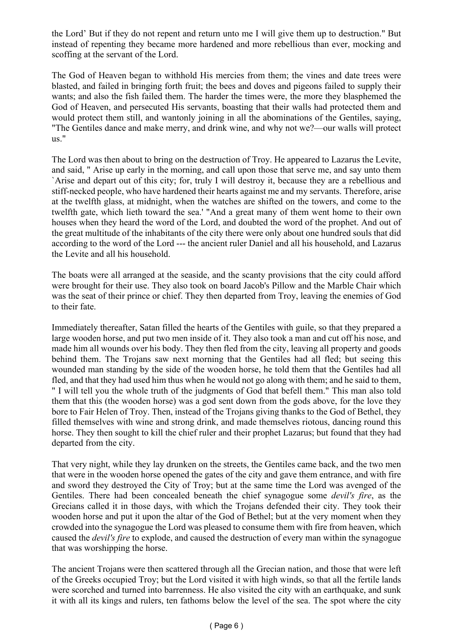the Lord' But if they do not repent and return unto me I will give them up to destruction." But instead of repenting they became more hardened and more rebellious than ever, mocking and scoffing at the servant of the Lord.

The God of Heaven began to withhold His mercies from them; the vines and date trees were blasted, and failed in bringing forth fruit; the bees and doves and pigeons failed to supply their wants; and also the fish failed them. The harder the times were, the more they blasphemed the God of Heaven, and persecuted His servants, boasting that their walls had protected them and would protect them still, and wantonly joining in all the abominations of the Gentiles, saying, "The Gentiles dance and make merry, and drink wine, and why not we?—our walls will protect us."

The Lord was then about to bring on the destruction of Troy. He appeared to Lazarus the Levite, and said, " Arise up early in the morning, and call upon those that serve me, and say unto them `Arise and depart out of this city; for, truly I will destroy it, because they are a rebellious and stiff-necked people, who have hardened their hearts against me and my servants. Therefore, arise at the twelfth glass, at midnight, when the watches are shifted on the towers, and come to the twelfth gate, which lieth toward the sea.' "And a great many of them went home to their own houses when they heard the word of the Lord, and doubted the word of the prophet. And out of the great multitude of the inhabitants of the city there were only about one hundred souls that did according to the word of the Lord --- the ancient ruler Daniel and all his household, and Lazarus the Levite and all his household.

The boats were all arranged at the seaside, and the scanty provisions that the city could afford were brought for their use. They also took on board Jacob's Pillow and the Marble Chair which was the seat of their prince or chief. They then departed from Troy, leaving the enemies of God to their fate.

Immediately thereafter, Satan filled the hearts of the Gentiles with guile, so that they prepared a large wooden horse, and put two men inside of it. They also took a man and cut off his nose, and made him all wounds over his body. They then fled from the city, leaving all property and goods behind them. The Trojans saw next morning that the Gentiles had all fled; but seeing this wounded man standing by the side of the wooden horse, he told them that the Gentiles had all fled, and that they had used him thus when he would not go along with them; and he said to them, " I will tell you the whole truth of the judgments of God that befell them." This man also told them that this (the wooden horse) was a god sent down from the gods above, for the love they bore to Fair Helen of Troy. Then, instead of the Trojans giving thanks to the God of Bethel, they filled themselves with wine and strong drink, and made themselves riotous, dancing round this horse. They then sought to kill the chief ruler and their prophet Lazarus; but found that they had departed from the city.

That very night, while they lay drunken on the streets, the Gentiles came back, and the two men that were in the wooden horse opened the gates of the city and gave them entrance, and with fire and sword they destroyed the City of Troy; but at the same time the Lord was avenged of the Gentiles. There had been concealed beneath the chief synagogue some *devil's fire*, as the Grecians called it in those days, with which the Trojans defended their city. They took their wooden horse and put it upon the altar of the God of Bethel; but at the very moment when they crowded into the synagogue the Lord was pleased to consume them with fire from heaven, which caused the *devil's fire* to explode, and caused the destruction of every man within the synagogue that was worshipping the horse.

The ancient Trojans were then scattered through all the Grecian nation, and those that were left of the Greeks occupied Troy; but the Lord visited it with high winds, so that all the fertile lands were scorched and turned into barrenness. He also visited the city with an earthquake, and sunk it with all its kings and rulers, ten fathoms below the level of the sea. The spot where the city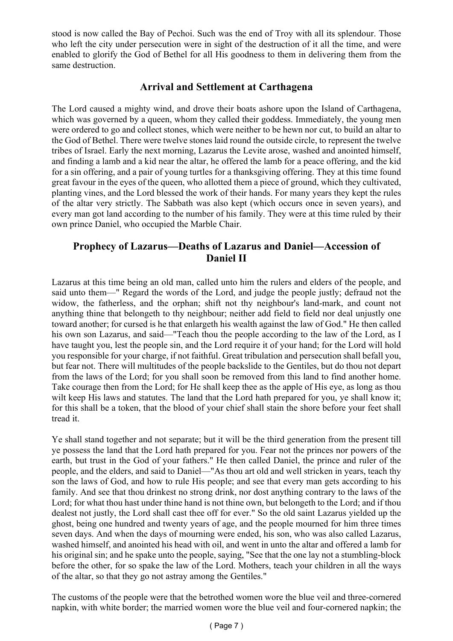stood is now called the Bay of Pechoi. Such was the end of Troy with all its splendour. Those who left the city under persecution were in sight of the destruction of it all the time, and were enabled to glorify the God of Bethel for all His goodness to them in delivering them from the same destruction.

### **Arrival and Settlement at Carthagena**

The Lord caused a mighty wind, and drove their boats ashore upon the Island of Carthagena, which was governed by a queen, whom they called their goddess. Immediately, the young men were ordered to go and collect stones, which were neither to be hewn nor cut, to build an altar to the God of Bethel. There were twelve stones laid round the outside circle, to represent the twelve tribes of Israel. Early the next morning, Lazarus the Levite arose, washed and anointed himself, and finding a lamb and a kid near the altar, he offered the lamb for a peace offering, and the kid for a sin offering, and a pair of young turtles for a thanksgiving offering. They at this time found great favour in the eyes of the queen, who allotted them a piece of ground, which they cultivated, planting vines, and the Lord blessed the work of their hands. For many years they kept the rules of the altar very strictly. The Sabbath was also kept (which occurs once in seven years), and every man got land according to the number of his family. They were at this time ruled by their own prince Daniel, who occupied the Marble Chair.

### **Prophecy of Lazarus—Deaths of Lazarus and Daniel—Accession of Daniel II**

Lazarus at this time being an old man, called unto him the rulers and elders of the people, and said unto them—" Regard the words of the Lord, and judge the people justly; defraud not the widow, the fatherless, and the orphan; shift not thy neighbour's land-mark, and count not anything thine that belongeth to thy neighbour; neither add field to field nor deal unjustly one toward another; for cursed is he that enlargeth his wealth against the law of God." He then called his own son Lazarus, and said—"Teach thou the people according to the law of the Lord, as I have taught you, lest the people sin, and the Lord require it of your hand; for the Lord will hold you responsible for your charge, if not faithful. Great tribulation and persecution shall befall you, but fear not. There will multitudes of the people backslide to the Gentiles, but do thou not depart from the laws of the Lord; for you shall soon be removed from this land to find another home. Take courage then from the Lord; for He shall keep thee as the apple of His eye, as long as thou wilt keep His laws and statutes. The land that the Lord hath prepared for you, ye shall know it; for this shall be a token, that the blood of your chief shall stain the shore before your feet shall tread it.

Ye shall stand together and not separate; but it will be the third generation from the present till ye possess the land that the Lord hath prepared for you. Fear not the princes nor powers of the earth, but trust in the God of your fathers." He then called Daniel, the prince and ruler of the people, and the elders, and said to Daniel—"As thou art old and well stricken in years, teach thy son the laws of God, and how to rule His people; and see that every man gets according to his family. And see that thou drinkest no strong drink, nor dost anything contrary to the laws of the Lord; for what thou hast under thine hand is not thine own, but belongeth to the Lord; and if thou dealest not justly, the Lord shall cast thee off for ever." So the old saint Lazarus yielded up the ghost, being one hundred and twenty years of age, and the people mourned for him three times seven days. And when the days of mourning were ended, his son, who was also called Lazarus, washed himself, and anointed his head with oil, and went in unto the altar and offered a lamb for his original sin; and he spake unto the people, saying, "See that the one lay not a stumbling-block before the other, for so spake the law of the Lord. Mothers, teach your children in all the ways of the altar, so that they go not astray among the Gentiles."

The customs of the people were that the betrothed women wore the blue veil and three-cornered napkin, with white border; the married women wore the blue veil and four-cornered napkin; the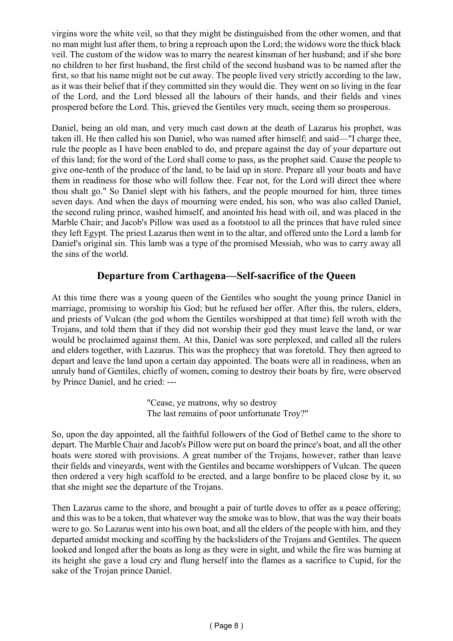virgins wore the white veil, so that they might be distinguished from the other women, and that no man might lust after them, to bring a reproach upon the Lord; the widows wore the thick black veil. The custom of the widow was to marry the nearest kinsman of her husband; and if she bore no children to her first husband, the first child of the second husband was to be named after the first, so that his name might not be cut away. The people lived very strictly according to the law, as it was their belief that if they committed sin they would die. They went on so living in the fear of the Lord, and the Lord blessed all the labours of their hands, and their fields and vines prospered before the Lord. This, grieved the Gentiles very much, seeing them so prosperous.

Daniel, being an old man, and very much cast down at the death of Lazarus his prophet, was taken ill. He then called his son Daniel, who was named after himself; and said—"I charge thee, rule the people as I have been enabled to do, and prepare against the day of your departure out of this land; for the word of the Lord shall come to pass, as the prophet said. Cause the people to give one-tenth of the produce of the land, to be laid up in store. Prepare all your boats and have them in readiness for those who will follow thee. Fear not, for the Lord will direct thee where thou shalt go." So Daniel slept with his fathers, and the people mourned for him, three times seven days. And when the days of mourning were ended, his son, who was also called Daniel, the second ruling prince, washed himself, and anointed his head with oil, and was placed in the Marble Chair; and Jacob's Pillow was used as a footstool to all the princes that have ruled since they left Egypt. The priest Lazarus then went in to the altar, and offered unto the Lord a lamb for Daniel's original sin. This lamb was a type of the promised Messiah, who was to carry away all the sins of the world.

#### **Departure from Carthagena—Self-sacrifice of the Queen**

At this time there was a young queen of the Gentiles who sought the young prince Daniel in marriage, promising to worship his God; but he refused her offer. After this, the rulers, elders, and priests of Vulcan (the god whom the Gentiles worshipped at that time) fell wroth with the Trojans, and told them that if they did not worship their god they must leave the land, or war would be proclaimed against them. At this, Daniel was sore perplexed, and called all the rulers and elders together, with Lazarus. This was the prophecy that was foretold. They then agreed to depart and leave the land upon a certain day appointed. The boats were all in readiness, when an unruly band of Gentiles, chiefly of women, coming to destroy their boats by fire, were observed by Prince Daniel, and he cried: ---

> "Cease, ye matrons, why so destroy The last remains of poor unfortunate Troy?"

So, upon the day appointed, all the faithful followers of the God of Bethel came to the shore to depart. The Marble Chair and Jacob's Pillow were put on board the prince's boat, and all the other boats were stored with provisions. A great number of the Trojans, however, rather than leave their fields and vineyards, went with the Gentiles and became worshippers of Vulcan. The queen then ordered a very high scaffold to be erected, and a large bonfire to be placed close by it, so that she might see the departure of the Trojans.

Then Lazarus came to the shore, and brought a pair of turtle doves to offer as a peace offering; and this was to be a token, that whatever way the smoke was to blow, that was the way their boats were to go. So Lazarus went into his own boat, and all the elders of the people with him, and they departed amidst mocking and scoffing by the backsliders of the Trojans and Gentiles. The queen looked and longed after the boats as long as they were in sight, and while the fire was burning at its height she gave a loud cry and flung herself into the flames as a sacrifice to Cupid, for the sake of the Trojan prince Daniel.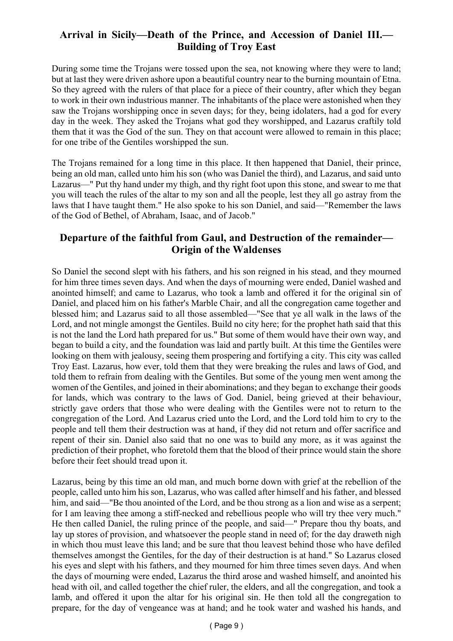# **Arrival in Sicily—Death of the Prince, and Accession of Daniel III.— Building of Troy East**

During some time the Trojans were tossed upon the sea, not knowing where they were to land; but at last they were driven ashore upon a beautiful country near to the burning mountain of Etna. So they agreed with the rulers of that place for a piece of their country, after which they began to work in their own industrious manner. The inhabitants of the place were astonished when they saw the Trojans worshipping once in seven days; for they, being idolaters, had a god for every day in the week. They asked the Trojans what god they worshipped, and Lazarus craftily told them that it was the God of the sun. They on that account were allowed to remain in this place; for one tribe of the Gentiles worshipped the sun.

The Trojans remained for a long time in this place. It then happened that Daniel, their prince, being an old man, called unto him his son (who was Daniel the third), and Lazarus, and said unto Lazarus—" Put thy hand under my thigh, and thy right foot upon this stone, and swear to me that you will teach the rules of the altar to my son and all the people, lest they all go astray from the laws that I have taught them." He also spoke to his son Daniel, and said—"Remember the laws of the God of Bethel, of Abraham, Isaac, and of Jacob."

# **Departure of the faithful from Gaul, and Destruction of the remainder— Origin of the Waldenses**

So Daniel the second slept with his fathers, and his son reigned in his stead, and they mourned for him three times seven days. And when the days of mourning were ended, Daniel washed and anointed himself; and came to Lazarus, who took a lamb and offered it for the original sin of Daniel, and placed him on his father's Marble Chair, and all the congregation came together and blessed him; and Lazarus said to all those assembled—"See that ye all walk in the laws of the Lord, and not mingle amongst the Gentiles. Build no city here; for the prophet hath said that this is not the land the Lord hath prepared for us." But some of them would have their own way, and began to build a city, and the foundation was laid and partly built. At this time the Gentiles were looking on them with jealousy, seeing them prospering and fortifying a city. This city was called Troy East. Lazarus, how ever, told them that they were breaking the rules and laws of God, and told them to refrain from dealing with the Gentiles. But some of the young men went among the women of the Gentiles, and joined in their abominations; and they began to exchange their goods for lands, which was contrary to the laws of God. Daniel, being grieved at their behaviour, strictly gave orders that those who were dealing with the Gentiles were not to return to the congregation of the Lord. And Lazarus cried unto the Lord, and the Lord told him to cry to the people and tell them their destruction was at hand, if they did not return and offer sacrifice and repent of their sin. Daniel also said that no one was to build any more, as it was against the prediction of their prophet, who foretold them that the blood of their prince would stain the shore before their feet should tread upon it.

Lazarus, being by this time an old man, and much borne down with grief at the rebellion of the people, called unto him his son, Lazarus, who was called after himself and his father, and blessed him, and said—"Be thou anointed of the Lord, and be thou strong as a lion and wise as a serpent; for I am leaving thee among a stiff-necked and rebellious people who will try thee very much." He then called Daniel, the ruling prince of the people, and said—" Prepare thou thy boats, and lay up stores of provision, and whatsoever the people stand in need of; for the day draweth nigh in which thou must leave this land; and be sure that thou leavest behind those who have defiled themselves amongst the Gentiles, for the day of their destruction is at hand." So Lazarus closed his eyes and slept with his fathers, and they mourned for him three times seven days. And when the days of mourning were ended, Lazarus the third arose and washed himself, and anointed his head with oil, and called together the chief ruler, the elders, and all the congregation, and took a lamb, and offered it upon the altar for his original sin. He then told all the congregation to prepare, for the day of vengeance was at hand; and he took water and washed his hands, and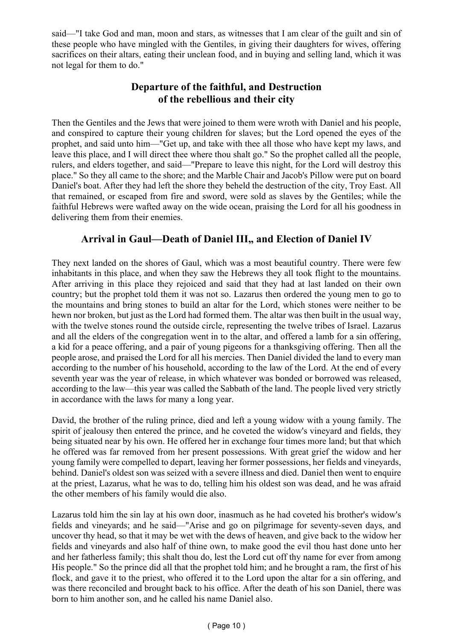said—"I take God and man, moon and stars, as witnesses that I am clear of the guilt and sin of these people who have mingled with the Gentiles, in giving their daughters for wives, offering sacrifices on their altars, eating their unclean food, and in buying and selling land, which it was not legal for them to do."

# **Departure of the faithful, and Destruction of the rebellious and their city**

Then the Gentiles and the Jews that were joined to them were wroth with Daniel and his people, and conspired to capture their young children for slaves; but the Lord opened the eyes of the prophet, and said unto him—"Get up, and take with thee all those who have kept my laws, and leave this place, and I will direct thee where thou shalt go." So the prophet called all the people, rulers, and elders together, and said—"Prepare to leave this night, for the Lord will destroy this place." So they all came to the shore; and the Marble Chair and Jacob's Pillow were put on board Daniel's boat. After they had left the shore they beheld the destruction of the city, Troy East. All that remained, or escaped from fire and sword, were sold as slaves by the Gentiles; while the faithful Hebrews were wafted away on the wide ocean, praising the Lord for all his goodness in delivering them from their enemies.

# **Arrival in Gaul—Death of Daniel III., and Election of Daniel IV**

They next landed on the shores of Gaul, which was a most beautiful country. There were few inhabitants in this place, and when they saw the Hebrews they all took flight to the mountains. After arriving in this place they rejoiced and said that they had at last landed on their own country; but the prophet told them it was not so. Lazarus then ordered the young men to go to the mountains and bring stones to build an altar for the Lord, which stones were neither to be hewn nor broken, but just as the Lord had formed them. The altar was then built in the usual way, with the twelve stones round the outside circle, representing the twelve tribes of Israel. Lazarus and all the elders of the congregation went in to the altar, and offered a lamb for a sin offering, a kid for a peace offering, and a pair of young pigeons for a thanksgiving offering. Then all the people arose, and praised the Lord for all his mercies. Then Daniel divided the land to every man according to the number of his household, according to the law of the Lord. At the end of every seventh year was the year of release, in which whatever was bonded or borrowed was released, according to the law—this year was called the Sabbath of the land. The people lived very strictly in accordance with the laws for many a long year.

David, the brother of the ruling prince, died and left a young widow with a young family. The spirit of jealousy then entered the prince, and he coveted the widow's vineyard and fields, they being situated near by his own. He offered her in exchange four times more land; but that which he offered was far removed from her present possessions. With great grief the widow and her young family were compelled to depart, leaving her former possessions, her fields and vineyards, behind. Daniel's oldest son was seized with a severe illness and died. Daniel then went to enquire at the priest, Lazarus, what he was to do, telling him his oldest son was dead, and he was afraid the other members of his family would die also.

Lazarus told him the sin lay at his own door, inasmuch as he had coveted his brother's widow's fields and vineyards; and he said—"Arise and go on pilgrimage for seventy-seven days, and uncover thy head, so that it may be wet with the dews of heaven, and give back to the widow her fields and vineyards and also half of thine own, to make good the evil thou hast done unto her and her fatherless family; this shalt thou do, lest the Lord cut off thy name for ever from among His people." So the prince did all that the prophet told him; and he brought a ram, the first of his flock, and gave it to the priest, who offered it to the Lord upon the altar for a sin offering, and was there reconciled and brought back to his office. After the death of his son Daniel, there was born to him another son, and he called his name Daniel also.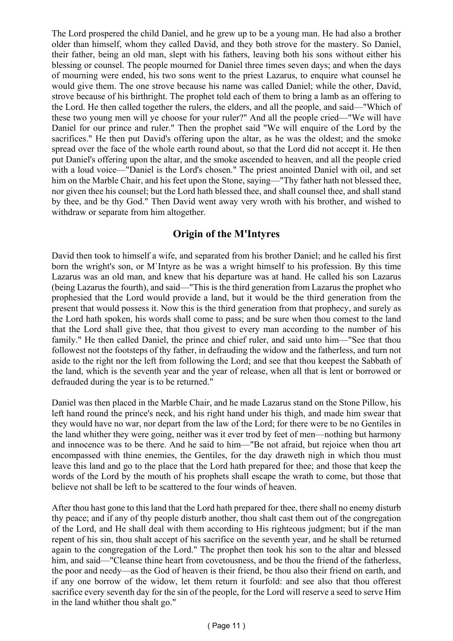The Lord prospered the child Daniel, and he grew up to be a young man. He had also a brother older than himself, whom they called David, and they both strove for the mastery. So Daniel, their father, being an old man, slept with his fathers, leaving both his sons without either his blessing or counsel. The people mourned for Daniel three times seven days; and when the days of mourning were ended, his two sons went to the priest Lazarus, to enquire what counsel he would give them. The one strove because his name was called Daniel; while the other, David, strove because of his birthright. The prophet told each of them to bring a lamb as an offering to the Lord. He then called together the rulers, the elders, and all the people, and said—"Which of these two young men will ye choose for your ruler?" And all the people cried—"We will have Daniel for our prince and ruler." Then the prophet said "We will enquire of the Lord by the sacrifices." He then put David's offering upon the altar, as he was the oldest; and the smoke spread over the face of the whole earth round about, so that the Lord did not accept it. He then put Daniel's offering upon the altar, and the smoke ascended to heaven, and all the people cried with a loud voice—"Daniel is the Lord's chosen." The priest anointed Daniel with oil, and set him on the Marble Chair, and his feet upon the Stone, saying—"Thy father hath not blessed thee, nor given thee his counsel; but the Lord hath blessed thee, and shall counsel thee, and shall stand by thee, and be thy God." Then David went away very wroth with his brother, and wished to withdraw or separate from him altogether.

# **Origin of the M'Intyres**

David then took to himself a wife, and separated from his brother Daniel; and he called his first born the wright's son, or M`Intyre as he was a wright himself to his profession. By this time Lazarus was an old man, and knew that his departure was at hand. He called his son Lazarus (being Lazarus the fourth), and said—"This is the third generation from Lazarus the prophet who prophesied that the Lord would provide a land, but it would be the third generation from the present that would possess it. Now this is the third generation from that prophecy, and surely as the Lord hath spoken, his words shall come to pass; and be sure when thou comest to the land that the Lord shall give thee, that thou givest to every man according to the number of his family." He then called Daniel, the prince and chief ruler, and said unto him—"See that thou followest not the footsteps of thy father, in defrauding the widow and the fatherless, and turn not aside to the right nor the left from following the Lord; and see that thou keepest the Sabbath of the land, which is the seventh year and the year of release, when all that is lent or borrowed or defrauded during the year is to be returned."

Daniel was then placed in the Marble Chair, and he made Lazarus stand on the Stone Pillow, his left hand round the prince's neck, and his right hand under his thigh, and made him swear that they would have no war, nor depart from the law of the Lord; for there were to be no Gentiles in the land whither they were going, neither was it ever trod by feet of men—nothing but harmony and innocence was to be there. And he said to him—"Be not afraid, but rejoice when thou art encompassed with thine enemies, the Gentiles, for the day draweth nigh in which thou must leave this land and go to the place that the Lord hath prepared for thee; and those that keep the words of the Lord by the mouth of his prophets shall escape the wrath to come, but those that believe not shall be left to be scattered to the four winds of heaven.

After thou hast gone to this land that the Lord hath prepared for thee, there shall no enemy disturb thy peace; and if any of thy people disturb another, thou shalt cast them out of the congregation of the Lord, and He shall deal with them according to His righteous judgment; but if the man repent of his sin, thou shalt accept of his sacrifice on the seventh year, and he shall be returned again to the congregation of the Lord." The prophet then took his son to the altar and blessed him, and said—"Cleanse thine heart from covetousness, and be thou the friend of the fatherless, the poor and needy—as the God of heaven is their friend, be thou also their friend on earth, and if any one borrow of the widow, let them return it fourfold: and see also that thou offerest sacrifice every seventh day for the sin of the people, for the Lord will reserve a seed to serve Him in the land whither thou shalt go."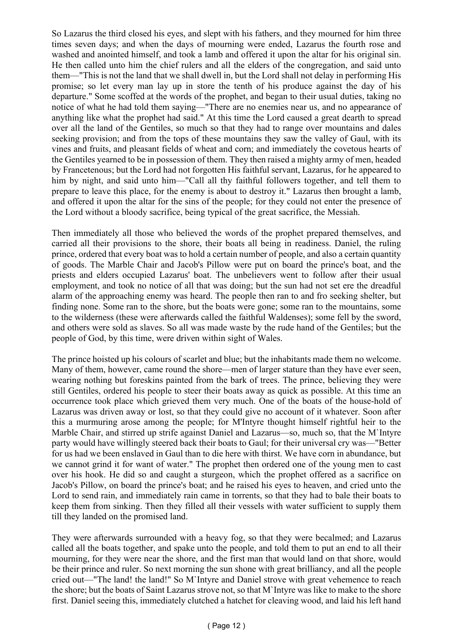So Lazarus the third closed his eyes, and slept with his fathers, and they mourned for him three times seven days; and when the days of mourning were ended, Lazarus the fourth rose and washed and anointed himself, and took a lamb and offered it upon the altar for his original sin. He then called unto him the chief rulers and all the elders of the congregation, and said unto them—"This is not the land that we shall dwell in, but the Lord shall not delay in performing His promise; so let every man lay up in store the tenth of his produce against the day of his departure." Some scoffed at the words of the prophet, and began to their usual duties, taking no notice of what he had told them saying—"There are no enemies near us, and no appearance of anything like what the prophet had said." At this time the Lord caused a great dearth to spread over all the land of the Gentiles, so much so that they had to range over mountains and dales seeking provision; and from the tops of these mountains they saw the valley of Gaul, with its vines and fruits, and pleasant fields of wheat and corn; and immediately the covetous hearts of the Gentiles yearned to be in possession of them. They then raised a mighty army of men, headed by Francetenous; but the Lord had not forgotten His faithful servant, Lazarus, for he appeared to him by night, and said unto him—"Call all thy faithful followers together, and tell them to prepare to leave this place, for the enemy is about to destroy it." Lazarus then brought a lamb, and offered it upon the altar for the sins of the people; for they could not enter the presence of the Lord without a bloody sacrifice, being typical of the great sacrifice, the Messiah.

Then immediately all those who believed the words of the prophet prepared themselves, and carried all their provisions to the shore, their boats all being in readiness. Daniel, the ruling prince, ordered that every boat was to hold a certain number of people, and also a certain quantity of goods. The Marble Chair and Jacob's Pillow were put on board the prince's boat, and the priests and elders occupied Lazarus' boat. The unbelievers went to follow after their usual employment, and took no notice of all that was doing; but the sun had not set ere the dreadful alarm of the approaching enemy was heard. The people then ran to and fro seeking shelter, but finding none. Some ran to the shore, but the boats were gone; some ran to the mountains, some to the wilderness (these were afterwards called the faithful Waldenses); some fell by the sword, and others were sold as slaves. So all was made waste by the rude hand of the Gentiles; but the people of God, by this time, were driven within sight of Wales.

The prince hoisted up his colours of scarlet and blue; but the inhabitants made them no welcome. Many of them, however, came round the shore—men of larger stature than they have ever seen, wearing nothing but foreskins painted from the bark of trees. The prince, believing they were still Gentiles, ordered his people to steer their boats away as quick as possible. At this time an occurrence took place which grieved them very much. One of the boats of the house-hold of Lazarus was driven away or lost, so that they could give no account of it whatever. Soon after this a murmuring arose among the people; for M'Intyre thought himself rightful heir to the Marble Chair, and stirred up strife against Daniel and Lazarus—so, much so, that the M`Intyre party would have willingly steered back their boats to Gaul; for their universal cry was—"Better for us had we been enslaved in Gaul than to die here with thirst. We have corn in abundance, but we cannot grind it for want of water." The prophet then ordered one of the young men to cast over his hook. He did so and caught a sturgeon, which the prophet offered as a sacrifice on Jacob's Pillow, on board the prince's boat; and he raised his eyes to heaven, and cried unto the Lord to send rain, and immediately rain came in torrents, so that they had to bale their boats to keep them from sinking. Then they filled all their vessels with water sufficient to supply them till they landed on the promised land.

They were afterwards surrounded with a heavy fog, so that they were becalmed; and Lazarus called all the boats together, and spake unto the people, and told them to put an end to all their mourning, for they were near the shore, and the first man that would land on that shore, would be their prince and ruler. So next morning the sun shone with great brilliancy, and all the people cried out—"The land! the land!" So M`Intyre and Daniel strove with great vehemence to reach the shore; but the boats of Saint Lazarus strove not, so that M`Intyre was like to make to the shore first. Daniel seeing this, immediately clutched a hatchet for cleaving wood, and laid his left hand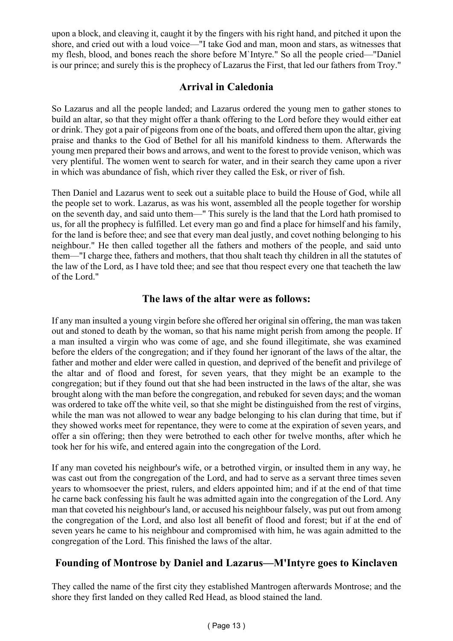upon a block, and cleaving it, caught it by the fingers with his right hand, and pitched it upon the shore, and cried out with a loud voice—"I take God and man, moon and stars, as witnesses that my flesh, blood, and bones reach the shore before M`Intyre." So all the people cried—"Daniel is our prince; and surely this is the prophecy of Lazarus the First, that led our fathers from Troy."

# **Arrival in Caledonia**

So Lazarus and all the people landed; and Lazarus ordered the young men to gather stones to build an altar, so that they might offer a thank offering to the Lord before they would either eat or drink. They got a pair of pigeons from one of the boats, and offered them upon the altar, giving praise and thanks to the God of Bethel for all his manifold kindness to them. Afterwards the young men prepared their bows and arrows, and went to the forest to provide venison, which was very plentiful. The women went to search for water, and in their search they came upon a river in which was abundance of fish, which river they called the Esk, or river of fish.

Then Daniel and Lazarus went to seek out a suitable place to build the House of God, while all the people set to work. Lazarus, as was his wont, assembled all the people together for worship on the seventh day, and said unto them—" This surely is the land that the Lord hath promised to us, for all the prophecy is fulfilled. Let every man go and find a place for himself and his family, for the land is before thee; and see that every man deal justly, and covet nothing belonging to his neighbour." He then called together all the fathers and mothers of the people, and said unto them—"I charge thee, fathers and mothers, that thou shalt teach thy children in all the statutes of the law of the Lord, as I have told thee; and see that thou respect every one that teacheth the law of the Lord."

### **The laws of the altar were as follows:**

If any man insulted a young virgin before she offered her original sin offering, the man was taken out and stoned to death by the woman, so that his name might perish from among the people. If a man insulted a virgin who was come of age, and she found illegitimate, she was examined before the elders of the congregation; and if they found her ignorant of the laws of the altar, the father and mother and elder were called in question, and deprived of the benefit and privilege of the altar and of flood and forest, for seven years, that they might be an example to the congregation; but if they found out that she had been instructed in the laws of the altar, she was brought along with the man before the congregation, and rebuked for seven days; and the woman was ordered to take off the white veil, so that she might be distinguished from the rest of virgins, while the man was not allowed to wear any badge belonging to his clan during that time, but if they showed works meet for repentance, they were to come at the expiration of seven years, and offer a sin offering; then they were betrothed to each other for twelve months, after which he took her for his wife, and entered again into the congregation of the Lord.

If any man coveted his neighbour's wife, or a betrothed virgin, or insulted them in any way, he was cast out from the congregation of the Lord, and had to serve as a servant three times seven years to whomsoever the priest, rulers, and elders appointed him; and if at the end of that time he carne back confessing his fault he was admitted again into the congregation of the Lord. Any man that coveted his neighbour's land, or accused his neighbour falsely, was put out from among the congregation of the Lord, and also lost all benefit of flood and forest; but if at the end of seven years he came to his neighbour and compromised with him, he was again admitted to the congregation of the Lord. This finished the laws of the altar.

# **Founding of Montrose by Daniel and Lazarus—M'Intyre goes to Kinclaven**

They called the name of the first city they established Mantrogen afterwards Montrose; and the shore they first landed on they called Red Head, as blood stained the land.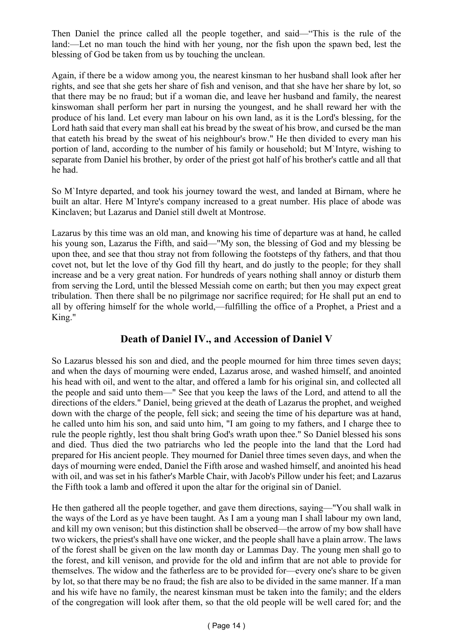Then Daniel the prince called all the people together, and said—"This is the rule of the land:—Let no man touch the hind with her young, nor the fish upon the spawn bed, lest the blessing of God be taken from us by touching the unclean.

Again, if there be a widow among you, the nearest kinsman to her husband shall look after her rights, and see that she gets her share of fish and venison, and that she have her share by lot, so that there may be no fraud; but if a woman die, and leave her husband and family, the nearest kinswoman shall perform her part in nursing the youngest, and he shall reward her with the produce of his land. Let every man labour on his own land, as it is the Lord's blessing, for the Lord hath said that every man shall eat his bread by the sweat of his brow, and cursed be the man that eateth his bread by the sweat of his neighbour's brow." He then divided to every man his portion of land, according to the number of his family or household; but M`Intyre, wishing to separate from Daniel his brother, by order of the priest got half of his brother's cattle and all that he had.

So M`Intyre departed, and took his journey toward the west, and landed at Birnam, where he built an altar. Here M`Intyre's company increased to a great number. His place of abode was Kinclaven; but Lazarus and Daniel still dwelt at Montrose.

Lazarus by this time was an old man, and knowing his time of departure was at hand, he called his young son, Lazarus the Fifth, and said—"My son, the blessing of God and my blessing be upon thee, and see that thou stray not from following the footsteps of thy fathers, and that thou covet not, but let the love of thy God fill thy heart, and do justly to the people; for they shall increase and be a very great nation. For hundreds of years nothing shall annoy or disturb them from serving the Lord, until the blessed Messiah come on earth; but then you may expect great tribulation. Then there shall be no pilgrimage nor sacrifice required; for He shall put an end to all by offering himself for the whole world,—fulfilling the office of a Prophet, a Priest and a King."

### **Death of Daniel IV., and Accession of Daniel V**

So Lazarus blessed his son and died, and the people mourned for him three times seven days; and when the days of mourning were ended, Lazarus arose, and washed himself, and anointed his head with oil, and went to the altar, and offered a lamb for his original sin, and collected all the people and said unto them—" See that you keep the laws of the Lord, and attend to all the directions of the elders." Daniel, being grieved at the death of Lazarus the prophet, and weighed down with the charge of the people, fell sick; and seeing the time of his departure was at hand, he called unto him his son, and said unto him, "I am going to my fathers, and I charge thee to rule the people rightly, lest thou shalt bring God's wrath upon thee." So Daniel blessed his sons and died. Thus died the two patriarchs who led the people into the land that the Lord had prepared for His ancient people. They mourned for Daniel three times seven days, and when the days of mourning were ended, Daniel the Fifth arose and washed himself, and anointed his head with oil, and was set in his father's Marble Chair, with Jacob's Pillow under his feet; and Lazarus the Fifth took a lamb and offered it upon the altar for the original sin of Daniel.

He then gathered all the people together, and gave them directions, saying—"You shall walk in the ways of the Lord as ye have been taught. As I am a young man I shall labour my own land, and kill my own venison; but this distinction shall be observed—the arrow of my bow shall have two wickers, the priest's shall have one wicker, and the people shall have a plain arrow. The laws of the forest shall be given on the law month day or Lammas Day. The young men shall go to the forest, and kill venison, and provide for the old and infirm that are not able to provide for themselves. The widow and the fatherless are to be provided for—every one's share to be given by lot, so that there may be no fraud; the fish are also to be divided in the same manner. If a man and his wife have no family, the nearest kinsman must be taken into the family; and the elders of the congregation will look after them, so that the old people will be well cared for; and the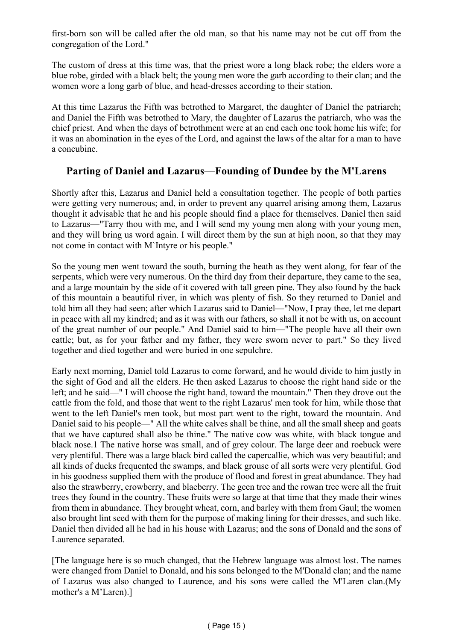first-born son will be called after the old man, so that his name may not be cut off from the congregation of the Lord."

The custom of dress at this time was, that the priest wore a long black robe; the elders wore a blue robe, girded with a black belt; the young men wore the garb according to their clan; and the women wore a long garb of blue, and head-dresses according to their station.

At this time Lazarus the Fifth was betrothed to Margaret, the daughter of Daniel the patriarch; and Daniel the Fifth was betrothed to Mary, the daughter of Lazarus the patriarch, who was the chief priest. And when the days of betrothment were at an end each one took home his wife; for it was an abomination in the eyes of the Lord, and against the laws of the altar for a man to have a concubine.

#### **Parting of Daniel and Lazarus—Founding of Dundee by the M'Larens**

Shortly after this, Lazarus and Daniel held a consultation together. The people of both parties were getting very numerous; and, in order to prevent any quarrel arising among them, Lazarus thought it advisable that he and his people should find a place for themselves. Daniel then said to Lazarus—"Tarry thou with me, and I will send my young men along with your young men, and they will bring us word again. I will direct them by the sun at high noon, so that they may not come in contact with M`Intyre or his people."

So the young men went toward the south, burning the heath as they went along, for fear of the serpents, which were very numerous. On the third day from their departure, they came to the sea, and a large mountain by the side of it covered with tall green pine. They also found by the back of this mountain a beautiful river, in which was plenty of fish. So they returned to Daniel and told him all they had seen; after which Lazarus said to Daniel—"Now, I pray thee, let me depart in peace with all my kindred; and as it was with our fathers, so shall it not be with us, on account of the great number of our people." And Daniel said to him—"The people have all their own cattle; but, as for your father and my father, they were sworn never to part." So they lived together and died together and were buried in one sepulchre.

Early next morning, Daniel told Lazarus to come forward, and he would divide to him justly in the sight of God and all the elders. He then asked Lazarus to choose the right hand side or the left; and he said—" I will choose the right hand, toward the mountain." Then they drove out the cattle from the fold, and those that went to the right Lazarus' men took for him, while those that went to the left Daniel's men took, but most part went to the right, toward the mountain. And Daniel said to his people—" All the white calves shall be thine, and all the small sheep and goats that we have captured shall also be thine." The native cow was white, with black tongue and black nose.1 The native horse was small, and of grey colour. The large deer and roebuck were very plentiful. There was a large black bird called the capercallie, which was very beautiful; and all kinds of ducks frequented the swamps, and black grouse of all sorts were very plentiful. God in his goodness supplied them with the produce of flood and forest in great abundance. They had also the strawberry, crowberry, and blaeberry. The geen tree and the rowan tree were all the fruit trees they found in the country. These fruits were so large at that time that they made their wines from them in abundance. They brought wheat, corn, and barley with them from Gaul; the women also brought lint seed with them for the purpose of making lining for their dresses, and such like. Daniel then divided all he had in his house with Lazarus; and the sons of Donald and the sons of Laurence separated.

[The language here is so much changed, that the Hebrew language was almost lost. The names were changed from Daniel to Donald, and his sons belonged to the M'Donald clan; and the name of Lazarus was also changed to Laurence, and his sons were called the M'Laren clan.(My mother's a M'Laren).]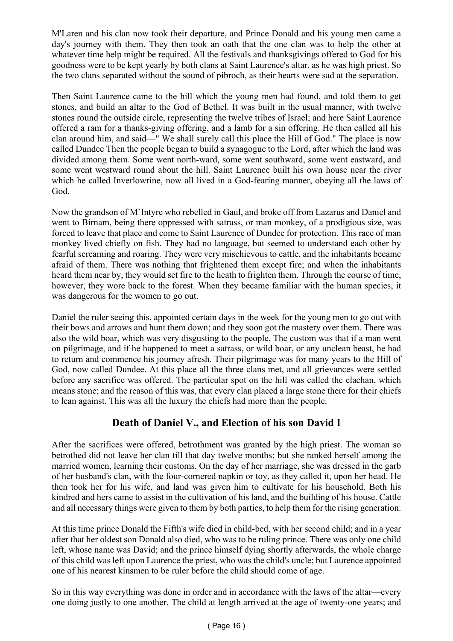M'Laren and his clan now took their departure, and Prince Donald and his young men came a day's journey with them. They then took an oath that the one clan was to help the other at whatever time help might be required. All the festivals and thanksgivings offered to God for his goodness were to be kept yearly by both clans at Saint Laurence's altar, as he was high priest. So the two clans separated without the sound of pibroch, as their hearts were sad at the separation.

Then Saint Laurence came to the hill which the young men had found, and told them to get stones, and build an altar to the God of Bethel. It was built in the usual manner, with twelve stones round the outside circle, representing the twelve tribes of Israel; and here Saint Laurence offered a ram for a thanks-giving offering, and a lamb for a sin offering. He then called all his clan around him, and said—" We shall surely call this place the Hill of God." The place is now called Dundee Then the people began to build a synagogue to the Lord, after which the land was divided among them. Some went north-ward, some went southward, some went eastward, and some went westward round about the hill. Saint Laurence built his own house near the river which he called Inverlowrine, now all lived in a God-fearing manner, obeying all the laws of God.

Now the grandson of M`Intyre who rebelled in Gaul, and broke off from Lazarus and Daniel and went to Birnam, being there oppressed with satrass, or man monkey, of a prodigious size, was forced to leave that place and come to Saint Laurence of Dundee for protection. This race of man monkey lived chiefly on fish. They had no language, but seemed to understand each other by fearful screaming and roaring. They were very mischievous to cattle, and the inhabitants became afraid of them. There was nothing that frightened them except fire; and when the inhabitants heard them near by, they would set fire to the heath to frighten them. Through the course of time, however, they wore back to the forest. When they became familiar with the human species, it was dangerous for the women to go out.

Daniel the ruler seeing this, appointed certain days in the week for the young men to go out with their bows and arrows and hunt them down; and they soon got the mastery over them. There was also the wild boar, which was very disgusting to the people. The custom was that if a man went on pilgrimage, and if he happened to meet a satrass, or wild boar, or any unclean beast, he had to return and commence his journey afresh. Their pilgrimage was for many years to the Hill of God, now called Dundee. At this place all the three clans met, and all grievances were settled before any sacrifice was offered. The particular spot on the hill was called the clachan, which means stone; and the reason of this was, that every clan placed a large stone there for their chiefs to lean against. This was all the luxury the chiefs had more than the people.

# **Death of Daniel V., and Election of his son David I**

After the sacrifices were offered, betrothment was granted by the high priest. The woman so betrothed did not leave her clan till that day twelve months; but she ranked herself among the married women, learning their customs. On the day of her marriage, she was dressed in the garb of her husband's clan, with the four-cornered napkin or toy, as they called it, upon her head. He then took her for his wife, and land was given him to cultivate for his household. Both his kindred and hers came to assist in the cultivation of his land, and the building of his house. Cattle and all necessary things were given to them by both parties, to help them for the rising generation.

At this time prince Donald the Fifth's wife died in child-bed, with her second child; and in a year after that her oldest son Donald also died, who was to be ruling prince. There was only one child left, whose name was David; and the prince himself dying shortly afterwards, the whole charge of this child was left upon Laurence the priest, who was the child's uncle; but Laurence appointed one of his nearest kinsmen to be ruler before the child should come of age.

So in this way everything was done in order and in accordance with the laws of the altar—every one doing justly to one another. The child at length arrived at the age of twenty-one years; and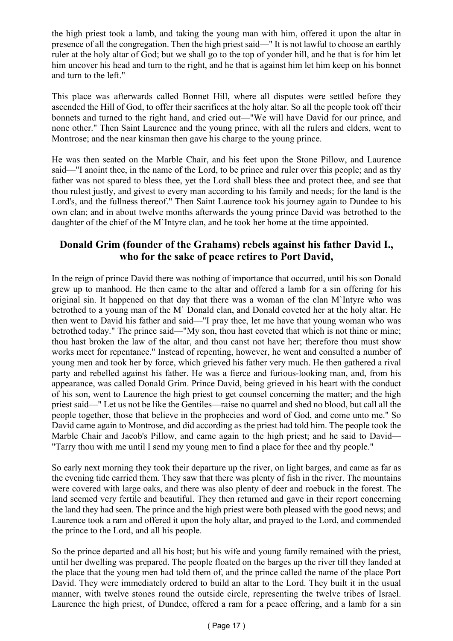the high priest took a lamb, and taking the young man with him, offered it upon the altar in presence of all the congregation. Then the high priest said—" It is not lawful to choose an earthly ruler at the holy altar of God; but we shall go to the top of yonder hill, and he that is for him let him uncover his head and turn to the right, and he that is against him let him keep on his bonnet and turn to the left."

This place was afterwards called Bonnet Hill, where all disputes were settled before they ascended the Hill of God, to offer their sacrifices at the holy altar. So all the people took off their bonnets and turned to the right hand, and cried out—"We will have David for our prince, and none other." Then Saint Laurence and the young prince, with all the rulers and elders, went to Montrose; and the near kinsman then gave his charge to the young prince.

He was then seated on the Marble Chair, and his feet upon the Stone Pillow, and Laurence said—"I anoint thee, in the name of the Lord, to be prince and ruler over this people; and as thy father was not spared to bless thee, yet the Lord shall bless thee and protect thee, and see that thou rulest justly, and givest to every man according to his family and needs; for the land is the Lord's, and the fullness thereof." Then Saint Laurence took his journey again to Dundee to his own clan; and in about twelve months afterwards the young prince David was betrothed to the daughter of the chief of the M`Intyre clan, and he took her home at the time appointed.

# **Donald Grim (founder of the Grahams) rebels against his father David I., who for the sake of peace retires to Port David,**

In the reign of prince David there was nothing of importance that occurred, until his son Donald grew up to manhood. He then came to the altar and offered a lamb for a sin offering for his original sin. It happened on that day that there was a woman of the clan M`Intyre who was betrothed to a young man of the M` Donald clan, and Donald coveted her at the holy altar. He then went to David his father and said—"I pray thee, let me have that young woman who was betrothed today." The prince said—"My son, thou hast coveted that which is not thine or mine; thou hast broken the law of the altar, and thou canst not have her; therefore thou must show works meet for repentance." Instead of repenting, however, he went and consulted a number of young men and took her by force, which grieved his father very much. He then gathered a rival party and rebelled against his father. He was a fierce and furious-looking man, and, from his appearance, was called Donald Grim. Prince David, being grieved in his heart with the conduct of his son, went to Laurence the high priest to get counsel concerning the matter; and the high priest said—" Let us not be like the Gentiles—raise no quarrel and shed no blood, but call all the people together, those that believe in the prophecies and word of God, and come unto me." So David came again to Montrose, and did according as the priest had told him. The people took the Marble Chair and Jacob's Pillow, and came again to the high priest; and he said to David— "Tarry thou with me until I send my young men to find a place for thee and thy people."

So early next morning they took their departure up the river, on light barges, and came as far as the evening tide carried them. They saw that there was plenty of fish in the river. The mountains were covered with large oaks, and there was also plenty of deer and roebuck in the forest. The land seemed very fertile and beautiful. They then returned and gave in their report concerning the land they had seen. The prince and the high priest were both pleased with the good news; and Laurence took a ram and offered it upon the holy altar, and prayed to the Lord, and commended the prince to the Lord, and all his people.

So the prince departed and all his host; but his wife and young family remained with the priest, until her dwelling was prepared. The people floated on the barges up the river till they landed at the place that the young men had told them of, and the prince called the name of the place Port David. They were immediately ordered to build an altar to the Lord. They built it in the usual manner, with twelve stones round the outside circle, representing the twelve tribes of Israel. Laurence the high priest, of Dundee, offered a ram for a peace offering, and a lamb for a sin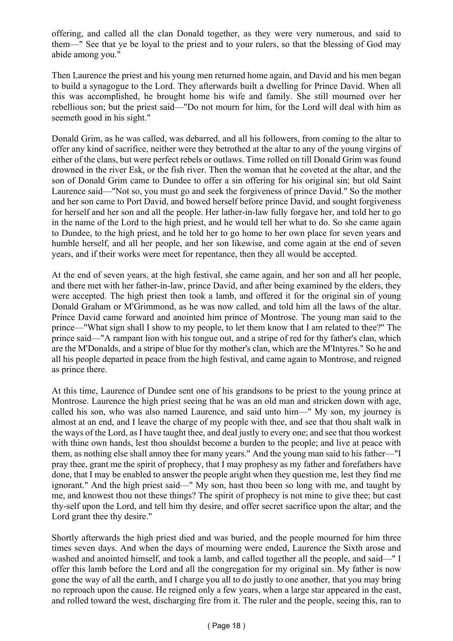offering, and called all the clan Donald together, as they were very numerous, and said to them—" See that ye be loyal to the priest and to your rulers, so that the blessing of God may abide among you."

Then Laurence the priest and his young men returned home again, and David and his men began to build a synagogue to the Lord. They afterwards built a dwelling for Prince David. When all this was accomplished, he brought home his wife and family. She still mourned over her rebellious son; but the priest said—"Do not mourn for him, for the Lord will deal with him as seemeth good in his sight."

Donald Grim, as he was called, was debarred, and all his followers, from coming to the altar to offer any kind of sacrifice, neither were they betrothed at the altar to any of the young virgins of either of the clans, but were perfect rebels or outlaws. Time rolled on till Donald Grim was found drowned in the river Esk, or the fish river. Then the woman that he coveted at the altar, and the son of Donald Grim came to Dundee to offer a sin offering for his original sin; but old Saint Laurence said—"Not so, you must go and seek the forgiveness of prince David." So the mother and her son came to Port David, and bowed herself before prince David, and sought forgiveness for herself and her son and all the people. Her lather-in-law fully forgave her, and told her to go in the name of the Lord to the high priest, and he would tell her what to do. So she came again to Dundee, to the high priest, and he told her to go home to her own place for seven years and humble herself, and all her people, and her son likewise, and come again at the end of seven years, and if their works were meet for repentance, then they all would be accepted.

At the end of seven years, at the high festival, she came again, and her son and all her people, and there met with her father-in-law, prince David, and after being examined by the elders, they were accepted. The high priest then took a lamb, and offered it for the original sin of young Donald Graham or M'Grimmond, as he was now called, and told him all the laws of the altar. Prince David came forward and anointed him prince of Montrose. The young man said to the prince—"What sign shall I show to my people, to let them know that I am related to thee?" The prince said—"A rampant lion with his tongue out, and a stripe of red for thy father's clan, which are the M'Donalds, and a stripe of blue for thy mother's clan, which are the M'Intyres." So he and all his people departed in peace from the high festival, and came again to Montrose, and reigned as prince there.

At this time, Laurence of Dundee sent one of his grandsons to be priest to the young prince at Montrose. Laurence the high priest seeing that he was an old man and stricken down with age, called his son, who was also named Laurence, and said unto him—" My son, my journey is almost at an end, and I leave the charge of my people with thee, and see that thou shalt walk in the ways of the Lord, as I have taught thee, and deal justly to every one; and see that thou workest with thine own hands, lest thou shouldst become a burden to the people; and live at peace with them, as nothing else shall annoy thee for many years." And the young man said to his father—"I pray thee, grant me the spirit of prophecy, that I may prophesy as my father and forefathers have done, that I may be enabled to answer the people aright when they question me, lest they find me ignorant." And the high priest said—" My son, hast thou been so long with me, and taught by me, and knowest thou not these things? The spirit of prophecy is not mine to give thee; but cast thy-self upon the Lord, and tell him thy desire, and offer secret sacrifice upon the altar; and the Lord grant thee thy desire."

Shortly afterwards the high priest died and was buried, and the people mourned for him three times seven days. And when the days of mourning were ended, Laurence the Sixth arose and washed and anointed himself, and took a lamb, and called together all the people, and said—" I offer this lamb before the Lord and all the congregation for my original sin. My father is now gone the way of all the earth, and I charge you all to do justly to one another, that you may bring no reproach upon the cause. He reigned only a few years, when a large star appeared in the east, and rolled toward the west, discharging fire from it. The ruler and the people, seeing this, ran to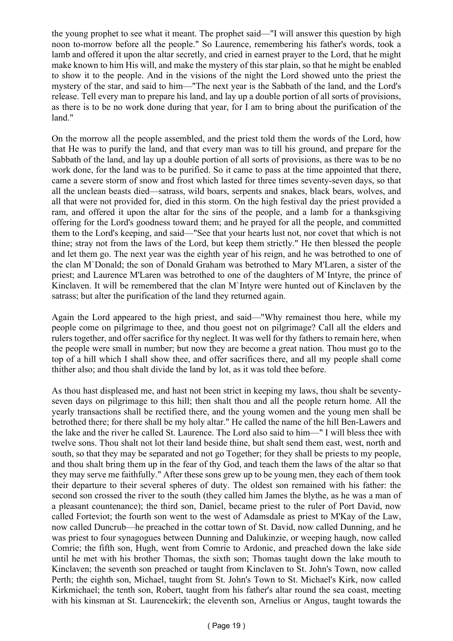the young prophet to see what it meant. The prophet said—"I will answer this question by high noon to-morrow before all the people." So Laurence, remembering his father's words, took a lamb and offered it upon the altar secretly, and cried in earnest prayer to the Lord, that he might make known to him His will, and make the mystery of this star plain, so that he might be enabled to show it to the people. And in the visions of the night the Lord showed unto the priest the mystery of the star, and said to him—"The next year is the Sabbath of the land, and the Lord's release. Tell every man to prepare his land, and lay up a double portion of all sorts of provisions, as there is to be no work done during that year, for I am to bring about the purification of the land."

On the morrow all the people assembled, and the priest told them the words of the Lord, how that He was to purify the land, and that every man was to till his ground, and prepare for the Sabbath of the land, and lay up a double portion of all sorts of provisions, as there was to be no work done, for the land was to be purified. So it came to pass at the time appointed that there, came a severe storm of snow and frost which lasted for three times seventy-seven days, so that all the unclean beasts died—satrass, wild boars, serpents and snakes, black bears, wolves, and all that were not provided for, died in this storm. On the high festival day the priest provided a ram, and offered it upon the altar for the sins of the people, and a lamb for a thanksgiving offering for the Lord's goodness toward them; and he prayed for all the people, and committed them to the Lord's keeping, and said—"See that your hearts lust not, nor covet that which is not thine; stray not from the laws of the Lord, but keep them strictly." He then blessed the people and let them go. The next year was the eighth year of his reign, and he was betrothed to one of the clan M`Donald; the son of Donald Graham was betrothed to Mary M'Laren, a sister of the priest; and Laurence M'Laren was betrothed to one of the daughters of M`Intyre, the prince of Kinclaven. It will be remembered that the clan M`Intyre were hunted out of Kinclaven by the satrass; but alter the purification of the land they returned again.

Again the Lord appeared to the high priest, and said—"Why remainest thou here, while my people come on pilgrimage to thee, and thou goest not on pilgrimage? Call all the elders and rulers together, and offer sacrifice for thy neglect. It was well for thy fathers to remain here, when the people were small in number; but now they are become a great nation. Thou must go to the top of a hill which I shall show thee, and offer sacrifices there, and all my people shall come thither also; and thou shalt divide the land by lot, as it was told thee before.

As thou hast displeased me, and hast not been strict in keeping my laws, thou shalt be seventyseven days on pilgrimage to this hill; then shalt thou and all the people return home. All the yearly transactions shall be rectified there, and the young women and the young men shall be betrothed there; for there shall be my holy altar." He called the name of the hill Ben-Lawers and the lake and the river he called St. Laurence. The Lord also said to him—" I will bless thee with twelve sons. Thou shalt not lot their land beside thine, but shalt send them east, west, north and south, so that they may be separated and not go Together; for they shall be priests to my people, and thou shalt bring them up in the fear of thy God, and teach them the laws of the altar so that they may serve me faithfully." After these sons grew up to be young men, they each of them took their departure to their several spheres of duty. The oldest son remained with his father: the second son crossed the river to the south (they called him James the blythe, as he was a man of a pleasant countenance); the third son, Daniel, became priest to the ruler of Port David, now called Forteviot; the fourth son went to the west of Adamsdale as priest to M'Kay of the Law, now called Duncrub—he preached in the cottar town of St. David, now called Dunning, and he was priest to four synagogues between Dunning and Dalukinzie, or weeping haugh, now called Comrie; the fifth son, Hugh, went from Comrie to Ardonic, and preached down the lake side until he met with his brother Thomas, the sixth son; Thomas taught down the lake mouth to Kinclaven; the seventh son preached or taught from Kinclaven to St. John's Town, now called Perth; the eighth son, Michael, taught from St. John's Town to St. Michael's Kirk, now called Kirkmichael; the tenth son, Robert, taught from his father's altar round the sea coast, meeting with his kinsman at St. Laurencekirk; the eleventh son, Arnelius or Angus, taught towards the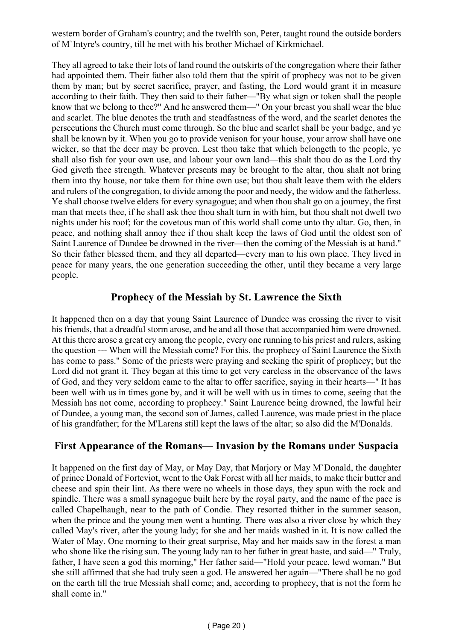western border of Graham's country; and the twelfth son, Peter, taught round the outside borders of M`Intyre's country, till he met with his brother Michael of Kirkmichael.

They all agreed to take their lots of land round the outskirts of the congregation where their father had appointed them. Their father also told them that the spirit of prophecy was not to be given them by man; but by secret sacrifice, prayer, and fasting, the Lord would grant it in measure according to their faith. They then said to their father—"By what sign or token shall the people know that we belong to thee?" And he answered them—" On your breast you shall wear the blue and scarlet. The blue denotes the truth and steadfastness of the word, and the scarlet denotes the persecutions the Church must come through. So the blue and scarlet shall be your badge, and ye shall be known by it. When you go to provide venison for your house, your arrow shall have one wicker, so that the deer may be proven. Lest thou take that which belongeth to the people, ye shall also fish for your own use, and labour your own land—this shalt thou do as the Lord thy God giveth thee strength. Whatever presents may be brought to the altar, thou shalt not bring them into thy house, nor take them for thine own use; but thou shalt leave them with the elders and rulers of the congregation, to divide among the poor and needy, the widow and the fatherless. Ye shall choose twelve elders for every synagogue; and when thou shalt go on a journey, the first man that meets thee, if he shall ask thee thou shalt turn in with him, but thou shalt not dwell two nights under his roof; for the covetous man of this world shall come unto thy altar. Go, then, in peace, and nothing shall annoy thee if thou shalt keep the laws of God until the oldest son of Saint Laurence of Dundee be drowned in the river—then the coming of the Messiah is at hand." So their father blessed them, and they all departed—every man to his own place. They lived in peace for many years, the one generation succeeding the other, until they became a very large people.

### **Prophecy of the Messiah by St. Lawrence the Sixth**

It happened then on a day that young Saint Laurence of Dundee was crossing the river to visit his friends, that a dreadful storm arose, and he and all those that accompanied him were drowned. At this there arose a great cry among the people, every one running to his priest and rulers, asking the question --- When will the Messiah come? For this, the prophecy of Saint Laurence the Sixth has come to pass." Some of the priests were praying and seeking the spirit of prophecy; but the Lord did not grant it. They began at this time to get very careless in the observance of the laws of God, and they very seldom came to the altar to offer sacrifice, saying in their hearts—" It has been well with us in times gone by, and it will be well with us in times to come, seeing that the Messiah has not come, according to prophecy." Saint Laurence being drowned, the lawful heir of Dundee, a young man, the second son of James, called Laurence, was made priest in the place of his grandfather; for the M'Larens still kept the laws of the altar; so also did the M'Donalds.

#### **First Appearance of the Romans— Invasion by the Romans under Suspacia**

It happened on the first day of May, or May Day, that Marjory or May M`Donald, the daughter of prince Donald of Forteviot, went to the Oak Forest with all her maids, to make their butter and cheese and spin their lint. As there were no wheels in those days, they spun with the rock and spindle. There was a small synagogue built here by the royal party, and the name of the pace is called Chapelhaugh, near to the path of Condie. They resorted thither in the summer season, when the prince and the young men went a hunting. There was also a river close by which they called May's river, after the young lady; for she and her maids washed in it. It is now called the Water of May. One morning to their great surprise, May and her maids saw in the forest a man who shone like the rising sun. The young lady ran to her father in great haste, and said—" Truly, father, I have seen a god this morning," Her father said—"Hold your peace, lewd woman." But she still affirmed that she had truly seen a god. He answered her again—"There shall be no god on the earth till the true Messiah shall come; and, according to prophecy, that is not the form he shall come in."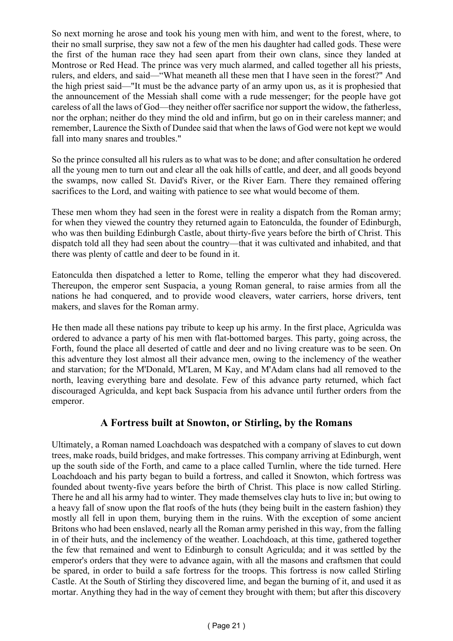So next morning he arose and took his young men with him, and went to the forest, where, to their no small surprise, they saw not a few of the men his daughter had called gods. These were the first of the human race they had seen apart from their own clans, since they landed at Montrose or Red Head. The prince was very much alarmed, and called together all his priests, rulers, and elders, and said—"What meaneth all these men that I have seen in the forest?" And the high priest said—"It must be the advance party of an army upon us, as it is prophesied that the announcement of the Messiah shall come with a rude messenger; for the people have got careless of all the laws of God—they neither offer sacrifice nor support the widow, the fatherless, nor the orphan; neither do they mind the old and infirm, but go on in their careless manner; and remember, Laurence the Sixth of Dundee said that when the laws of God were not kept we would fall into many snares and troubles."

So the prince consulted all his rulers as to what was to be done; and after consultation he ordered all the young men to turn out and clear all the oak hills of cattle, and deer, and all goods beyond the swamps, now called St. David's River, or the River Earn. There they remained offering sacrifices to the Lord, and waiting with patience to see what would become of them.

These men whom they had seen in the forest were in reality a dispatch from the Roman army; for when they viewed the country they returned again to Eatonculda, the founder of Edinburgh, who was then building Edinburgh Castle, about thirty-five years before the birth of Christ. This dispatch told all they had seen about the country—that it was cultivated and inhabited, and that there was plenty of cattle and deer to be found in it.

Eatonculda then dispatched a letter to Rome, telling the emperor what they had discovered. Thereupon, the emperor sent Suspacia, a young Roman general, to raise armies from all the nations he had conquered, and to provide wood cleavers, water carriers, horse drivers, tent makers, and slaves for the Roman army.

He then made all these nations pay tribute to keep up his army. In the first place, Agriculda was ordered to advance a party of his men with flat-bottomed barges. This party, going across, the Forth, found the place all deserted of cattle and deer and no living creature was to be seen. On this adventure they lost almost all their advance men, owing to the inclemency of the weather and starvation; for the M'Donald, M'Laren, M Kay, and M'Adam clans had all removed to the north, leaving everything bare and desolate. Few of this advance party returned, which fact discouraged Agriculda, and kept back Suspacia from his advance until further orders from the emperor.

#### **A Fortress built at Snowton, or Stirling, by the Romans**

Ultimately, a Roman named Loachdoach was despatched with a company of slaves to cut down trees, make roads, build bridges, and make fortresses. This company arriving at Edinburgh, went up the south side of the Forth, and came to a place called Turnlin, where the tide turned. Here Loachdoach and his party began to build a fortress, and called it Snowton, which fortress was founded about twenty-five years before the birth of Christ. This place is now called Stirling. There he and all his army had to winter. They made themselves clay huts to live in; but owing to a heavy fall of snow upon the flat roofs of the huts (they being built in the eastern fashion) they mostly all fell in upon them, burying them in the ruins. With the exception of some ancient Britons who had been enslaved, nearly all the Roman army perished in this way, from the falling in of their huts, and the inclemency of the weather. Loachdoach, at this time, gathered together the few that remained and went to Edinburgh to consult Agriculda; and it was settled by the emperor's orders that they were to advance again, with all the masons and craftsmen that could be spared, in order to build a safe fortress for the troops. This fortress is now called Stirling Castle. At the South of Stirling they discovered lime, and began the burning of it, and used it as mortar. Anything they had in the way of cement they brought with them; but after this discovery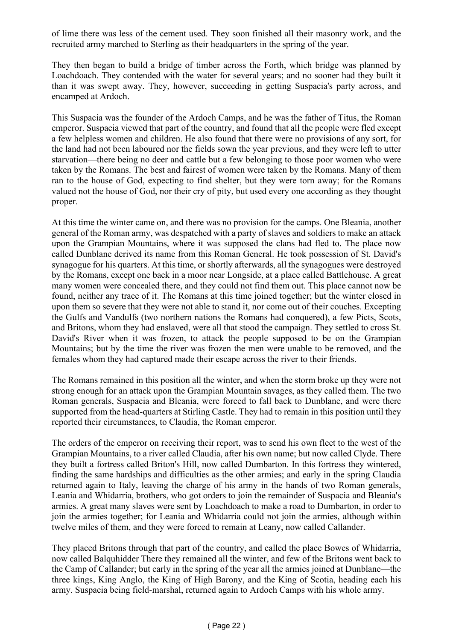of lime there was less of the cement used. They soon finished all their masonry work, and the recruited army marched to Sterling as their headquarters in the spring of the year.

They then began to build a bridge of timber across the Forth, which bridge was planned by Loachdoach. They contended with the water for several years; and no sooner had they built it than it was swept away. They, however, succeeding in getting Suspacia's party across, and encamped at Ardoch.

This Suspacia was the founder of the Ardoch Camps, and he was the father of Titus, the Roman emperor. Suspacia viewed that part of the country, and found that all the people were fled except a few helpless women and children. He also found that there were no provisions of any sort, for the land had not been laboured nor the fields sown the year previous, and they were left to utter starvation—there being no deer and cattle but a few belonging to those poor women who were taken by the Romans. The best and fairest of women were taken by the Romans. Many of them ran to the house of God, expecting to find shelter, but they were torn away; for the Romans valued not the house of God, nor their cry of pity, but used every one according as they thought proper.

At this time the winter came on, and there was no provision for the camps. One Bleania, another general of the Roman army, was despatched with a party of slaves and soldiers to make an attack upon the Grampian Mountains, where it was supposed the clans had fled to. The place now called Dunblane derived its name from this Roman General. He took possession of St. David's synagogue for his quarters. At this time, or shortly afterwards, all the synagogues were destroyed by the Romans, except one back in a moor near Longside, at a place called Battlehouse. A great many women were concealed there, and they could not find them out. This place cannot now be found, neither any trace of it. The Romans at this time joined together; but the winter closed in upon them so severe that they were not able to stand it, nor come out of their couches. Excepting the Gulfs and Vandulfs (two northern nations the Romans had conquered), a few Picts, Scots, and Britons, whom they had enslaved, were all that stood the campaign. They settled to cross St. David's River when it was frozen, to attack the people supposed to be on the Grampian Mountains; but by the time the river was frozen the men were unable to be removed, and the females whom they had captured made their escape across the river to their friends.

The Romans remained in this position all the winter, and when the storm broke up they were not strong enough for an attack upon the Grampian Mountain savages, as they called them. The two Roman generals, Suspacia and Bleania, were forced to fall back to Dunblane, and were there supported from the head-quarters at Stirling Castle. They had to remain in this position until they reported their circumstances, to Claudia, the Roman emperor.

The orders of the emperor on receiving their report, was to send his own fleet to the west of the Grampian Mountains, to a river called Claudia, after his own name; but now called Clyde. There they built a fortress called Briton's Hill, now called Dumbarton. In this fortress they wintered, finding the same hardships and difficulties as the other armies; and early in the spring Claudia returned again to Italy, leaving the charge of his army in the hands of two Roman generals, Leania and Whidarria, brothers, who got orders to join the remainder of Suspacia and Bleania's armies. A great many slaves were sent by Loachdoach to make a road to Dumbarton, in order to join the armies together; for Leania and Whidarria could not join the armies, although within twelve miles of them, and they were forced to remain at Leany, now called Callander.

They placed Britons through that part of the country, and called the place Bowes of Whidarria, now called Balquhidder There they remained all the winter, and few of the Britons went back to the Camp of Callander; but early in the spring of the year all the armies joined at Dunblane—the three kings, King Anglo, the King of High Barony, and the King of Scotia, heading each his army. Suspacia being field-marshal, returned again to Ardoch Camps with his whole army.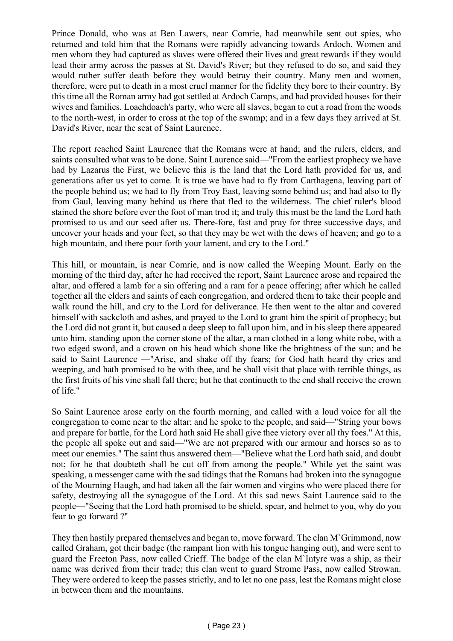Prince Donald, who was at Ben Lawers, near Comrie, had meanwhile sent out spies, who returned and told him that the Romans were rapidly advancing towards Ardoch. Women and men whom they had captured as slaves were offered their lives and great rewards if they would lead their army across the passes at St. David's River; but they refused to do so, and said they would rather suffer death before they would betray their country. Many men and women, therefore, were put to death in a most cruel manner for the fidelity they bore to their country. By this time all the Roman army had got settled at Ardoch Camps, and had provided houses for their wives and families. Loachdoach's party, who were all slaves, began to cut a road from the woods to the north-west, in order to cross at the top of the swamp; and in a few days they arrived at St. David's River, near the seat of Saint Laurence.

The report reached Saint Laurence that the Romans were at hand; and the rulers, elders, and saints consulted what was to be done. Saint Laurence said—"From the earliest prophecy we have had by Lazarus the First, we believe this is the land that the Lord hath provided for us, and generations after us yet to come. It is true we have had to fly from Carthagena, leaving part of the people behind us; we had to fly from Troy East, leaving some behind us; and had also to fly from Gaul, leaving many behind us there that fled to the wilderness. The chief ruler's blood stained the shore before ever the foot of man trod it; and truly this must be the land the Lord hath promised to us and our seed after us. There-fore, fast and pray for three successive days, and uncover your heads and your feet, so that they may be wet with the dews of heaven; and go to a high mountain, and there pour forth your lament, and cry to the Lord."

This hill, or mountain, is near Comrie, and is now called the Weeping Mount. Early on the morning of the third day, after he had received the report, Saint Laurence arose and repaired the altar, and offered a lamb for a sin offering and a ram for a peace offering; after which he called together all the elders and saints of each congregation, and ordered them to take their people and walk round the hill, and cry to the Lord for deliverance. He then went to the altar and covered himself with sackcloth and ashes, and prayed to the Lord to grant him the spirit of prophecy; but the Lord did not grant it, but caused a deep sleep to fall upon him, and in his sleep there appeared unto him, standing upon the corner stone of the altar, a man clothed in a long white robe, with a two edged sword, and a crown on his head which shone like the brightness of the sun; and he said to Saint Laurence —"Arise, and shake off thy fears; for God hath heard thy cries and weeping, and hath promised to be with thee, and he shall visit that place with terrible things, as the first fruits of his vine shall fall there; but he that continueth to the end shall receive the crown of life."

So Saint Laurence arose early on the fourth morning, and called with a loud voice for all the congregation to come near to the altar; and he spoke to the people, and said—"String your bows and prepare for battle, for the Lord hath said He shall give thee victory over all thy foes." At this, the people all spoke out and said—"We are not prepared with our armour and horses so as to meet our enemies." The saint thus answered them—"Believe what the Lord hath said, and doubt not; for he that doubteth shall be cut off from among the people." While yet the saint was speaking, a messenger came with the sad tidings that the Romans had broken into the synagogue of the Mourning Haugh, and had taken all the fair women and virgins who were placed there for safety, destroying all the synagogue of the Lord. At this sad news Saint Laurence said to the people—"Seeing that the Lord hath promised to be shield, spear, and helmet to you, why do you fear to go forward ?"

They then hastily prepared themselves and began to, move forward. The clan M`Grimmond, now called Graham, got their badge (the rampant lion with his tongue hanging out), and were sent to guard the Freeton Pass, now called Crieff. The badge of the clan M`Intyre was a ship, as their name was derived from their trade; this clan went to guard Strome Pass, now called Strowan. They were ordered to keep the passes strictly, and to let no one pass, lest the Romans might close in between them and the mountains.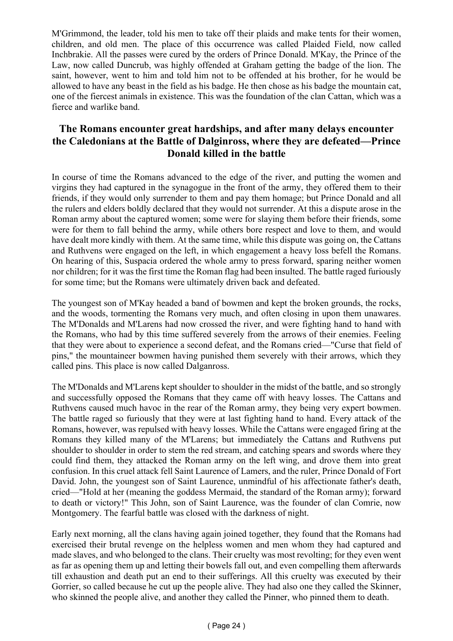M'Grimmond, the leader, told his men to take off their plaids and make tents for their women, children, and old men. The place of this occurrence was called Plaided Field, now called Inchbrakie. All the passes were cured by the orders of Prince Donald. M'Kay, the Prince of the Law, now called Duncrub, was highly offended at Graham getting the badge of the lion. The saint, however, went to him and told him not to be offended at his brother, for he would be allowed to have any beast in the field as his badge. He then chose as his badge the mountain cat, one of the fiercest animals in existence. This was the foundation of the clan Cattan, which was a fierce and warlike band.

#### **The Romans encounter great hardships, and after many delays encounter the Caledonians at the Battle of Dalginross, where they are defeated—Prince Donald killed in the battle**

In course of time the Romans advanced to the edge of the river, and putting the women and virgins they had captured in the synagogue in the front of the army, they offered them to their friends, if they would only surrender to them and pay them homage; but Prince Donald and all the rulers and elders boldly declared that they would not surrender. At this a dispute arose in the Roman army about the captured women; some were for slaying them before their friends, some were for them to fall behind the army, while others bore respect and love to them, and would have dealt more kindly with them. At the same time, while this dispute was going on, the Cattans and Ruthvens were engaged on the left, in which engagement a heavy loss befell the Romans. On hearing of this, Suspacia ordered the whole army to press forward, sparing neither women nor children; for it was the first time the Roman flag had been insulted. The battle raged furiously for some time; but the Romans were ultimately driven back and defeated.

The youngest son of M'Kay headed a band of bowmen and kept the broken grounds, the rocks, and the woods, tormenting the Romans very much, and often closing in upon them unawares. The M'Donalds and M'Larens had now crossed the river, and were fighting hand to hand with the Romans, who had by this time suffered severely from the arrows of their enemies. Feeling that they were about to experience a second defeat, and the Romans cried—"Curse that field of pins," the mountaineer bowmen having punished them severely with their arrows, which they called pins. This place is now called Dalganross.

The M'Donalds and M'Larens kept shoulder to shoulder in the midst of the battle, and so strongly and successfully opposed the Romans that they came off with heavy losses. The Cattans and Ruthvens caused much havoc in the rear of the Roman army, they being very expert bowmen. The battle raged so furiously that they were at last fighting hand to hand. Every attack of the Romans, however, was repulsed with heavy losses. While the Cattans were engaged firing at the Romans they killed many of the M'Larens; but immediately the Cattans and Ruthvens put shoulder to shoulder in order to stem the red stream, and catching spears and swords where they could find them, they attacked the Roman army on the left wing, and drove them into great confusion. In this cruel attack fell Saint Laurence of Lamers, and the ruler, Prince Donald of Fort David. John, the youngest son of Saint Laurence, unmindful of his affectionate father's death, cried—"Hold at her (meaning the goddess Mermaid, the standard of the Roman army); forward to death or victory!" This John, son of Saint Laurence, was the founder of clan Comrie, now Montgomery. The fearful battle was closed with the darkness of night.

Early next morning, all the clans having again joined together, they found that the Romans had exercised their brutal revenge on the helpless women and men whom they had captured and made slaves, and who belonged to the clans. Their cruelty was most revolting; for they even went as far as opening them up and letting their bowels fall out, and even compelling them afterwards till exhaustion and death put an end to their sufferings. All this cruelty was executed by their Gorrier, so called because he cut up the people alive. They had also one they called the Skinner, who skinned the people alive, and another they called the Pinner, who pinned them to death.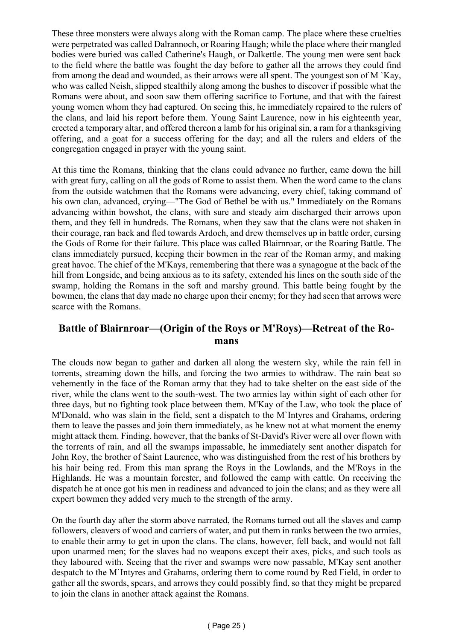These three monsters were always along with the Roman camp. The place where these cruelties were perpetrated was called Dalrannoch, or Roaring Haugh; while the place where their mangled bodies were buried was called Catherine's Haugh, or Dalkettle. The young men were sent back to the field where the battle was fought the day before to gather all the arrows they could find from among the dead and wounded, as their arrows were all spent. The youngest son of M `Kay, who was called Neish, slipped stealthily along among the bushes to discover if possible what the Romans were about, and soon saw them offering sacrifice to Fortune, and that with the fairest young women whom they had captured. On seeing this, he immediately repaired to the rulers of the clans, and laid his report before them. Young Saint Laurence, now in his eighteenth year, erected a temporary altar, and offered thereon a lamb for his original sin, a ram for a thanksgiving offering, and a goat for a success offering for the day; and all the rulers and elders of the congregation engaged in prayer with the young saint.

At this time the Romans, thinking that the clans could advance no further, came down the hill with great fury, calling on all the gods of Rome to assist them. When the word came to the clans from the outside watchmen that the Romans were advancing, every chief, taking command of his own clan, advanced, crying—"The God of Bethel be with us." Immediately on the Romans advancing within bowshot, the clans, with sure and steady aim discharged their arrows upon them, and they fell in hundreds. The Romans, when they saw that the clans were not shaken in their courage, ran back and fled towards Ardoch, and drew themselves up in battle order, cursing the Gods of Rome for their failure. This place was called Blairnroar, or the Roaring Battle. The clans immediately pursued, keeping their bowmen in the rear of the Roman army, and making great havoc. The chief of the M'Kays, remembering that there was a synagogue at the back of the hill from Longside, and being anxious as to its safety, extended his lines on the south side of the swamp, holding the Romans in the soft and marshy ground. This battle being fought by the bowmen, the clans that day made no charge upon their enemy; for they had seen that arrows were scarce with the Romans.

#### **Battle of Blairnroar—(Origin of the Roys or M'Roys)—Retreat of the Romans**

The clouds now began to gather and darken all along the western sky, while the rain fell in torrents, streaming down the hills, and forcing the two armies to withdraw. The rain beat so vehemently in the face of the Roman army that they had to take shelter on the east side of the river, while the clans went to the south-west. The two armies lay within sight of each other for three days, but no fighting took place between them. M'Kay of the Law, who took the place of M'Donald, who was slain in the field, sent a dispatch to the M`Intyres and Grahams, ordering them to leave the passes and join them immediately, as he knew not at what moment the enemy might attack them. Finding, however, that the banks of St-David's River were all over flown with the torrents of rain, and all the swamps impassable, he immediately sent another dispatch for John Roy, the brother of Saint Laurence, who was distinguished from the rest of his brothers by his hair being red. From this man sprang the Roys in the Lowlands, and the M'Roys in the Highlands. He was a mountain forester, and followed the camp with cattle. On receiving the dispatch he at once got his men in readiness and advanced to join the clans; and as they were all expert bowmen they added very much to the strength of the army.

On the fourth day after the storm above narrated, the Romans turned out all the slaves and camp followers, cleavers of wood and carriers of water, and put them in ranks between the two armies, to enable their army to get in upon the clans. The clans, however, fell back, and would not fall upon unarmed men; for the slaves had no weapons except their axes, picks, and such tools as they laboured with. Seeing that the river and swamps were now passable, M'Kay sent another despatch to the M`Intyres and Grahams, ordering them to come round by Red Field, in order to gather all the swords, spears, and arrows they could possibly find, so that they might be prepared to join the clans in another attack against the Romans.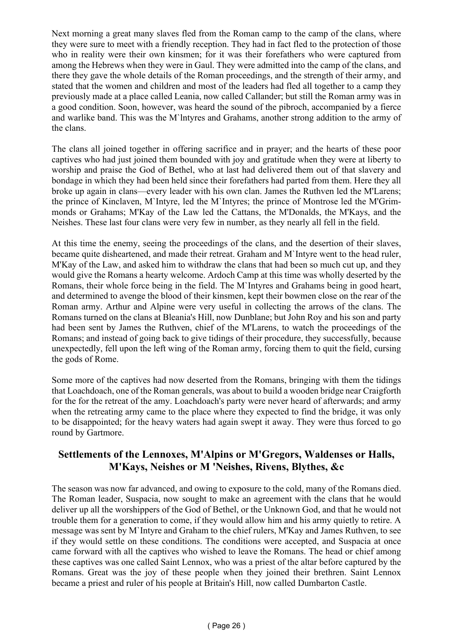Next morning a great many slaves fled from the Roman camp to the camp of the clans, where they were sure to meet with a friendly reception. They had in fact fled to the protection of those who in reality were their own kinsmen; for it was their forefathers who were captured from among the Hebrews when they were in Gaul. They were admitted into the camp of the clans, and there they gave the whole details of the Roman proceedings, and the strength of their army, and stated that the women and children and most of the leaders had fled all together to a camp they previously made at a place called Leania, now called Callander; but still the Roman army was in a good condition. Soon, however, was heard the sound of the pibroch, accompanied by a fierce and warlike band. This was the M`lntyres and Grahams, another strong addition to the army of the clans.

The clans all joined together in offering sacrifice and in prayer; and the hearts of these poor captives who had just joined them bounded with joy and gratitude when they were at liberty to worship and praise the God of Bethel, who at last had delivered them out of that slavery and bondage in which they had been held since their forefathers had parted from them. Here they all broke up again in clans—every leader with his own clan. James the Ruthven led the M'Larens; the prince of Kinclaven, M`Intyre, led the M`Intyres; the prince of Montrose led the M'Grimmonds or Grahams; M'Kay of the Law led the Cattans, the M'Donalds, the M'Kays, and the Neishes. These last four clans were very few in number, as they nearly all fell in the field.

At this time the enemy, seeing the proceedings of the clans, and the desertion of their slaves, became quite disheartened, and made their retreat. Graham and M`Intyre went to the head ruler, M'Kay of the Law, and asked him to withdraw the clans that had been so much cut up, and they would give the Romans a hearty welcome. Ardoch Camp at this time was wholly deserted by the Romans, their whole force being in the field. The M`Intyres and Grahams being in good heart, and determined to avenge the blood of their kinsmen, kept their bowmen close on the rear of the Roman army. Arthur and Alpine were very useful in collecting the arrows of the clans. The Romans turned on the clans at Bleania's Hill, now Dunblane; but John Roy and his son and party had been sent by James the Ruthven, chief of the M'Larens, to watch the proceedings of the Romans; and instead of going back to give tidings of their procedure, they successfully, because unexpectedly, fell upon the left wing of the Roman army, forcing them to quit the field, cursing the gods of Rome.

Some more of the captives had now deserted from the Romans, bringing with them the tidings that Loachdoach, one of the Roman generals, was about to build a wooden bridge near Craigforth for the for the retreat of the amy. Loachdoach's party were never heard of afterwards; and army when the retreating army came to the place where they expected to find the bridge, it was only to be disappointed; for the heavy waters had again swept it away. They were thus forced to go round by Gartmore.

# **Settlements of the Lennoxes, M'Alpins or M'Gregors, Waldenses or Halls, M'Kays, Neishes or M 'Neishes, Rivens, Blythes, &c**

The season was now far advanced, and owing to exposure to the cold, many of the Romans died. The Roman leader, Suspacia, now sought to make an agreement with the clans that he would deliver up all the worshippers of the God of Bethel, or the Unknown God, and that he would not trouble them for a generation to come, if they would allow him and his army quietly to retire. A message was sent by M`Intyre and Graham to the chief rulers, M'Kay and James Ruthven, to see if they would settle on these conditions. The conditions were accepted, and Suspacia at once came forward with all the captives who wished to leave the Romans. The head or chief among these captives was one called Saint Lennox, who was a priest of the altar before captured by the Romans. Great was the joy of these people when they joined their brethren. Saint Lennox became a priest and ruler of his people at Britain's Hill, now called Dumbarton Castle.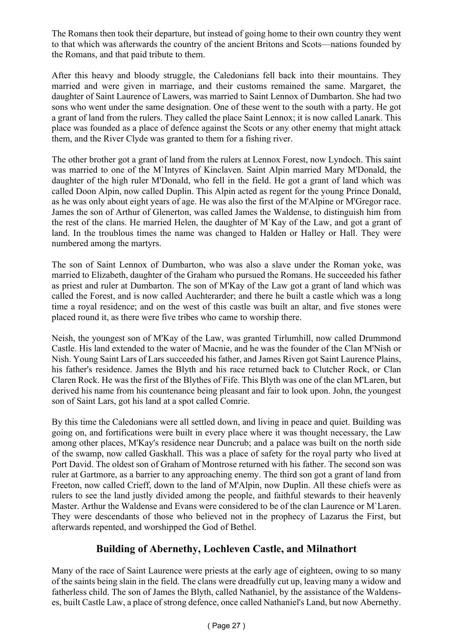The Romans then took their departure, but instead of going home to their own country they went to that which was afterwards the country of the ancient Britons and Scots—nations founded by the Romans, and that paid tribute to them.

After this heavy and bloody struggle, the Caledonians fell back into their mountains. They married and were given in marriage, and their customs remained the same. Margaret, the daughter of Saint Laurence of Lawers, was married to Saint Lennox of Dumbarton. She had two sons who went under the same designation. One of these went to the south with a party. He got a grant of land from the rulers. They called the place Saint Lennox; it is now called Lanark. This place was founded as a place of defence against the Scots or any other enemy that might attack them, and the River Clyde was granted to them for a fishing river.

The other brother got a grant of land from the rulers at Lennox Forest, now Lyndoch. This saint was married to one of the M`Intyres of Kinclaven. Saint Alpin married Mary M'Donald, the daughter of the high ruler M'Donald, who fell in the field. He got a grant of land which was called Doon Alpin, now called Duplin. This Alpin acted as regent for the young Prince Donald, as he was only about eight years of age. He was also the first of the M'Alpine or M'Gregor race. James the son of Arthur of Glenerton, was called James the Waldense, to distinguish him from the rest of the clans. He married Helen, the daughter of M`Kay of the Law, and got a grant of land. In the troublous times the name was changed to Halden or Halley or Hall. They were numbered among the martyrs.

The son of Saint Lennox of Dumbarton, who was also a slave under the Roman yoke, was married to Elizabeth, daughter of the Graham who pursued the Romans. He succeeded his father as priest and ruler at Dumbarton. The son of M'Kay of the Law got a grant of land which was called the Forest, and is now called Auchterarder; and there he built a castle which was a long time a royal residence; and on the west of this castle was built an altar, and five stones were placed round it, as there were five tribes who came to worship there.

Neish, the youngest son of M'Kay of the Law, was granted Tirlumhill, now called Drummond Castle. His land extended to the water of Macnie, and he was the founder of the Clan M'Nish or Nish. Young Saint Lars of Lars succeeded his father, and James Riven got Saint Laurence Plains, his father's residence. James the Blyth and his race returned back to Clutcher Rock, or Clan Claren Rock. He was the first of the Blythes of Fife. This Blyth was one of the clan M'Laren, but derived his name from his countenance being pleasant and fair to look upon. John, the youngest son of Saint Lars, got his land at a spot called Comrie.

By this time the Caledonians were all settled down, and living in peace and quiet. Building was going on, and fortifications were built in every place where it was thought necessary, the Law among other places, M'Kay's residence near Duncrub; and a palace was built on the north side of the swamp, now called Gaskhall. This was a place of safety for the royal party who lived at Port David. The oldest son of Graham of Montrose returned with his father. The second son was ruler at Gartmore, as a barrier to any approaching enemy. The third son got a grant of land from Freeton, now called Crieff, down to the land of M'Alpin, now Duplin. All these chiefs were as rulers to see the land justly divided among the people, and faithful stewards to their heavenly Master. Arthur the Waldense and Evans were considered to be of the clan Laurence or M`Laren. They were descendants of those who believed not in the prophecy of Lazarus the First, but afterwards repented, and worshipped the God of Bethel.

### **Building of Abernethy, Lochleven Castle, and Milnathort**

Many of the race of Saint Laurence were priests at the early age of eighteen, owing to so many of the saints being slain in the field. The clans were dreadfully cut up, leaving many a widow and fatherless child. The son of James the Blyth, called Nathaniel, by the assistance of the Waldenses, built Castle Law, a place of strong defence, once called Nathaniel's Land, but now Abernethy.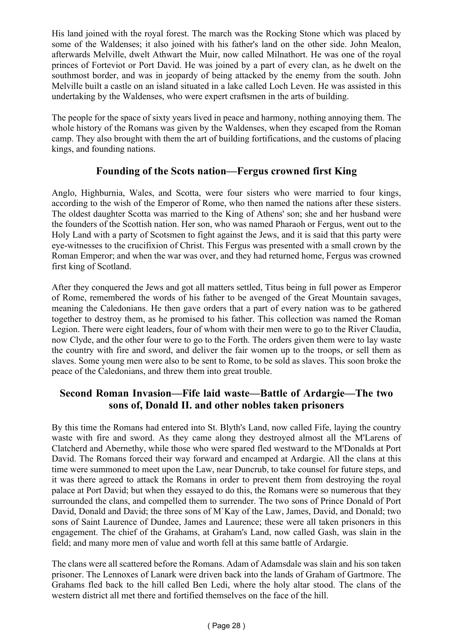His land joined with the royal forest. The march was the Rocking Stone which was placed by some of the Waldenses; it also joined with his father's land on the other side. John Mealon, afterwards Melville, dwelt Athwart the Muir, now called Milnathort. He was one of the royal princes of Forteviot or Port David. He was joined by a part of every clan, as he dwelt on the southmost border, and was in jeopardy of being attacked by the enemy from the south. John Melville built a castle on an island situated in a lake called Loch Leven. He was assisted in this undertaking by the Waldenses, who were expert craftsmen in the arts of building.

The people for the space of sixty years lived in peace and harmony, nothing annoying them. The whole history of the Romans was given by the Waldenses, when they escaped from the Roman camp. They also brought with them the art of building fortifications, and the customs of placing kings, and founding nations.

#### **Founding of the Scots nation—Fergus crowned first King**

Anglo, Highburnia, Wales, and Scotta, were four sisters who were married to four kings, according to the wish of the Emperor of Rome, who then named the nations after these sisters. The oldest daughter Scotta was married to the King of Athens' son; she and her husband were the founders of the Scottish nation. Her son, who was named Pharaoh or Fergus, went out to the Holy Land with a party of Scotsmen to fight against the Jews, and it is said that this party were eye-witnesses to the crucifixion of Christ. This Fergus was presented with a small crown by the Roman Emperor; and when the war was over, and they had returned home, Fergus was crowned first king of Scotland.

After they conquered the Jews and got all matters settled, Titus being in full power as Emperor of Rome, remembered the words of his father to be avenged of the Great Mountain savages, meaning the Caledonians. He then gave orders that a part of every nation was to be gathered together to destroy them, as he promised to his father. This collection was named the Roman Legion. There were eight leaders, four of whom with their men were to go to the River Claudia, now Clyde, and the other four were to go to the Forth. The orders given them were to lay waste the country with fire and sword, and deliver the fair women up to the troops, or sell them as slaves. Some young men were also to be sent to Rome, to be sold as slaves. This soon broke the peace of the Caledonians, and threw them into great trouble.

### **Second Roman Invasion—Fife laid waste—Battle of Ardargie—The two sons of, Donald II. and other nobles taken prisoners**

By this time the Romans had entered into St. Blyth's Land, now called Fife, laying the country waste with fire and sword. As they came along they destroyed almost all the M'Larens of Clatcherd and Abernethy, while those who were spared fled westward to the M'Donalds at Port David. The Romans forced their way forward and encamped at Ardargie. All the clans at this time were summoned to meet upon the Law, near Duncrub, to take counsel for future steps, and it was there agreed to attack the Romans in order to prevent them from destroying the royal palace at Port David; but when they essayed to do this, the Romans were so numerous that they surrounded the clans, and compelled them to surrender. The two sons of Prince Donald of Port David, Donald and David; the three sons of M`Kay of the Law, James, David, and Donald; two sons of Saint Laurence of Dundee, James and Laurence; these were all taken prisoners in this engagement. The chief of the Grahams, at Graham's Land, now called Gash, was slain in the field; and many more men of value and worth fell at this same battle of Ardargie.

The clans were all scattered before the Romans. Adam of Adamsdale was slain and his son taken prisoner. The Lennoxes of Lanark were driven back into the lands of Graham of Gartmore. The Grahams fled back to the hill called Ben Ledi, where the holy altar stood. The clans of the western district all met there and fortified themselves on the face of the hill.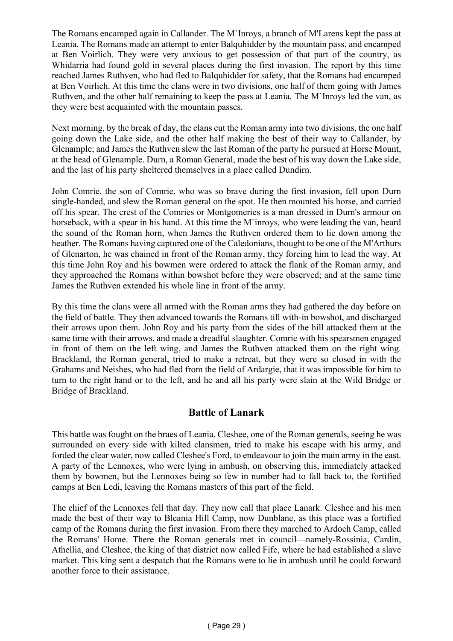The Romans encamped again in Callander. The M`Inroys, a branch of M'Larens kept the pass at Leania. The Romans made an attempt to enter Balquhidder by the mountain pass, and encamped at Ben Voirlich. They were very anxious to get possession of that part of the country, as Whidarria had found gold in several places during the first invasion. The report by this time reached James Ruthven, who had fled to Balquhidder for safety, that the Romans had encamped at Ben Voirlich. At this time the clans were in two divisions, one half of them going with James Ruthven, and the other half remaining to keep the pass at Leania. The M`Inroys led the van, as they were best acquainted with the mountain passes.

Next morning, by the break of day, the clans cut the Roman army into two divisions, the one half going down the Lake side, and the other half making the best of their way to Callander, by Glenample; and James the Ruthven slew the last Roman of the party he pursued at Horse Mount, at the head of Glenample. Durn, a Roman General, made the best of his way down the Lake side, and the last of his party sheltered themselves in a place called Dundirn.

John Comrie, the son of Comrie, who was so brave during the first invasion, fell upon Durn single-handed, and slew the Roman general on the spot. He then mounted his horse, and carried off his spear. The crest of the Comries or Montgomeries is a man dressed in Durn's armour on horseback, with a spear in his hand. At this time the M`inroys, who were leading the van, heard the sound of the Roman horn, when James the Ruthven ordered them to lie down among the heather. The Romans having captured one of the Caledonians, thought to be one of the M'Arthurs of Glenarton, he was chained in front of the Roman army, they forcing him to lead the way. At this time John Roy and his bowmen were ordered to attack the flank of the Roman army, and they approached the Romans within bowshot before they were observed; and at the same time James the Ruthven extended his whole line in front of the army.

By this time the clans were all armed with the Roman arms they had gathered the day before on the field of battle. They then advanced towards the Romans till with-in bowshot, and discharged their arrows upon them. John Roy and his party from the sides of the hill attacked them at the same time with their arrows, and made a dreadful slaughter. Comrie with his spearsmen engaged in front of them on the left wing, and James the Ruthven attacked them on the right wing. Brackland, the Roman general, tried to make a retreat, but they were so closed in with the Grahams and Neishes, who had fled from the field of Ardargie, that it was impossible for him to turn to the right hand or to the left, and he and all his party were slain at the Wild Bridge or Bridge of Brackland.

### **Battle of Lanark**

This battle was fought on the braes of Leania. Cleshee, one of the Roman generals, seeing he was surrounded on every side with kilted clansmen, tried to make his escape with his army, and forded the clear water, now called Cleshee's Ford, to endeavour to join the main army in the east. A party of the Lennoxes, who were lying in ambush, on observing this, immediately attacked them by bowmen, but the Lennoxes being so few in number had to fall back to, the fortified camps at Ben Ledi, leaving the Romans masters of this part of the field.

The chief of the Lennoxes fell that day. They now call that place Lanark. Cleshee and his men made the best of their way to Bleania Hill Camp, now Dunblane, as this place was a fortified camp of the Romans during the first invasion. From there they marched to Ardoch Camp, called the Romans' Home. There the Roman generals met in council—namely-Rossinia, Cardin, Athellia, and Cleshee, the king of that district now called Fife, where he had established a slave market. This king sent a despatch that the Romans were to lie in ambush until he could forward another force to their assistance.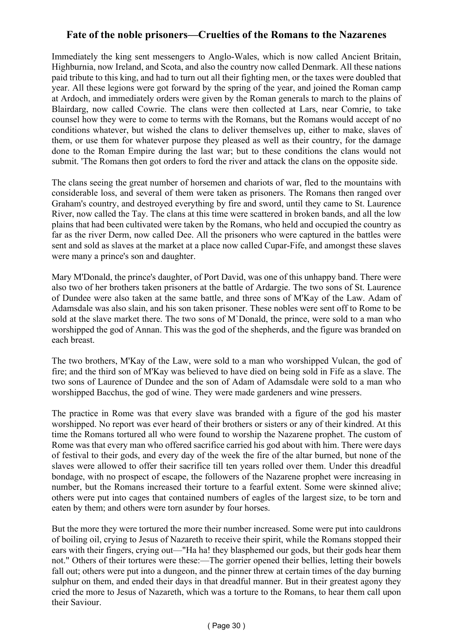# **Fate of the noble prisoners—Cruelties of the Romans to the Nazarenes**

Immediately the king sent messengers to Anglo-Wales, which is now called Ancient Britain, Highburnia, now Ireland, and Scota, and also the country now called Denmark. All these nations paid tribute to this king, and had to turn out all their fighting men, or the taxes were doubled that year. All these legions were got forward by the spring of the year, and joined the Roman camp at Ardoch, and immediately orders were given by the Roman generals to march to the plains of Blairdarg, now called Cowrie. The clans were then collected at Lars, near Comrie, to take counsel how they were to come to terms with the Romans, but the Romans would accept of no conditions whatever, but wished the clans to deliver themselves up, either to make, slaves of them, or use them for whatever purpose they pleased as well as their country, for the damage done to the Roman Empire during the last war; but to these conditions the clans would not submit. 'The Romans then got orders to ford the river and attack the clans on the opposite side.

The clans seeing the great number of horsemen and chariots of war, fled to the mountains with considerable loss, and several of them were taken as prisoners. The Romans then ranged over Graham's country, and destroyed everything by fire and sword, until they came to St. Laurence River, now called the Tay. The clans at this time were scattered in broken bands, and all the low plains that had been cultivated were taken by the Romans, who held and occupied the country as far as the river Derm, now called Dee. All the prisoners who were captured in the battles were sent and sold as slaves at the market at a place now called Cupar-Fife, and amongst these slaves were many a prince's son and daughter.

Mary M'Donald, the prince's daughter, of Port David, was one of this unhappy band. There were also two of her brothers taken prisoners at the battle of Ardargie. The two sons of St. Laurence of Dundee were also taken at the same battle, and three sons of M'Kay of the Law. Adam of Adamsdale was also slain, and his son taken prisoner. These nobles were sent off to Rome to be sold at the slave market there. The two sons of M`Donald, the prince, were sold to a man who worshipped the god of Annan. This was the god of the shepherds, and the figure was branded on each breast.

The two brothers, M'Kay of the Law, were sold to a man who worshipped Vulcan, the god of fire; and the third son of M'Kay was believed to have died on being sold in Fife as a slave. The two sons of Laurence of Dundee and the son of Adam of Adamsdale were sold to a man who worshipped Bacchus, the god of wine. They were made gardeners and wine pressers.

The practice in Rome was that every slave was branded with a figure of the god his master worshipped. No report was ever heard of their brothers or sisters or any of their kindred. At this time the Romans tortured all who were found to worship the Nazarene prophet. The custom of Rome was that every man who offered sacrifice carried his god about with him. There were days of festival to their gods, and every day of the week the fire of the altar burned, but none of the slaves were allowed to offer their sacrifice till ten years rolled over them. Under this dreadful bondage, with no prospect of escape, the followers of the Nazarene prophet were increasing in number, but the Romans increased their torture to a fearful extent. Some were skinned alive; others were put into cages that contained numbers of eagles of the largest size, to be torn and eaten by them; and others were torn asunder by four horses.

But the more they were tortured the more their number increased. Some were put into cauldrons of boiling oil, crying to Jesus of Nazareth to receive their spirit, while the Romans stopped their ears with their fingers, crying out—"Ha ha! they blasphemed our gods, but their gods hear them not." Others of their tortures were these:—The gorrier opened their bellies, letting their bowels fall out; others were put into a dungeon, and the pinner threw at certain times of the day burning sulphur on them, and ended their days in that dreadful manner. But in their greatest agony they cried the more to Jesus of Nazareth, which was a torture to the Romans, to hear them call upon their Saviour.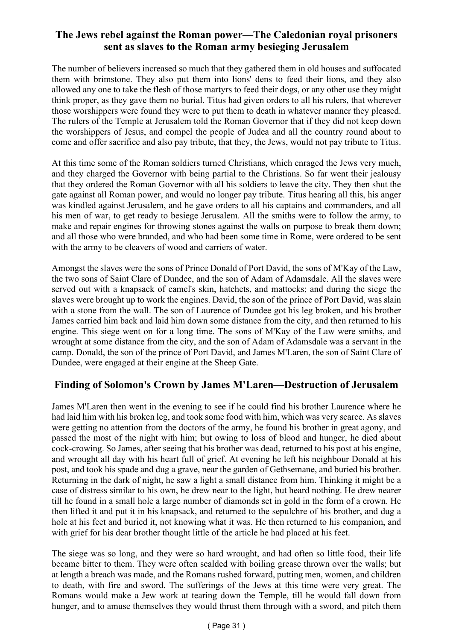# **The Jews rebel against the Roman power—The Caledonian royal prisoners sent as slaves to the Roman army besieging Jerusalem**

The number of believers increased so much that they gathered them in old houses and suffocated them with brimstone. They also put them into lions' dens to feed their lions, and they also allowed any one to take the flesh of those martyrs to feed their dogs, or any other use they might think proper, as they gave them no burial. Titus had given orders to all his rulers, that wherever those worshippers were found they were to put them to death in whatever manner they pleased. The rulers of the Temple at Jerusalem told the Roman Governor that if they did not keep down the worshippers of Jesus, and compel the people of Judea and all the country round about to come and offer sacrifice and also pay tribute, that they, the Jews, would not pay tribute to Titus.

At this time some of the Roman soldiers turned Christians, which enraged the Jews very much, and they charged the Governor with being partial to the Christians. So far went their jealousy that they ordered the Roman Governor with all his soldiers to leave the city. They then shut the gate against all Roman power, and would no longer pay tribute. Titus hearing all this, his anger was kindled against Jerusalem, and he gave orders to all his captains and commanders, and all his men of war, to get ready to besiege Jerusalem. All the smiths were to follow the army, to make and repair engines for throwing stones against the walls on purpose to break them down; and all those who were branded, and who had been some time in Rome, were ordered to be sent with the army to be cleavers of wood and carriers of water.

Amongst the slaves were the sons of Prince Donald of Port David, the sons of M'Kay of the Law, the two sons of Saint Clare of Dundee, and the son of Adam of Adamsdale. All the slaves were served out with a knapsack of camel's skin, hatchets, and mattocks; and during the siege the slaves were brought up to work the engines. David, the son of the prince of Port David, was slain with a stone from the wall. The son of Laurence of Dundee got his leg broken, and his brother James carried him back and laid him down some distance from the city, and then returned to his engine. This siege went on for a long time. The sons of M'Kay of the Law were smiths, and wrought at some distance from the city, and the son of Adam of Adamsdale was a servant in the camp. Donald, the son of the prince of Port David, and James M'Laren, the son of Saint Clare of Dundee, were engaged at their engine at the Sheep Gate.

### **Finding of Solomon's Crown by James M'Laren—Destruction of Jerusalem**

James M'Laren then went in the evening to see if he could find his brother Laurence where he had laid him with his broken leg, and took some food with him, which was very scarce. As slaves were getting no attention from the doctors of the army, he found his brother in great agony, and passed the most of the night with him; but owing to loss of blood and hunger, he died about cock-crowing. So James, after seeing that his brother was dead, returned to his post at his engine, and wrought all day with his heart full of grief. At evening he left his neighbour Donald at his post, and took his spade and dug a grave, near the garden of Gethsemane, and buried his brother. Returning in the dark of night, he saw a light a small distance from him. Thinking it might be a case of distress similar to his own, he drew near to the light, but heard nothing. He drew nearer till he found in a small hole a large number of diamonds set in gold in the form of a crown. He then lifted it and put it in his knapsack, and returned to the sepulchre of his brother, and dug a hole at his feet and buried it, not knowing what it was. He then returned to his companion, and with grief for his dear brother thought little of the article he had placed at his feet.

The siege was so long, and they were so hard wrought, and had often so little food, their life became bitter to them. They were often scalded with boiling grease thrown over the walls; but at length a breach was made, and the Romans rushed forward, putting men, women, and children to death, with fire and sword. The sufferings of the Jews at this time were very great. The Romans would make a Jew work at tearing down the Temple, till he would fall down from hunger, and to amuse themselves they would thrust them through with a sword, and pitch them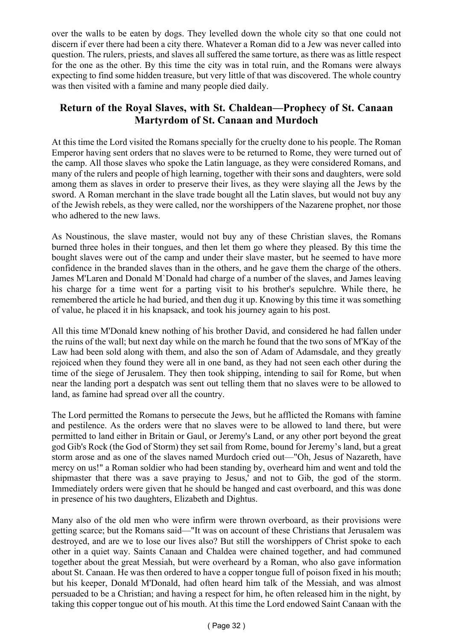over the walls to be eaten by dogs. They levelled down the whole city so that one could not discern if ever there had been a city there. Whatever a Roman did to a Jew was never called into question. The rulers, priests, and slaves all suffered the same torture, as there was as little respect for the one as the other. By this time the city was in total ruin, and the Romans were always expecting to find some hidden treasure, but very little of that was discovered. The whole country was then visited with a famine and many people died daily.

# **Return of the Royal Slaves, with St. Chaldean—Prophecy of St. Canaan Martyrdom of St. Canaan and Murdoch**

At this time the Lord visited the Romans specially for the cruelty done to his people. The Roman Emperor having sent orders that no slaves were to be returned to Rome, they were turned out of the camp. All those slaves who spoke the Latin language, as they were considered Romans, and many of the rulers and people of high learning, together with their sons and daughters, were sold among them as slaves in order to preserve their lives, as they were slaying all the Jews by the sword. A Roman merchant in the slave trade bought all the Latin slaves, but would not buy any of the Jewish rebels, as they were called, nor the worshippers of the Nazarene prophet, nor those who adhered to the new laws.

As Noustinous, the slave master, would not buy any of these Christian slaves, the Romans burned three holes in their tongues, and then let them go where they pleased. By this time the bought slaves were out of the camp and under their slave master, but he seemed to have more confidence in the branded slaves than in the others, and he gave them the charge of the others. James M'Laren and Donald M`Donald had charge of a number of the slaves, and James leaving his charge for a time went for a parting visit to his brother's sepulchre. While there, he remembered the article he had buried, and then dug it up. Knowing by this time it was something of value, he placed it in his knapsack, and took his journey again to his post.

All this time M'Donald knew nothing of his brother David, and considered he had fallen under the ruins of the wall; but next day while on the march he found that the two sons of M'Kay of the Law had been sold along with them, and also the son of Adam of Adamsdale, and they greatly rejoiced when they found they were all in one band, as they had not seen each other during the time of the siege of Jerusalem. They then took shipping, intending to sail for Rome, but when near the landing port a despatch was sent out telling them that no slaves were to be allowed to land, as famine had spread over all the country.

The Lord permitted the Romans to persecute the Jews, but he afflicted the Romans with famine and pestilence. As the orders were that no slaves were to be allowed to land there, but were permitted to land either in Britain or Gaul, or Jeremy's Land, or any other port beyond the great god Gib's Rock (the God of Storm) they set sail from Rome, bound for Jeremy's land, but a great storm arose and as one of the slaves named Murdoch cried out—"Oh, Jesus of Nazareth, have mercy on us!" a Roman soldier who had been standing by, overheard him and went and told the shipmaster that there was a save praying to Jesus,' and not to Gib, the god of the storm. Immediately orders were given that he should be hanged and cast overboard, and this was done in presence of his two daughters, Elizabeth and Dightus.

Many also of the old men who were infirm were thrown overboard, as their provisions were getting scarce; but the Romans said—"It was on account of these Christians that Jerusalem was destroyed, and are we to lose our lives also? But still the worshippers of Christ spoke to each other in a quiet way. Saints Canaan and Chaldea were chained together, and had communed together about the great Messiah, but were overheard by a Roman, who also gave information about St. Canaan. He was then ordered to have a copper tongue full of poison fixed in his mouth; but his keeper, Donald M'Donald, had often heard him talk of the Messiah, and was almost persuaded to be a Christian; and having a respect for him, he often released him in the night, by taking this copper tongue out of his mouth. At this time the Lord endowed Saint Canaan with the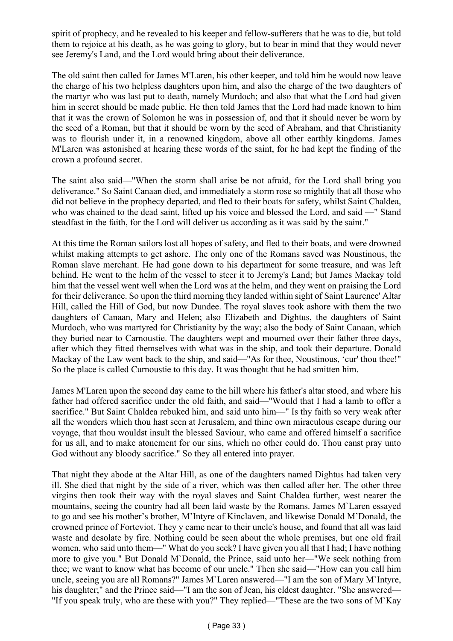spirit of prophecy, and he revealed to his keeper and fellow-sufferers that he was to die, but told them to rejoice at his death, as he was going to glory, but to bear in mind that they would never see Jeremy's Land, and the Lord would bring about their deliverance.

The old saint then called for James M'Laren, his other keeper, and told him he would now leave the charge of his two helpless daughters upon him, and also the charge of the two daughters of the martyr who was last put to death, namely Murdoch; and also that what the Lord had given him in secret should be made public. He then told James that the Lord had made known to him that it was the crown of Solomon he was in possession of, and that it should never be worn by the seed of a Roman, but that it should be worn by the seed of Abraham, and that Christianity was to flourish under it, in a renowned kingdom, above all other earthly kingdoms. James M'Laren was astonished at hearing these words of the saint, for he had kept the finding of the crown a profound secret.

The saint also said—"When the storm shall arise be not afraid, for the Lord shall bring you deliverance." So Saint Canaan died, and immediately a storm rose so mightily that all those who did not believe in the prophecy departed, and fled to their boats for safety, whilst Saint Chaldea, who was chained to the dead saint, lifted up his voice and blessed the Lord, and said —" Stand steadfast in the faith, for the Lord will deliver us according as it was said by the saint."

At this time the Roman sailors lost all hopes of safety, and fled to their boats, and were drowned whilst making attempts to get ashore. The only one of the Romans saved was Noustinous, the Roman slave merchant. He had gone down to his department for some treasure, and was left behind. He went to the helm of the vessel to steer it to Jeremy's Land; but James Mackay told him that the vessel went well when the Lord was at the helm, and they went on praising the Lord for their deliverance. So upon the third morning they landed within sight of Saint Laurence' Altar Hill, called the Hill of God, but now Dundee. The royal slaves took ashore with them the two daughters of Canaan, Mary and Helen; also Elizabeth and Dightus, the daughters of Saint Murdoch, who was martyred for Christianity by the way; also the body of Saint Canaan, which they buried near to Carnoustie. The daughters wept and mourned over their father three days, after which they fitted themselves with what was in the ship, and took their departure. Donald Mackay of the Law went back to the ship, and said—"As for thee, Noustinous, 'cur' thou thee!" So the place is called Curnoustie to this day. It was thought that he had smitten him.

James M'Laren upon the second day came to the hill where his father's altar stood, and where his father had offered sacrifice under the old faith, and said—"Would that I had a lamb to offer a sacrifice." But Saint Chaldea rebuked him, and said unto him—" Is thy faith so very weak after all the wonders which thou hast seen at Jerusalem, and thine own miraculous escape during our voyage, that thou wouldst insult the blessed Saviour, who came and offered himself a sacrifice for us all, and to make atonement for our sins, which no other could do. Thou canst pray unto God without any bloody sacrifice." So they all entered into prayer.

That night they abode at the Altar Hill, as one of the daughters named Dightus had taken very ill. She died that night by the side of a river, which was then called after her. The other three virgins then took their way with the royal slaves and Saint Chaldea further, west nearer the mountains, seeing the country had all been laid waste by the Romans. James M`Laren essayed to go and see his mother's brother, M'Intyre of Kinclaven, and likewise Donald M'Donald, the crowned prince of Forteviot. They y came near to their uncle's house, and found that all was laid waste and desolate by fire. Nothing could be seen about the whole premises, but one old frail women, who said unto them—" What do you seek? I have given you all that I had; I have nothing more to give you." But Donald M`Donald, the Prince, said unto her—"We seek nothing from thee; we want to know what has become of our uncle." Then she said—"How can you call him uncle, seeing you are all Romans?" James M`Laren answered—"I am the son of Mary M`Intyre, his daughter;" and the Prince said—"I am the son of Jean, his eldest daughter. "She answered— "If you speak truly, who are these with you?" They replied—"These are the two sons of M`Kay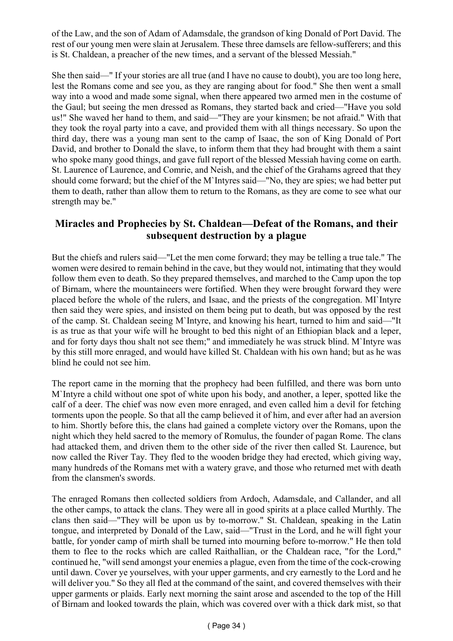of the Law, and the son of Adam of Adamsdale, the grandson of king Donald of Port David. The rest of our young men were slain at Jerusalem. These three damsels are fellow-sufferers; and this is St. Chaldean, a preacher of the new times, and a servant of the blessed Messiah."

She then said—" If your stories are all true (and I have no cause to doubt), you are too long here, lest the Romans come and see you, as they are ranging about for food." She then went a small way into a wood and made some signal, when there appeared two armed men in the costume of the Gaul; but seeing the men dressed as Romans, they started back and cried—"Have you sold us!" She waved her hand to them, and said—"They are your kinsmen; be not afraid." With that they took the royal party into a cave, and provided them with all things necessary. So upon the third day, there was a young man sent to the camp of Isaac, the son of King Donald of Port David, and brother to Donald the slave, to inform them that they had brought with them a saint who spoke many good things, and gave full report of the blessed Messiah having come on earth. St. Laurence of Laurence, and Comrie, and Neish, and the chief of the Grahams agreed that they should come forward; but the chief of the M`Intyres said—"No, they are spies; we had better put them to death, rather than allow them to return to the Romans, as they are come to see what our strength may be."

### **Miracles and Prophecies by St. Chaldean—Defeat of the Romans, and their subsequent destruction by a plague**

But the chiefs and rulers said—"Let the men come forward; they may be telling a true tale." The women were desired to remain behind in the cave, but they would not, intimating that they would follow them even to death. So they prepared themselves, and marched to the Camp upon the top of Birnam, where the mountaineers were fortified. When they were brought forward they were placed before the whole of the rulers, and Isaac, and the priests of the congregation. MI`Intyre then said they were spies, and insisted on them being put to death, but was opposed by the rest of the camp. St. Chaldean seeing M`Intyre, and knowing his heart, turned to him and said—"It is as true as that your wife will he brought to bed this night of an Ethiopian black and a leper, and for forty days thou shalt not see them;" and immediately he was struck blind. M`Intyre was by this still more enraged, and would have killed St. Chaldean with his own hand; but as he was blind he could not see him.

The report came in the morning that the prophecy had been fulfilled, and there was born unto M`Intyre a child without one spot of white upon his body, and another, a leper, spotted like the calf of a deer. The chief was now even more enraged, and even called him a devil for fetching torments upon the people. So that all the camp believed it of him, and ever after had an aversion to him. Shortly before this, the clans had gained a complete victory over the Romans, upon the night which they held sacred to the memory of Romulus, the founder of pagan Rome. The clans had attacked them, and driven them to the other side of the river then called St. Laurence, but now called the River Tay. They fled to the wooden bridge they had erected, which giving way, many hundreds of the Romans met with a watery grave, and those who returned met with death from the clansmen's swords.

The enraged Romans then collected soldiers from Ardoch, Adamsdale, and Callander, and all the other camps, to attack the clans. They were all in good spirits at a place called Murthly. The clans then said—"They will be upon us by to-morrow." St. Chaldean, speaking in the Latin tongue, and interpreted by Donald of the Law, said—"Trust in the Lord, and he will fight your battle, for yonder camp of mirth shall be turned into mourning before to-morrow." He then told them to flee to the rocks which are called Raithallian, or the Chaldean race, "for the Lord," continued he, "will send amongst your enemies a plague, even from the time of the cock-crowing until dawn. Cover ye yourselves, with your upper garments, and cry earnestly to the Lord and he will deliver you." So they all fled at the command of the saint, and covered themselves with their upper garments or plaids. Early next morning the saint arose and ascended to the top of the Hill of Birnam and looked towards the plain, which was covered over with a thick dark mist, so that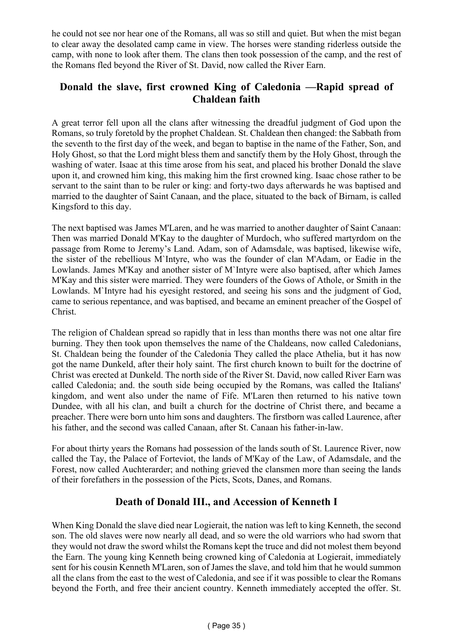he could not see nor hear one of the Romans, all was so still and quiet. But when the mist began to clear away the desolated camp came in view. The horses were standing riderless outside the camp, with none to look after them. The clans then took possession of the camp, and the rest of the Romans fled beyond the River of St. David, now called the River Earn.

# **Donald the slave, first crowned King of Caledonia —Rapid spread of Chaldean faith**

A great terror fell upon all the clans after witnessing the dreadful judgment of God upon the Romans, so truly foretold by the prophet Chaldean. St. Chaldean then changed: the Sabbath from the seventh to the first day of the week, and began to baptise in the name of the Father, Son, and Holy Ghost, so that the Lord might bless them and sanctify them by the Holy Ghost, through the washing of water. Isaac at this time arose from his seat, and placed his brother Donald the slave upon it, and crowned him king, this making him the first crowned king. Isaac chose rather to be servant to the saint than to be ruler or king: and forty-two days afterwards he was baptised and married to the daughter of Saint Canaan, and the place, situated to the back of Birnam, is called Kingsford to this day.

The next baptised was James M'Laren, and he was married to another daughter of Saint Canaan: Then was married Donald M'Kay to the daughter of Murdoch, who suffered martyrdom on the passage from Rome to Jeremy's Land. Adam, son of Adamsdale, was baptised, likewise wife, the sister of the rebellious M`Intyre, who was the founder of clan M'Adam, or Eadie in the Lowlands. James M'Kay and another sister of M`Intyre were also baptised, after which James M'Kay and this sister were married. They were founders of the Gows of Athole, or Smith in the Lowlands. M`Intyre had his eyesight restored, and seeing his sons and the judgment of God, came to serious repentance, and was baptised, and became an eminent preacher of the Gospel of Christ.

The religion of Chaldean spread so rapidly that in less than months there was not one altar fire burning. They then took upon themselves the name of the Chaldeans, now called Caledonians, St. Chaldean being the founder of the Caledonia They called the place Athelia, but it has now got the name Dunkeld, after their holy saint. The first church known to built for the doctrine of Christ was erected at Dunkeld. The north side of the River St. David, now called River Earn was called Caledonia; and. the south side being occupied by the Romans, was called the Italians' kingdom, and went also under the name of Fife. M'Laren then returned to his native town Dundee, with all his clan, and built a church for the doctrine of Christ there, and became a preacher. There were born unto him sons and daughters. The firstborn was called Laurence, after his father, and the second was called Canaan, after St. Canaan his father-in-law.

For about thirty years the Romans had possession of the lands south of St. Laurence River, now called the Tay, the Palace of Forteviot, the lands of M'Kay of the Law, of Adamsdale, and the Forest, now called Auchterarder; and nothing grieved the clansmen more than seeing the lands of their forefathers in the possession of the Picts, Scots, Danes, and Romans.

# **Death of Donald III., and Accession of Kenneth I**

When King Donald the slave died near Logierait, the nation was left to king Kenneth, the second son. The old slaves were now nearly all dead, and so were the old warriors who had sworn that they would not draw the sword whilst the Romans kept the truce and did not molest them beyond the Earn. The young king Kenneth being crowned king of Caledonia at Logierait, immediately sent for his cousin Kenneth M'Laren, son of James the slave, and told him that he would summon all the clans from the east to the west of Caledonia, and see if it was possible to clear the Romans beyond the Forth, and free their ancient country. Kenneth immediately accepted the offer. St.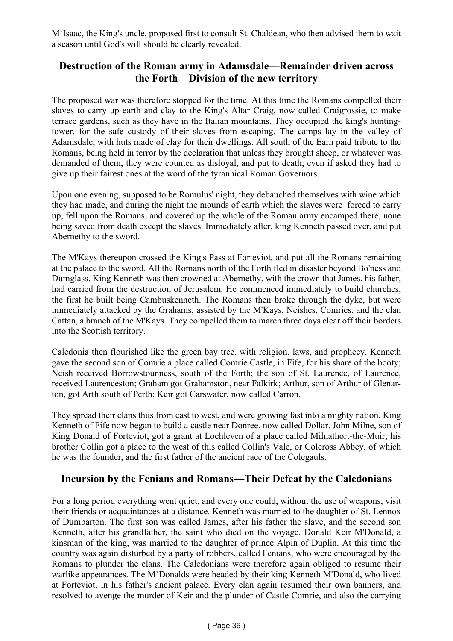M`Isaac, the King's uncle, proposed first to consult St. Chaldean, who then advised them to wait a season until God's will should be clearly revealed.

#### **Destruction of the Roman army in Adamsdale—Remainder driven across the Forth—Division of the new territory**

The proposed war was therefore stopped for the time. At this time the Romans compelled their slaves to carry up earth and clay to the King's Altar Craig, now called Craigrossie, to make terrace gardens, such as they have in the Italian mountains. They occupied the king's huntingtower, for the safe custody of their slaves from escaping. The camps lay in the valley of Adamsdale, with huts made of clay for their dwellings. All south of the Earn paid tribute to the Romans, being held in terror by the declaration that unless they brought sheep, or whatever was demanded of them, they were counted as disloyal, and put to death; even if asked they had to give up their fairest ones at the word of the tyrannical Roman Governors.

Upon one evening, supposed to be Romulus' night, they debauched themselves with wine which they had made, and during the night the mounds of earth which the slaves were forced to carry up, fell upon the Romans, and covered up the whole of the Roman army encamped there, none being saved from death except the slaves. Immediately after, king Kenneth passed over, and put Abernethy to the sword.

The M'Kays thereupon crossed the King's Pass at Forteviot, and put all the Romans remaining at the palace to the sword. All the Romans north of the Forth fled in disaster beyond Bo'ness and Dumglass. King Kenneth was then crowned at Abernethy, with the crown that James, his father, had carried from the destruction of Jerusalem. He commenced immediately to build churches, the first he built being Cambuskenneth. The Romans then broke through the dyke, but were immediately attacked by the Grahams, assisted by the M'Kays, Neishes, Comries, and the clan Cattan, a branch of the M'Kays. They compelled them to march three days clear off their borders into the Scottish territory.

Caledonia then flourished like the green bay tree, with religion, laws, and prophecy. Kenneth gave the second son of Comrie a place called Comrie Castle, in Fife, for his share of the booty; Neish received Borrowstounness, south of the Forth; the son of St. Laurence, of Laurence, received Laurenceston; Graham got Grahamston, near Falkirk; Arthur, son of Arthur of Glenarton, got Arth south of Perth; Keir got Carswater, now called Carron.

They spread their clans thus from east to west, and were growing fast into a mighty nation. King Kenneth of Fife now began to build a castle near Donree, now called Dollar. John Milne, son of King Donald of Forteviot, got a grant at Lochleven of a place called Milnathort-the-Muir; his brother Collin got a place to the west of this called Collin's Vale, or Coleross Abbey, of which he was the founder, and the first father of the ancient race of the Colegauls.

#### **Incursion by the Fenians and Romans—Their Defeat by the Caledonians**

For a long period everything went quiet, and every one could, without the use of weapons, visit their friends or acquaintances at a distance. Kenneth was married to the daughter of St. Lennox of Dumbarton. The first son was called James, after his father the slave, and the second son Kenneth, after his grandfather, the saint who died on the voyage. Donald Keir M'Donald, a kinsman of the king, was married to the daughter of prince Alpin of Duplin. At this time the country was again disturbed by a party of robbers, called Fenians, who were encouraged by the Romans to plunder the clans. The Caledonians were therefore again obliged to resume their warlike appearances. The M`Donalds were headed by their king Kenneth M'Donald, who lived at Forteviot, in his father's ancient palace. Every clan again resumed their own banners, and resolved to avenge the murder of Keir and the plunder of Castle Comrie, and also the carrying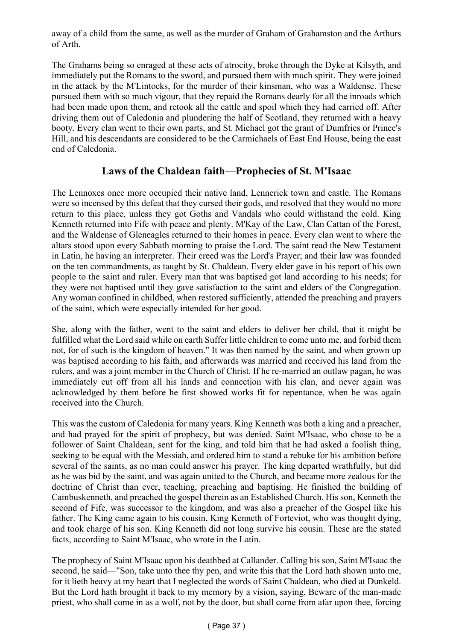away of a child from the same, as well as the murder of Graham of Grahamston and the Arthurs of Arth.

The Grahams being so enraged at these acts of atrocity, broke through the Dyke at Kilsyth, and immediately put the Romans to the sword, and pursued them with much spirit. They were joined in the attack by the M'Lintocks, for the murder of their kinsman, who was a Waldense. These pursued them with so much vigour, that they repaid the Romans dearly for all the inroads which had been made upon them, and retook all the cattle and spoil which they had carried off. After driving them out of Caledonia and plundering the half of Scotland, they returned with a heavy booty. Every clan went to their own parts, and St. Michael got the grant of Dumfries or Prince's Hill, and his descendants are considered to be the Carmichaels of East End House, being the east end of Caledonia.

### **Laws of the Chaldean faith—Prophecies of St. M'Isaac**

The Lennoxes once more occupied their native land, Lennerick town and castle. The Romans were so incensed by this defeat that they cursed their gods, and resolved that they would no more return to this place, unless they got Goths and Vandals who could withstand the cold. King Kenneth returned into Fife with peace and plenty. M'Kay of the Law, Clan Cattan of the Forest, and the Waldense of Gleneagles returned to their homes in peace. Every clan went to where the altars stood upon every Sabbath morning to praise the Lord. The saint read the New Testament in Latin, he having an interpreter. Their creed was the Lord's Prayer; and their law was founded on the ten commandments, as taught by St. Chaldean. Every elder gave in his report of his own people to the saint and ruler. Every man that was baptised got land according to his needs; for they were not baptised until they gave satisfaction to the saint and elders of the Congregation. Any woman confined in childbed, when restored sufficiently, attended the preaching and prayers of the saint, which were especially intended for her good.

She, along with the father, went to the saint and elders to deliver her child, that it might be fulfilled what the Lord said while on earth Suffer little children to come unto me, and forbid them not, for of such is the kingdom of heaven." It was then named by the saint, and when grown up was baptised according to his faith, and afterwards was married and received his land from the rulers, and was a joint member in the Church of Christ. If he re-married an outlaw pagan, he was immediately cut off from all his lands and connection with his clan, and never again was acknowledged by them before he first showed works fit for repentance, when he was again received into the Church.

This was the custom of Caledonia for many years. King Kenneth was both a king and a preacher, and had prayed for the spirit of prophecy, but was denied. Saint M'Isaac, who chose to be a follower of Saint Chaldean, sent for the king, and told him that he had asked a foolish thing, seeking to be equal with the Messiah, and ordered him to stand a rebuke for his ambition before several of the saints, as no man could answer his prayer. The king departed wrathfully, but did as he was bid by the saint, and was again united to the Church, and became more zealous for the doctrine of Christ than ever, teaching, preaching and baptising. He finished the building of Cambuskenneth, and preached the gospel therein as an Established Church. His son, Kenneth the second of Fife, was successor to the kingdom, and was also a preacher of the Gospel like his father. The King came again to his cousin, King Kenneth of Forteviot, who was thought dying, and took charge of his son. King Kenneth did not long survive his cousin. These are the stated facts, according to Saint M'Isaac, who wrote in the Latin.

The prophecy of Saint M'Isaac upon his deathbed at Callander. Calling his son, Saint M'Isaac the second, he said—"Son, take unto thee thy pen, and write this that the Lord hath shown unto me, for it lieth heavy at my heart that I neglected the words of Saint Chaldean, who died at Dunkeld. But the Lord hath brought it back to my memory by a vision, saying, Beware of the man-made priest, who shall come in as a wolf, not by the door, but shall come from afar upon thee, forcing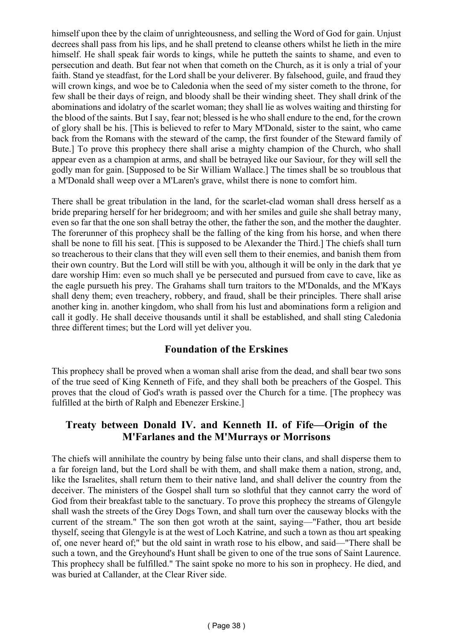himself upon thee by the claim of unrighteousness, and selling the Word of God for gain. Unjust decrees shall pass from his lips, and he shall pretend to cleanse others whilst he lieth in the mire himself. He shall speak fair words to kings, while he putteth the saints to shame, and even to persecution and death. But fear not when that cometh on the Church, as it is only a trial of your faith. Stand ye steadfast, for the Lord shall be your deliverer. By falsehood, guile, and fraud they will crown kings, and woe be to Caledonia when the seed of my sister cometh to the throne, for few shall be their days of reign, and bloody shall be their winding sheet. They shall drink of the abominations and idolatry of the scarlet woman; they shall lie as wolves waiting and thirsting for the blood of the saints. But I say, fear not; blessed is he who shall endure to the end, for the crown of glory shall be his. [This is believed to refer to Mary M'Donald, sister to the saint, who came back from the Romans with the steward of the camp, the first founder of the Steward family of Bute.] To prove this prophecy there shall arise a mighty champion of the Church, who shall appear even as a champion at arms, and shall be betrayed like our Saviour, for they will sell the godly man for gain. [Supposed to be Sir William Wallace.] The times shall be so troublous that a M'Donald shall weep over a M'Laren's grave, whilst there is none to comfort him.

There shall be great tribulation in the land, for the scarlet-clad woman shall dress herself as a bride preparing herself for her bridegroom; and with her smiles and guile she shall betray many, even so far that the one son shall betray the other, the father the son, and the mother the daughter. The forerunner of this prophecy shall be the falling of the king from his horse, and when there shall be none to fill his seat. [This is supposed to be Alexander the Third.] The chiefs shall turn so treacherous to their clans that they will even sell them to their enemies, and banish them from their own country. But the Lord will still be with you, although it will be only in the dark that ye dare worship Him: even so much shall ye be persecuted and pursued from cave to cave, like as the eagle pursueth his prey. The Grahams shall turn traitors to the M'Donalds, and the M'Kays shall deny them; even treachery, robbery, and fraud, shall be their principles. There shall arise another king in. another kingdom, who shall from his lust and abominations form a religion and call it godly. He shall deceive thousands until it shall be established, and shall sting Caledonia three different times; but the Lord will yet deliver you.

### **Foundation of the Erskines**

This prophecy shall be proved when a woman shall arise from the dead, and shall bear two sons of the true seed of King Kenneth of Fife, and they shall both be preachers of the Gospel. This proves that the cloud of God's wrath is passed over the Church for a time. [The prophecy was fulfilled at the birth of Ralph and Ebenezer Erskine.]

### **Treaty between Donald IV. and Kenneth II. of Fife—Origin of the M'Farlanes and the M'Murrays or Morrisons**

The chiefs will annihilate the country by being false unto their clans, and shall disperse them to a far foreign land, but the Lord shall be with them, and shall make them a nation, strong, and, like the Israelites, shall return them to their native land, and shall deliver the country from the deceiver. The ministers of the Gospel shall turn so slothful that they cannot carry the word of God from their breakfast table to the sanctuary. To prove this prophecy the streams of Glengyle shall wash the streets of the Grey Dogs Town, and shall turn over the causeway blocks with the current of the stream." The son then got wroth at the saint, saying—"Father, thou art beside thyself, seeing that Glengyle is at the west of Loch Katrine, and such a town as thou art speaking of, one never heard of;" but the old saint in wrath rose to his elbow, and said—"There shall be such a town, and the Greyhound's Hunt shall be given to one of the true sons of Saint Laurence. This prophecy shall be fulfilled." The saint spoke no more to his son in prophecy. He died, and was buried at Callander, at the Clear River side.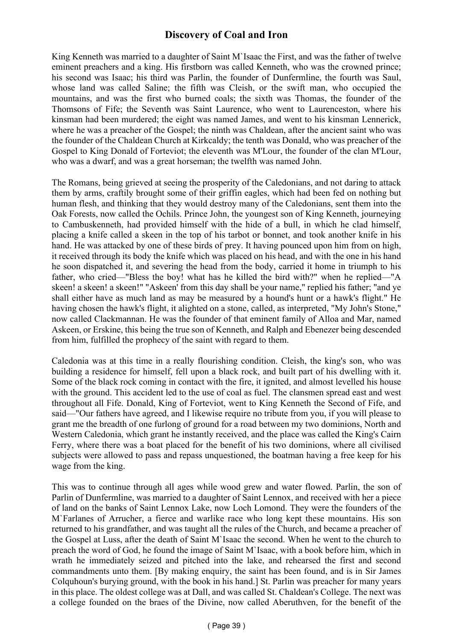# **Discovery of Coal and Iron**

King Kenneth was married to a daughter of Saint M'Isaac the First, and was the father of twelve eminent preachers and a king. His firstborn was called Kenneth, who was the crowned prince; his second was Isaac; his third was Parlin, the founder of Dunfermline, the fourth was Saul, whose land was called Saline; the fifth was Cleish, or the swift man, who occupied the mountains, and was the first who burned coals; the sixth was Thomas, the founder of the Thomsons of Fife; the Seventh was Saint Laurence, who went to Laurenceston, where his kinsman had been murdered; the eight was named James, and went to his kinsman Lennerick, where he was a preacher of the Gospel; the ninth was Chaldean, after the ancient saint who was the founder of the Chaldean Church at Kirkcaldy; the tenth was Donald, who was preacher of the Gospel to King Donald of Forteviot; the eleventh was M'Lour, the founder of the clan M'Lour, who was a dwarf, and was a great horseman; the twelfth was named John.

The Romans, being grieved at seeing the prosperity of the Caledonians, and not daring to attack them by arms, craftily brought some of their griffin eagles, which had been fed on nothing but human flesh, and thinking that they would destroy many of the Caledonians, sent them into the Oak Forests, now called the Ochils. Prince John, the youngest son of King Kenneth, journeying to Cambuskenneth, had provided himself with the hide of a bull, in which he clad himself, placing a knife called a skeen in the top of his tarbot or bonnet, and took another knife in his hand. He was attacked by one of these birds of prey. It having pounced upon him from on high, it received through its body the knife which was placed on his head, and with the one in his hand he soon dispatched it, and severing the head from the body, carried it home in triumph to his father, who cried—"Bless the boy! what has he killed the bird with?" when he replied—"A skeen! a skeen! a skeen!" "Askeen' from this day shall be your name," replied his father; "and ye shall either have as much land as may be measured by a hound's hunt or a hawk's flight." He having chosen the hawk's flight, it alighted on a stone, called, as interpreted, "My John's Stone," now called Clackmannan. He was the founder of that eminent family of Alloa and Mar, named Askeen, or Erskine, this being the true son of Kenneth, and Ralph and Ebenezer being descended from him, fulfilled the prophecy of the saint with regard to them.

Caledonia was at this time in a really flourishing condition. Cleish, the king's son, who was building a residence for himself, fell upon a black rock, and built part of his dwelling with it. Some of the black rock coming in contact with the fire, it ignited, and almost levelled his house with the ground. This accident led to the use of coal as fuel. The clansmen spread east and west throughout all Fife. Donald, King of Forteviot, went to King Kenneth the Second of Fife, and said—"Our fathers have agreed, and I likewise require no tribute from you, if you will please to grant me the breadth of one furlong of ground for a road between my two dominions, North and Western Caledonia, which grant he instantly received, and the place was called the King's Cairn Ferry, where there was a boat placed for the benefit of his two dominions, where all civilised subjects were allowed to pass and repass unquestioned, the boatman having a free keep for his wage from the king.

This was to continue through all ages while wood grew and water flowed. Parlin, the son of Parlin of Dunfermline, was married to a daughter of Saint Lennox, and received with her a piece of land on the banks of Saint Lennox Lake, now Loch Lomond. They were the founders of the M`Farlanes of Arrucher, a fierce and warlike race who long kept these mountains. His son returned to his grandfather, and was taught all the rules of the Church, and became a preacher of the Gospel at Luss, after the death of Saint M`Isaac the second. When he went to the church to preach the word of God, he found the image of Saint M`Isaac, with a book before him, which in wrath he immediately seized and pitched into the lake, and rehearsed the first and second commandments unto them. [By making enquiry, the saint has been found, and is in Sir James Colquhoun's burying ground, with the book in his hand.] St. Parlin was preacher for many years in this place. The oldest college was at Dall, and was called St. Chaldean's College. The next was a college founded on the braes of the Divine, now called Aberuthven, for the benefit of the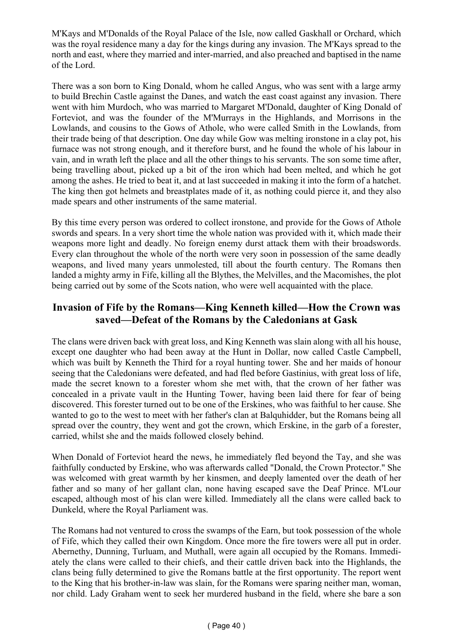M'Kays and M'Donalds of the Royal Palace of the Isle, now called Gaskhall or Orchard, which was the royal residence many a day for the kings during any invasion. The M'Kays spread to the north and east, where they married and inter-married, and also preached and baptised in the name of the Lord.

There was a son born to King Donald, whom he called Angus, who was sent with a large army to build Brechin Castle against the Danes, and watch the east coast against any invasion. There went with him Murdoch, who was married to Margaret M'Donald, daughter of King Donald of Forteviot, and was the founder of the M'Murrays in the Highlands, and Morrisons in the Lowlands, and cousins to the Gows of Athole, who were called Smith in the Lowlands, from their trade being of that description. One day while Gow was melting ironstone in a clay pot, his furnace was not strong enough, and it therefore burst, and he found the whole of his labour in vain, and in wrath left the place and all the other things to his servants. The son some time after, being travelling about, picked up a bit of the iron which had been melted, and which he got among the ashes. He tried to beat it, and at last succeeded in making it into the form of a hatchet. The king then got helmets and breastplates made of it, as nothing could pierce it, and they also made spears and other instruments of the same material.

By this time every person was ordered to collect ironstone, and provide for the Gows of Athole swords and spears. In a very short time the whole nation was provided with it, which made their weapons more light and deadly. No foreign enemy durst attack them with their broadswords. Every clan throughout the whole of the north were very soon in possession of the same deadly weapons, and lived many years unmolested, till about the fourth century. The Romans then landed a mighty army in Fife, killing all the Blythes, the Melvilles, and the Macomishes, the plot being carried out by some of the Scots nation, who were well acquainted with the place.

### **Invasion of Fife by the Romans—King Kenneth killed—How the Crown was saved—Defeat of the Romans by the Caledonians at Gask**

The clans were driven back with great loss, and King Kenneth was slain along with all his house, except one daughter who had been away at the Hunt in Dollar, now called Castle Campbell, which was built by Kenneth the Third for a royal hunting tower. She and her maids of honour seeing that the Caledonians were defeated, and had fled before Gastinius, with great loss of life, made the secret known to a forester whom she met with, that the crown of her father was concealed in a private vault in the Hunting Tower, having been laid there for fear of being discovered. This forester turned out to be one of the Erskines, who was faithful to her cause. She wanted to go to the west to meet with her father's clan at Balquhidder, but the Romans being all spread over the country, they went and got the crown, which Erskine, in the garb of a forester, carried, whilst she and the maids followed closely behind.

When Donald of Forteviot heard the news, he immediately fled beyond the Tay, and she was faithfully conducted by Erskine, who was afterwards called "Donald, the Crown Protector." She was welcomed with great warmth by her kinsmen, and deeply lamented over the death of her father and so many of her gallant clan, none having escaped save the Deaf Prince. M'Lour escaped, although most of his clan were killed. Immediately all the clans were called back to Dunkeld, where the Royal Parliament was.

The Romans had not ventured to cross the swamps of the Earn, but took possession of the whole of Fife, which they called their own Kingdom. Once more the fire towers were all put in order. Abernethy, Dunning, Turluam, and Muthall, were again all occupied by the Romans. Immediately the clans were called to their chiefs, and their cattle driven back into the Highlands, the clans being fully determined to give the Romans battle at the first opportunity. The report went to the King that his brother-in-law was slain, for the Romans were sparing neither man, woman, nor child. Lady Graham went to seek her murdered husband in the field, where she bare a son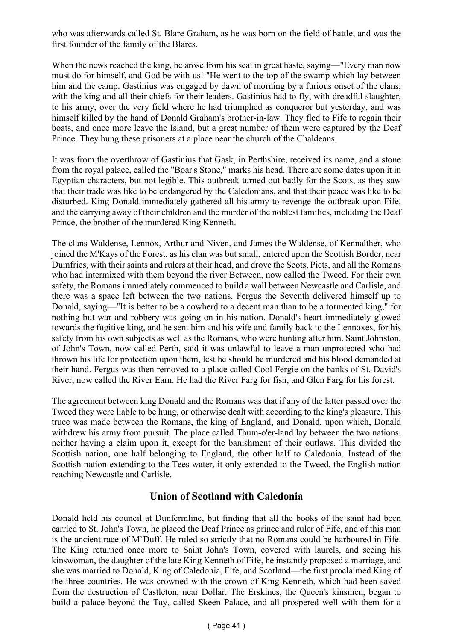who was afterwards called St. Blare Graham, as he was born on the field of battle, and was the first founder of the family of the Blares.

When the news reached the king, he arose from his seat in great haste, saying—"Every man now must do for himself, and God be with us! "He went to the top of the swamp which lay between him and the camp. Gastinius was engaged by dawn of morning by a furious onset of the clans, with the king and all their chiefs for their leaders. Gastinius had to fly, with dreadful slaughter, to his army, over the very field where he had triumphed as conqueror but yesterday, and was himself killed by the hand of Donald Graham's brother-in-law. They fled to Fife to regain their boats, and once more leave the Island, but a great number of them were captured by the Deaf Prince. They hung these prisoners at a place near the church of the Chaldeans.

It was from the overthrow of Gastinius that Gask, in Perthshire, received its name, and a stone from the royal palace, called the "Boar's Stone," marks his head. There are some dates upon it in Egyptian characters, but not legible. This outbreak turned out badly for the Scots, as they saw that their trade was like to be endangered by the Caledonians, and that their peace was like to be disturbed. King Donald immediately gathered all his army to revenge the outbreak upon Fife, and the carrying away of their children and the murder of the noblest families, including the Deaf Prince, the brother of the murdered King Kenneth.

The clans Waldense, Lennox, Arthur and Niven, and James the Waldense, of Kennalther, who joined the M'Kays of the Forest, as his clan was but small, entered upon the Scottish Border, near Dumfries, with their saints and rulers at their head, and drove the Scots, Picts, and all the Romans who had intermixed with them beyond the river Between, now called the Tweed. For their own safety, the Romans immediately commenced to build a wall between Newcastle and Carlisle, and there was a space left between the two nations. Fergus the Seventh delivered himself up to Donald, saying—"It is better to be a cowherd to a decent man than to be a tormented king," for nothing but war and robbery was going on in his nation. Donald's heart immediately glowed towards the fugitive king, and he sent him and his wife and family back to the Lennoxes, for his safety from his own subjects as well as the Romans, who were hunting after him. Saint Johnston, of John's Town, now called Perth, said it was unlawful to leave a man unprotected who had thrown his life for protection upon them, lest he should be murdered and his blood demanded at their hand. Fergus was then removed to a place called Cool Fergie on the banks of St. David's River, now called the River Earn. He had the River Farg for fish, and Glen Farg for his forest.

The agreement between king Donald and the Romans was that if any of the latter passed over the Tweed they were liable to be hung, or otherwise dealt with according to the king's pleasure. This truce was made between the Romans, the king of England, and Donald, upon which, Donald withdrew his army from pursuit. The place called Thum-o'er-land lay between the two nations, neither having a claim upon it, except for the banishment of their outlaws. This divided the Scottish nation, one half belonging to England, the other half to Caledonia. Instead of the Scottish nation extending to the Tees water, it only extended to the Tweed, the English nation reaching Newcastle and Carlisle.

### **Union of Scotland with Caledonia**

Donald held his council at Dunfermline, but finding that all the books of the saint had been carried to St. John's Town, he placed the Deaf Prince as prince and ruler of Fife, and of this man is the ancient race of M`Duff. He ruled so strictly that no Romans could be harboured in Fife. The King returned once more to Saint John's Town, covered with laurels, and seeing his kinswoman, the daughter of the late King Kenneth of Fife, he instantly proposed a marriage, and she was married to Donald, King of Caledonia, Fife, and Scotland—the first proclaimed King of the three countries. He was crowned with the crown of King Kenneth, which had been saved from the destruction of Castleton, near Dollar. The Erskines, the Queen's kinsmen, began to build a palace beyond the Tay, called Skeen Palace, and all prospered well with them for a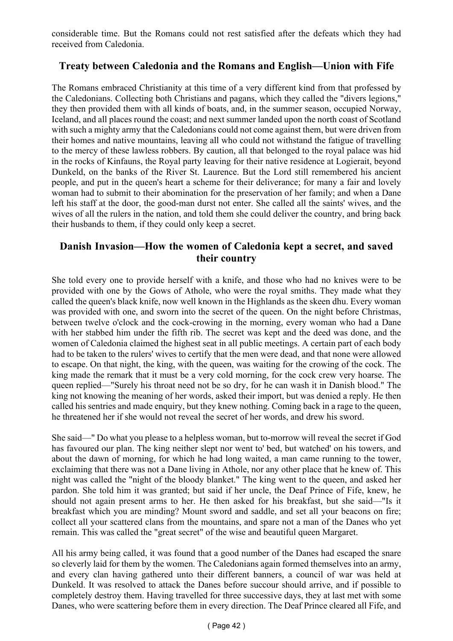considerable time. But the Romans could not rest satisfied after the defeats which they had received from Caledonia.

### **Treaty between Caledonia and the Romans and English—Union with Fife**

The Romans embraced Christianity at this time of a very different kind from that professed by the Caledonians. Collecting both Christians and pagans, which they called the "divers legions," they then provided them with all kinds of boats, and, in the summer season, occupied Norway, Iceland, and all places round the coast; and next summer landed upon the north coast of Scotland with such a mighty army that the Caledonians could not come against them, but were driven from their homes and native mountains, leaving all who could not withstand the fatigue of travelling to the mercy of these lawless robbers. By caution, all that belonged to the royal palace was hid in the rocks of Kinfauns, the Royal party leaving for their native residence at Logierait, beyond Dunkeld, on the banks of the River St. Laurence. But the Lord still remembered his ancient people, and put in the queen's heart a scheme for their deliverance; for many a fair and lovely woman had to submit to their abomination for the preservation of her family; and when a Dane left his staff at the door, the good-man durst not enter. She called all the saints' wives, and the wives of all the rulers in the nation, and told them she could deliver the country, and bring back their husbands to them, if they could only keep a secret.

### **Danish Invasion—How the women of Caledonia kept a secret, and saved their country**

She told every one to provide herself with a knife, and those who had no knives were to be provided with one by the Gows of Athole, who were the royal smiths. They made what they called the queen's black knife, now well known in the Highlands as the skeen dhu. Every woman was provided with one, and sworn into the secret of the queen. On the night before Christmas, between twelve o'clock and the cock-crowing in the morning, every woman who had a Dane with her stabbed him under the fifth rib. The secret was kept and the deed was done, and the women of Caledonia claimed the highest seat in all public meetings. A certain part of each body had to be taken to the rulers' wives to certify that the men were dead, and that none were allowed to escape. On that night, the king, with the queen, was waiting for the crowing of the cock. The king made the remark that it must be a very cold morning, for the cock crew very hoarse. The queen replied—"Surely his throat need not be so dry, for he can wash it in Danish blood." The king not knowing the meaning of her words, asked their import, but was denied a reply. He then called his sentries and made enquiry, but they knew nothing. Coming back in a rage to the queen, he threatened her if she would not reveal the secret of her words, and drew his sword.

She said—" Do what you please to a helpless woman, but to-morrow will reveal the secret if God has favoured our plan. The king neither slept nor went to' bed, but watched' on his towers, and about the dawn of morning, for which he had long waited, a man came running to the tower, exclaiming that there was not a Dane living in Athole, nor any other place that he knew of. This night was called the "night of the bloody blanket." The king went to the queen, and asked her pardon. She told him it was granted; but said if her uncle, the Deaf Prince of Fife, knew, he should not again present arms to her. He then asked for his breakfast, but she said—"Is it breakfast which you are minding? Mount sword and saddle, and set all your beacons on fire; collect all your scattered clans from the mountains, and spare not a man of the Danes who yet remain. This was called the "great secret" of the wise and beautiful queen Margaret.

All his army being called, it was found that a good number of the Danes had escaped the snare so cleverly laid for them by the women. The Caledonians again formed themselves into an army, and every clan having gathered unto their different banners, a council of war was held at Dunkeld. It was resolved to attack the Danes before succour should arrive, and if possible to completely destroy them. Having travelled for three successive days, they at last met with some Danes, who were scattering before them in every direction. The Deaf Prince cleared all Fife, and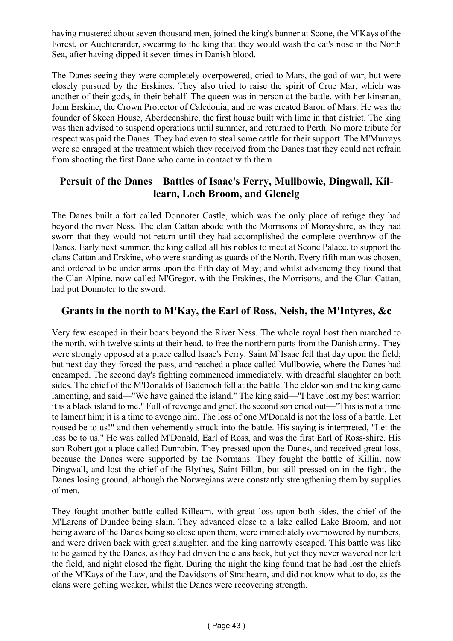having mustered about seven thousand men, joined the king's banner at Scone, the M'Kays of the Forest, or Auchterarder, swearing to the king that they would wash the cat's nose in the North Sea, after having dipped it seven times in Danish blood.

The Danes seeing they were completely overpowered, cried to Mars, the god of war, but were closely pursued by the Erskines. They also tried to raise the spirit of Crue Mar, which was another of their gods, in their behalf. The queen was in person at the battle, with her kinsman, John Erskine, the Crown Protector of Caledonia; and he was created Baron of Mars. He was the founder of Skeen House, Aberdeenshire, the first house built with lime in that district. The king was then advised to suspend operations until summer, and returned to Perth. No more tribute for respect was paid the Danes. They had even to steal some cattle for their support. The M'Murrays were so enraged at the treatment which they received from the Danes that they could not refrain from shooting the first Dane who came in contact with them.

### **Persuit of the Danes—Battles of Isaac's Ferry, Mullbowie, Dingwall, Killearn, Loch Broom, and Glenelg**

The Danes built a fort called Donnoter Castle, which was the only place of refuge they had beyond the river Ness. The clan Cattan abode with the Morrisons of Morayshire, as they had sworn that they would not return until they had accomplished the complete overthrow of the Danes. Early next summer, the king called all his nobles to meet at Scone Palace, to support the clans Cattan and Erskine, who were standing as guards of the North. Every fifth man was chosen, and ordered to be under arms upon the fifth day of May; and whilst advancing they found that the Clan Alpine, now called M'Gregor, with the Erskines, the Morrisons, and the Clan Cattan, had put Donnoter to the sword.

### **Grants in the north to M'Kay, the Earl of Ross, Neish, the M'Intyres, &c**

Very few escaped in their boats beyond the River Ness. The whole royal host then marched to the north, with twelve saints at their head, to free the northern parts from the Danish army. They were strongly opposed at a place called Isaac's Ferry. Saint M`Isaac fell that day upon the field; but next day they forced the pass, and reached a place called Mullbowie, where the Danes had encamped. The second day's fighting commenced immediately, with dreadful slaughter on both sides. The chief of the M'Donalds of Badenoch fell at the battle. The elder son and the king came lamenting, and said—"We have gained the island." The king said—"I have lost my best warrior; it is a black island to me." Full of revenge and grief, the second son cried out—"This is not a time to lament him; it is a time to avenge him. The loss of one M'Donald is not the loss of a battle. Let roused be to us!" and then vehemently struck into the battle. His saying is interpreted, "Let the loss be to us." He was called M'Donald, Earl of Ross, and was the first Earl of Ross-shire. His son Robert got a place called Dunrobin. They pressed upon the Danes, and received great loss, because the Danes were supported by the Normans. They fought the battle of Killin, now Dingwall, and lost the chief of the Blythes, Saint Fillan, but still pressed on in the fight, the Danes losing ground, although the Norwegians were constantly strengthening them by supplies of men.

They fought another battle called Killearn, with great loss upon both sides, the chief of the M'Larens of Dundee being slain. They advanced close to a lake called Lake Broom, and not being aware of the Danes being so close upon them, were immediately overpowered by numbers, and were driven back with great slaughter, and the king narrowly escaped. This battle was like to be gained by the Danes, as they had driven the clans back, but yet they never wavered nor left the field, and night closed the fight. During the night the king found that he had lost the chiefs of the M'Kays of the Law, and the Davidsons of Strathearn, and did not know what to do, as the clans were getting weaker, whilst the Danes were recovering strength.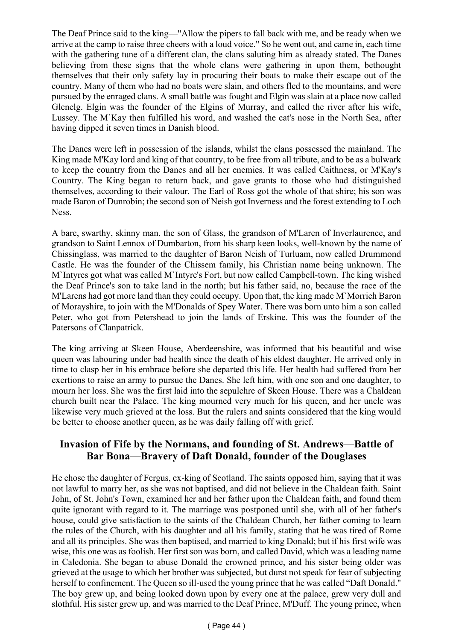The Deaf Prince said to the king—"Allow the pipers to fall back with me, and be ready when we arrive at the camp to raise three cheers with a loud voice." So he went out, and came in, each time with the gathering tune of a different clan, the clans saluting him as already stated. The Danes believing from these signs that the whole clans were gathering in upon them, bethought themselves that their only safety lay in procuring their boats to make their escape out of the country. Many of them who had no boats were slain, and others fled to the mountains, and were pursued by the enraged clans. A small battle was fought and Elgin was slain at a place now called Glenelg. Elgin was the founder of the Elgins of Murray, and called the river after his wife, Lussey. The M`Kay then fulfilled his word, and washed the cat's nose in the North Sea, after having dipped it seven times in Danish blood.

The Danes were left in possession of the islands, whilst the clans possessed the mainland. The King made M'Kay lord and king of that country, to be free from all tribute, and to be as a bulwark to keep the country from the Danes and all her enemies. It was called Caithness, or M'Kay's Country. The King began to return back, and gave grants to those who had distinguished themselves, according to their valour. The Earl of Ross got the whole of that shire; his son was made Baron of Dunrobin; the second son of Neish got Inverness and the forest extending to Loch Ness.

A bare, swarthy, skinny man, the son of Glass, the grandson of M'Laren of Inverlaurence, and grandson to Saint Lennox of Dumbarton, from his sharp keen looks, well-known by the name of Chissinglass, was married to the daughter of Baron Neish of Turluam, now called Drummond Castle. He was the founder of the Chissem family, his Christian name being unknown. The M`Intyres got what was called M`Intyre's Fort, but now called Campbell-town. The king wished the Deaf Prince's son to take land in the north; but his father said, no, because the race of the M'Larens had got more land than they could occupy. Upon that, the king made M`Morrich Baron of Morayshire, to join with the M'Donalds of Spey Water. There was born unto him a son called Peter, who got from Petershead to join the lands of Erskine. This was the founder of the Patersons of Clanpatrick.

The king arriving at Skeen House, Aberdeenshire, was informed that his beautiful and wise queen was labouring under bad health since the death of his eldest daughter. He arrived only in time to clasp her in his embrace before she departed this life. Her health had suffered from her exertions to raise an army to pursue the Danes. She left him, with one son and one daughter, to mourn her loss. She was the first laid into the sepulchre of Skeen House. There was a Chaldean church built near the Palace. The king mourned very much for his queen, and her uncle was likewise very much grieved at the loss. But the rulers and saints considered that the king would be better to choose another queen, as he was daily falling off with grief.

### **Invasion of Fife by the Normans, and founding of St. Andrews—Battle of Bar Bona—Bravery of Daft Donald, founder of the Douglases**

He chose the daughter of Fergus, ex-king of Scotland. The saints opposed him, saying that it was not lawful to marry her, as she was not baptised, and did not believe in the Chaldean faith. Saint John, of St. John's Town, examined her and her father upon the Chaldean faith, and found them quite ignorant with regard to it. The marriage was postponed until she, with all of her father's house, could give satisfaction to the saints of the Chaldean Church, her father coming to learn the rules of the Church, with his daughter and all his family, stating that he was tired of Rome and all its principles. She was then baptised, and married to king Donald; but if his first wife was wise, this one was as foolish. Her first son was born, and called David, which was a leading name in Caledonia. She began to abuse Donald the crowned prince, and his sister being older was grieved at the usage to which her brother was subjected, but durst not speak for fear of subjecting herself to confinement. The Queen so ill-used the young prince that he was called "Daft Donald." The boy grew up, and being looked down upon by every one at the palace, grew very dull and slothful. His sister grew up, and was married to the Deaf Prince, M'Duff. The young prince, when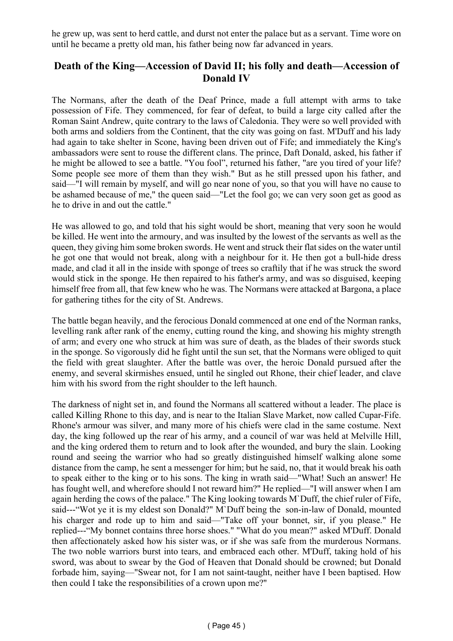he grew up, was sent to herd cattle, and durst not enter the palace but as a servant. Time wore on until he became a pretty old man, his father being now far advanced in years.

#### **Death of the King—Accession of David II; his folly and death—Accession of Donald IV**

The Normans, after the death of the Deaf Prince, made a full attempt with arms to take possession of Fife. They commenced, for fear of defeat, to build a large city called after the Roman Saint Andrew, quite contrary to the laws of Caledonia. They were so well provided with both arms and soldiers from the Continent, that the city was going on fast. M'Duff and his lady had again to take shelter in Scone, having been driven out of Fife; and immediately the King's ambassadors were sent to rouse the different clans. The prince, Daft Donald, asked, his father if he might be allowed to see a battle. "You fool", returned his father, "are you tired of your life? Some people see more of them than they wish." But as he still pressed upon his father, and said—"I will remain by myself, and will go near none of you, so that you will have no cause to be ashamed because of me," the queen said—"Let the fool go; we can very soon get as good as he to drive in and out the cattle."

He was allowed to go, and told that his sight would be short, meaning that very soon he would be killed. He went into the armoury, and was insulted by the lowest of the servants as well as the queen, they giving him some broken swords. He went and struck their flat sides on the water until he got one that would not break, along with a neighbour for it. He then got a bull-hide dress made, and clad it all in the inside with sponge of trees so craftily that if he was struck the sword would stick in the sponge. He then repaired to his father's army, and was so disguised, keeping himself free from all, that few knew who he was. The Normans were attacked at Bargona, a place for gathering tithes for the city of St. Andrews.

The battle began heavily, and the ferocious Donald commenced at one end of the Norman ranks, levelling rank after rank of the enemy, cutting round the king, and showing his mighty strength of arm; and every one who struck at him was sure of death, as the blades of their swords stuck in the sponge. So vigorously did he fight until the sun set, that the Normans were obliged to quit the field with great slaughter. After the battle was over, the heroic Donald pursued after the enemy, and several skirmishes ensued, until he singled out Rhone, their chief leader, and clave him with his sword from the right shoulder to the left haunch.

The darkness of night set in, and found the Normans all scattered without a leader. The place is called Killing Rhone to this day, and is near to the Italian Slave Market, now called Cupar-Fife. Rhone's armour was silver, and many more of his chiefs were clad in the same costume. Next day, the king followed up the rear of his army, and a council of war was held at Melville Hill, and the king ordered them to return and to look after the wounded, and bury the slain. Looking round and seeing the warrior who had so greatly distinguished himself walking alone some distance from the camp, he sent a messenger for him; but he said, no, that it would break his oath to speak either to the king or to his sons. The king in wrath said—"What! Such an answer! He has fought well, and wherefore should I not reward him?" He replied—"I will answer when I am again herding the cows of the palace." The King looking towards M`Duff, the chief ruler of Fife, said---"Wot ye it is my eldest son Donald?" M`Duff being the son-in-law of Donald, mounted his charger and rode up to him and said—"Take off your bonnet, sir, if you please." He replied---"My bonnet contains three horse shoes." "What do you mean?" asked M'Duff. Donald then affectionately asked how his sister was, or if she was safe from the murderous Normans. The two noble warriors burst into tears, and embraced each other. M'Duff, taking hold of his sword, was about to swear by the God of Heaven that Donald should be crowned; but Donald forbade him, saying—"Swear not, for I am not saint-taught, neither have I been baptised. How then could I take the responsibilities of a crown upon me?"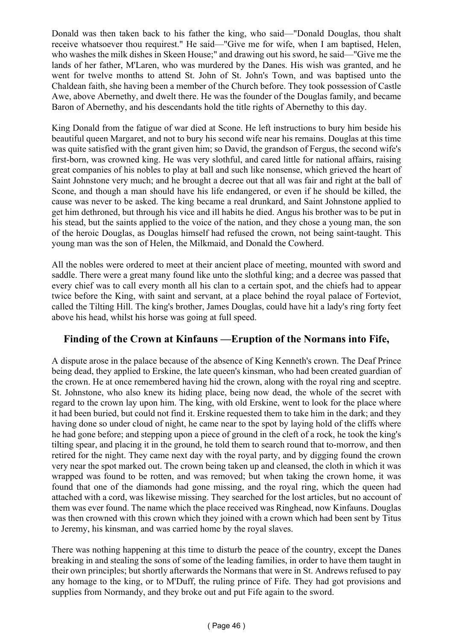Donald was then taken back to his father the king, who said—"Donald Douglas, thou shalt receive whatsoever thou requirest." He said—"Give me for wife, when I am baptised, Helen, who washes the milk dishes in Skeen House;" and drawing out his sword, he said—"Give me the lands of her father, M'Laren, who was murdered by the Danes. His wish was granted, and he went for twelve months to attend St. John of St. John's Town, and was baptised unto the Chaldean faith, she having been a member of the Church before. They took possession of Castle Awe, above Abernethy, and dwelt there. He was the founder of the Douglas family, and became Baron of Abernethy, and his descendants hold the title rights of Abernethy to this day.

King Donald from the fatigue of war died at Scone. He left instructions to bury him beside his beautiful queen Margaret, and not to bury his second wife near his remains. Douglas at this time was quite satisfied with the grant given him; so David, the grandson of Fergus, the second wife's first-born, was crowned king. He was very slothful, and cared little for national affairs, raising great companies of his nobles to play at ball and such like nonsense, which grieved the heart of Saint Johnstone very much; and he brought a decree out that all was fair and right at the ball of Scone, and though a man should have his life endangered, or even if he should be killed, the cause was never to be asked. The king became a real drunkard, and Saint Johnstone applied to get him dethroned, but through his vice and ill habits he died. Angus his brother was to be put in his stead, but the saints applied to the voice of the nation, and they chose a young man, the son of the heroic Douglas, as Douglas himself had refused the crown, not being saint-taught. This young man was the son of Helen, the Milkmaid, and Donald the Cowherd.

All the nobles were ordered to meet at their ancient place of meeting, mounted with sword and saddle. There were a great many found like unto the slothful king; and a decree was passed that every chief was to call every month all his clan to a certain spot, and the chiefs had to appear twice before the King, with saint and servant, at a place behind the royal palace of Forteviot, called the Tilting Hill. The king's brother, James Douglas, could have hit a lady's ring forty feet above his head, whilst his horse was going at full speed.

### **Finding of the Crown at Kinfauns —Eruption of the Normans into Fife,**

A dispute arose in the palace because of the absence of King Kenneth's crown. The Deaf Prince being dead, they applied to Erskine, the late queen's kinsman, who had been created guardian of the crown. He at once remembered having hid the crown, along with the royal ring and sceptre. St. Johnstone, who also knew its hiding place, being now dead, the whole of the secret with regard to the crown lay upon him. The king, with old Erskine, went to look for the place where it had been buried, but could not find it. Erskine requested them to take him in the dark; and they having done so under cloud of night, he came near to the spot by laying hold of the cliffs where he had gone before; and stepping upon a piece of ground in the cleft of a rock, he took the king's tilting spear, and placing it in the ground, he told them to search round that to-morrow, and then retired for the night. They came next day with the royal party, and by digging found the crown very near the spot marked out. The crown being taken up and cleansed, the cloth in which it was wrapped was found to be rotten, and was removed; but when taking the crown home, it was found that one of the diamonds had gone missing, and the royal ring, which the queen had attached with a cord, was likewise missing. They searched for the lost articles, but no account of them was ever found. The name which the place received was Ringhead, now Kinfauns. Douglas was then crowned with this crown which they joined with a crown which had been sent by Titus to Jeremy, his kinsman, and was carried home by the royal slaves.

There was nothing happening at this time to disturb the peace of the country, except the Danes breaking in and stealing the sons of some of the leading families, in order to have them taught in their own principles; but shortly afterwards the Normans that were in St. Andrews refused to pay any homage to the king, or to M'Duff, the ruling prince of Fife. They had got provisions and supplies from Normandy, and they broke out and put Fife again to the sword.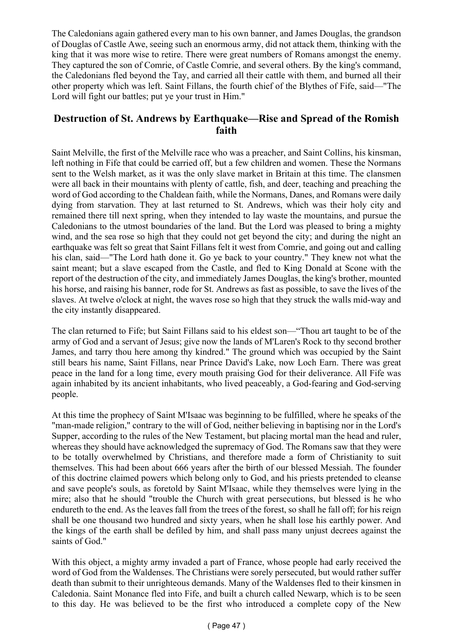The Caledonians again gathered every man to his own banner, and James Douglas, the grandson of Douglas of Castle Awe, seeing such an enormous army, did not attack them, thinking with the king that it was more wise to retire. There were great numbers of Romans amongst the enemy. They captured the son of Comrie, of Castle Comrie, and several others. By the king's command, the Caledonians fled beyond the Tay, and carried all their cattle with them, and burned all their other property which was left. Saint Fillans, the fourth chief of the Blythes of Fife, said—"The Lord will fight our battles; put ye your trust in Him."

### **Destruction of St. Andrews by Earthquake—Rise and Spread of the Romish faith**

Saint Melville, the first of the Melville race who was a preacher, and Saint Collins, his kinsman, left nothing in Fife that could be carried off, but a few children and women. These the Normans sent to the Welsh market, as it was the only slave market in Britain at this time. The clansmen were all back in their mountains with plenty of cattle, fish, and deer, teaching and preaching the word of God according to the Chaldean faith, while the Normans, Danes, and Romans were daily dying from starvation. They at last returned to St. Andrews, which was their holy city and remained there till next spring, when they intended to lay waste the mountains, and pursue the Caledonians to the utmost boundaries of the land. But the Lord was pleased to bring a mighty wind, and the sea rose so high that they could not get beyond the city; and during the night an earthquake was felt so great that Saint Fillans felt it west from Comrie, and going out and calling his clan, said—"The Lord hath done it. Go ye back to your country." They knew not what the saint meant; but a slave escaped from the Castle, and fled to King Donald at Scone with the report of the destruction of the city, and immediately James Douglas, the king's brother, mounted his horse, and raising his banner, rode for St. Andrews as fast as possible, to save the lives of the slaves. At twelve o'clock at night, the waves rose so high that they struck the walls mid-way and the city instantly disappeared.

The clan returned to Fife; but Saint Fillans said to his eldest son—"Thou art taught to be of the army of God and a servant of Jesus; give now the lands of M'Laren's Rock to thy second brother James, and tarry thou here among thy kindred." The ground which was occupied by the Saint still bears his name, Saint Fillans, near Prince David's Lake, now Loch Earn. There was great peace in the land for a long time, every mouth praising God for their deliverance. All Fife was again inhabited by its ancient inhabitants, who lived peaceably, a God-fearing and God-serving people.

At this time the prophecy of Saint M'Isaac was beginning to be fulfilled, where he speaks of the "man-made religion," contrary to the will of God, neither believing in baptising nor in the Lord's Supper, according to the rules of the New Testament, but placing mortal man the head and ruler, whereas they should have acknowledged the supremacy of God. The Romans saw that they were to be totally overwhelmed by Christians, and therefore made a form of Christianity to suit themselves. This had been about 666 years after the birth of our blessed Messiah. The founder of this doctrine claimed powers which belong only to God, and his priests pretended to cleanse and save people's souls, as foretold by Saint M'Isaac, while they themselves were lying in the mire; also that he should "trouble the Church with great persecutions, but blessed is he who endureth to the end. As the leaves fall from the trees of the forest, so shall he fall off; for his reign shall be one thousand two hundred and sixty years, when he shall lose his earthly power. And the kings of the earth shall be defiled by him, and shall pass many unjust decrees against the saints of God."

With this object, a mighty army invaded a part of France, whose people had early received the word of God from the Waldenses. The Christians were sorely persecuted, but would rather suffer death than submit to their unrighteous demands. Many of the Waldenses fled to their kinsmen in Caledonia. Saint Monance fled into Fife, and built a church called Newarp, which is to be seen to this day. He was believed to be the first who introduced a complete copy of the New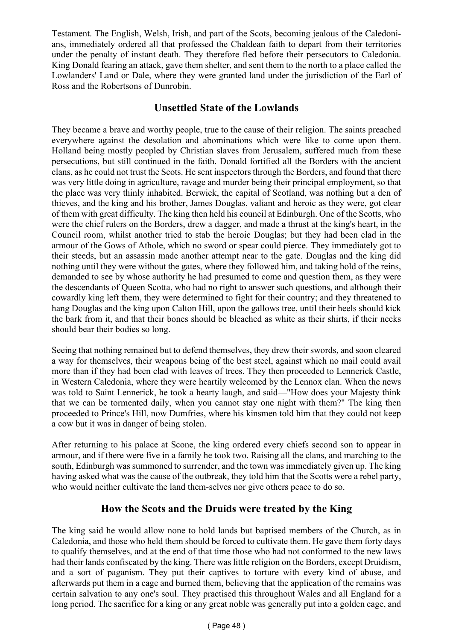Testament. The English, Welsh, Irish, and part of the Scots, becoming jealous of the Caledonians, immediately ordered all that professed the Chaldean faith to depart from their territories under the penalty of instant death. They therefore fled before their persecutors to Caledonia. King Donald fearing an attack, gave them shelter, and sent them to the north to a place called the Lowlanders' Land or Dale, where they were granted land under the jurisdiction of the Earl of Ross and the Robertsons of Dunrobin.

### **Unsettled State of the Lowlands**

They became a brave and worthy people, true to the cause of their religion. The saints preached everywhere against the desolation and abominations which were like to come upon them. Holland being mostly peopled by Christian slaves from Jerusalem, suffered much from these persecutions, but still continued in the faith. Donald fortified all the Borders with the ancient clans, as he could not trust the Scots. He sent inspectors through the Borders, and found that there was very little doing in agriculture, ravage and murder being their principal employment, so that the place was very thinly inhabited. Berwick, the capital of Scotland, was nothing but a den of thieves, and the king and his brother, James Douglas, valiant and heroic as they were, got clear of them with great difficulty. The king then held his council at Edinburgh. One of the Scotts, who were the chief rulers on the Borders, drew a dagger, and made a thrust at the king's heart, in the Council room, whilst another tried to stab the heroic Douglas; but they had been clad in the armour of the Gows of Athole, which no sword or spear could pierce. They immediately got to their steeds, but an assassin made another attempt near to the gate. Douglas and the king did nothing until they were without the gates, where they followed him, and taking hold of the reins, demanded to see by whose authority he had presumed to come and question them, as they were the descendants of Queen Scotta, who had no right to answer such questions, and although their cowardly king left them, they were determined to fight for their country; and they threatened to hang Douglas and the king upon Calton Hill, upon the gallows tree, until their heels should kick the bark from it, and that their bones should be bleached as white as their shirts, if their necks should bear their bodies so long.

Seeing that nothing remained but to defend themselves, they drew their swords, and soon cleared a way for themselves, their weapons being of the best steel, against which no mail could avail more than if they had been clad with leaves of trees. They then proceeded to Lennerick Castle, in Western Caledonia, where they were heartily welcomed by the Lennox clan. When the news was told to Saint Lennerick, he took a hearty laugh, and said—"How does your Majesty think that we can be tormented daily, when you cannot stay one night with them?" The king then proceeded to Prince's Hill, now Dumfries, where his kinsmen told him that they could not keep a cow but it was in danger of being stolen.

After returning to his palace at Scone, the king ordered every chiefs second son to appear in armour, and if there were five in a family he took two. Raising all the clans, and marching to the south, Edinburgh was summoned to surrender, and the town was immediately given up. The king having asked what was the cause of the outbreak, they told him that the Scotts were a rebel party, who would neither cultivate the land them-selves nor give others peace to do so.

### **How the Scots and the Druids were treated by the King**

The king said he would allow none to hold lands but baptised members of the Church, as in Caledonia, and those who held them should be forced to cultivate them. He gave them forty days to qualify themselves, and at the end of that time those who had not conformed to the new laws had their lands confiscated by the king. There was little religion on the Borders, except Druidism, and a sort of paganism. They put their captives to torture with every kind of abuse, and afterwards put them in a cage and burned them, believing that the application of the remains was certain salvation to any one's soul. They practised this throughout Wales and all England for a long period. The sacrifice for a king or any great noble was generally put into a golden cage, and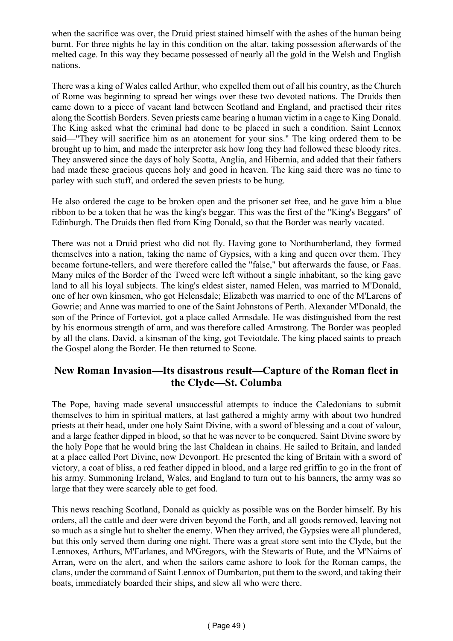when the sacrifice was over, the Druid priest stained himself with the ashes of the human being burnt. For three nights he lay in this condition on the altar, taking possession afterwards of the melted cage. In this way they became possessed of nearly all the gold in the Welsh and English nations.

There was a king of Wales called Arthur, who expelled them out of all his country, as the Church of Rome was beginning to spread her wings over these two devoted nations. The Druids then came down to a piece of vacant land between Scotland and England, and practised their rites along the Scottish Borders. Seven priests came bearing a human victim in a cage to King Donald. The King asked what the criminal had done to be placed in such a condition. Saint Lennox said—"They will sacrifice him as an atonement for your sins." The king ordered them to be brought up to him, and made the interpreter ask how long they had followed these bloody rites. They answered since the days of holy Scotta, Anglia, and Hibernia, and added that their fathers had made these gracious queens holy and good in heaven. The king said there was no time to parley with such stuff, and ordered the seven priests to be hung.

He also ordered the cage to be broken open and the prisoner set free, and he gave him a blue ribbon to be a token that he was the king's beggar. This was the first of the "King's Beggars" of Edinburgh. The Druids then fled from King Donald, so that the Border was nearly vacated.

There was not a Druid priest who did not fly. Having gone to Northumberland, they formed themselves into a nation, taking the name of Gypsies, with a king and queen over them. They became fortune-tellers, and were therefore called the "false," but afterwards the fause, or Faas. Many miles of the Border of the Tweed were left without a single inhabitant, so the king gave land to all his loyal subjects. The king's eldest sister, named Helen, was married to M'Donald, one of her own kinsmen, who got Helensdale; Elizabeth was married to one of the M'Larens of Gowrie; and Anne was married to one of the Saint Johnstons of Perth. Alexander M'Donald, the son of the Prince of Forteviot, got a place called Armsdale. He was distinguished from the rest by his enormous strength of arm, and was therefore called Armstrong. The Border was peopled by all the clans. David, a kinsman of the king, got Teviotdale. The king placed saints to preach the Gospel along the Border. He then returned to Scone.

# **New Roman Invasion—Its disastrous result—Capture of the Roman fleet in the Clyde—St. Columba**

The Pope, having made several unsuccessful attempts to induce the Caledonians to submit themselves to him in spiritual matters, at last gathered a mighty army with about two hundred priests at their head, under one holy Saint Divine, with a sword of blessing and a coat of valour, and a large feather dipped in blood, so that he was never to be conquered. Saint Divine swore by the holy Pope that he would bring the last Chaldean in chains. He sailed to Britain, and landed at a place called Port Divine, now Devonport. He presented the king of Britain with a sword of victory, a coat of bliss, a red feather dipped in blood, and a large red griffin to go in the front of his army. Summoning Ireland, Wales, and England to turn out to his banners, the army was so large that they were scarcely able to get food.

This news reaching Scotland, Donald as quickly as possible was on the Border himself. By his orders, all the cattle and deer were driven beyond the Forth, and all goods removed, leaving not so much as a single hut to shelter the enemy. When they arrived, the Gypsies were all plundered, but this only served them during one night. There was a great store sent into the Clyde, but the Lennoxes, Arthurs, M'Farlanes, and M'Gregors, with the Stewarts of Bute, and the M'Nairns of Arran, were on the alert, and when the sailors came ashore to look for the Roman camps, the clans, under the command of Saint Lennox of Dumbarton, put them to the sword, and taking their boats, immediately boarded their ships, and slew all who were there.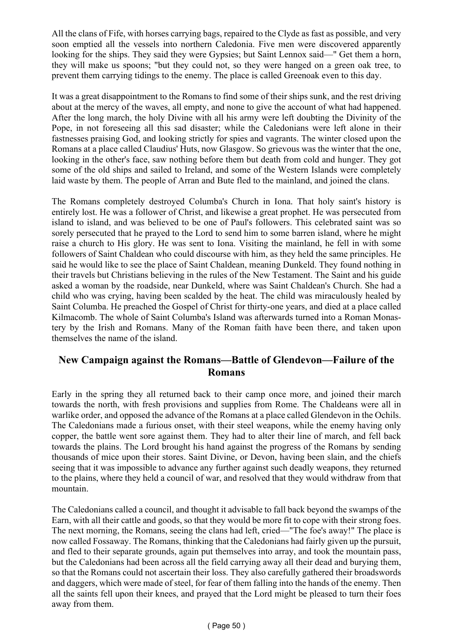All the clans of Fife, with horses carrying bags, repaired to the Clyde as fast as possible, and very soon emptied all the vessels into northern Caledonia. Five men were discovered apparently looking for the ships. They said they were Gypsies; but Saint Lennox said—" Get them a horn, they will make us spoons; "but they could not, so they were hanged on a green oak tree, to prevent them carrying tidings to the enemy. The place is called Greenoak even to this day.

It was a great disappointment to the Romans to find some of their ships sunk, and the rest driving about at the mercy of the waves, all empty, and none to give the account of what had happened. After the long march, the holy Divine with all his army were left doubting the Divinity of the Pope, in not foreseeing all this sad disaster; while the Caledonians were left alone in their fastnesses praising God, and looking strictly for spies and vagrants. The winter closed upon the Romans at a place called Claudius' Huts, now Glasgow. So grievous was the winter that the one, looking in the other's face, saw nothing before them but death from cold and hunger. They got some of the old ships and sailed to Ireland, and some of the Western Islands were completely laid waste by them. The people of Arran and Bute fled to the mainland, and joined the clans.

The Romans completely destroyed Columba's Church in Iona. That holy saint's history is entirely lost. He was a follower of Christ, and likewise a great prophet. He was persecuted from island to island, and was believed to be one of Paul's followers. This celebrated saint was so sorely persecuted that he prayed to the Lord to send him to some barren island, where he might raise a church to His glory. He was sent to Iona. Visiting the mainland, he fell in with some followers of Saint Chaldean who could discourse with him, as they held the same principles. He said he would like to see the place of Saint Chaldean, meaning Dunkeld. They found nothing in their travels but Christians believing in the rules of the New Testament. The Saint and his guide asked a woman by the roadside, near Dunkeld, where was Saint Chaldean's Church. She had a child who was crying, having been scalded by the heat. The child was miraculously healed by Saint Columba. He preached the Gospel of Christ for thirty-one years, and died at a place called Kilmacomb. The whole of Saint Columba's Island was afterwards turned into a Roman Monastery by the Irish and Romans. Many of the Roman faith have been there, and taken upon themselves the name of the island.

#### **New Campaign against the Romans—Battle of Glendevon—Failure of the Romans**

Early in the spring they all returned back to their camp once more, and joined their march towards the north, with fresh provisions and supplies from Rome. The Chaldeans were all in warlike order, and opposed the advance of the Romans at a place called Glendevon in the Ochils. The Caledonians made a furious onset, with their steel weapons, while the enemy having only copper, the battle went sore against them. They had to alter their line of march, and fell back towards the plains. The Lord brought his hand against the progress of the Romans by sending thousands of mice upon their stores. Saint Divine, or Devon, having been slain, and the chiefs seeing that it was impossible to advance any further against such deadly weapons, they returned to the plains, where they held a council of war, and resolved that they would withdraw from that mountain.

The Caledonians called a council, and thought it advisable to fall back beyond the swamps of the Earn, with all their cattle and goods, so that they would be more fit to cope with their strong foes. The next morning, the Romans, seeing the clans had left, cried—"The foe's away!" The place is now called Fossaway. The Romans, thinking that the Caledonians had fairly given up the pursuit, and fled to their separate grounds, again put themselves into array, and took the mountain pass, but the Caledonians had been across all the field carrying away all their dead and burying them, so that the Romans could not ascertain their loss. They also carefully gathered their broadswords and daggers, which were made of steel, for fear of them falling into the hands of the enemy. Then all the saints fell upon their knees, and prayed that the Lord might be pleased to turn their foes away from them.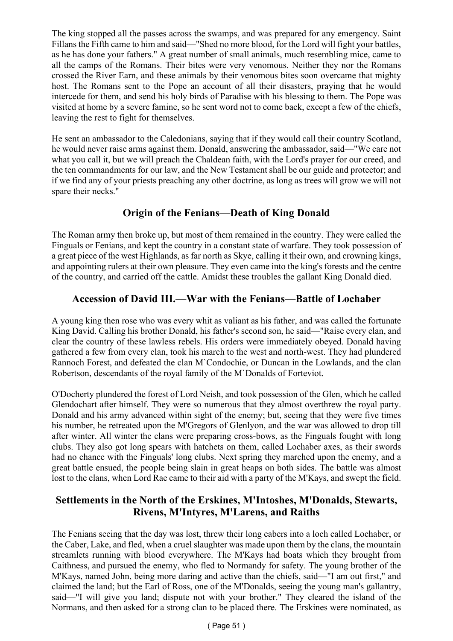The king stopped all the passes across the swamps, and was prepared for any emergency. Saint Fillans the Fifth came to him and said—"Shed no more blood, for the Lord will fight your battles, as he has done your fathers." A great number of small animals, much resembling mice, came to all the camps of the Romans. Their bites were very venomous. Neither they nor the Romans crossed the River Earn, and these animals by their venomous bites soon overcame that mighty host. The Romans sent to the Pope an account of all their disasters, praying that he would intercede for them, and send his holy birds of Paradise with his blessing to them. The Pope was visited at home by a severe famine, so he sent word not to come back, except a few of the chiefs, leaving the rest to fight for themselves.

He sent an ambassador to the Caledonians, saying that if they would call their country Scotland, he would never raise arms against them. Donald, answering the ambassador, said—"We care not what you call it, but we will preach the Chaldean faith, with the Lord's prayer for our creed, and the ten commandments for our law, and the New Testament shall be our guide and protector; and if we find any of your priests preaching any other doctrine, as long as trees will grow we will not spare their necks."

# **Origin of the Fenians—Death of King Donald**

The Roman army then broke up, but most of them remained in the country. They were called the Finguals or Fenians, and kept the country in a constant state of warfare. They took possession of a great piece of the west Highlands, as far north as Skye, calling it their own, and crowning kings, and appointing rulers at their own pleasure. They even came into the king's forests and the centre of the country, and carried off the cattle. Amidst these troubles the gallant King Donald died.

# **Accession of David III.—War with the Fenians—Battle of Lochaber**

A young king then rose who was every whit as valiant as his father, and was called the fortunate King David. Calling his brother Donald, his father's second son, he said—"Raise every clan, and clear the country of these lawless rebels. His orders were immediately obeyed. Donald having gathered a few from every clan, took his march to the west and north-west. They had plundered Rannoch Forest, and defeated the clan M`Condochie, or Duncan in the Lowlands, and the clan Robertson, descendants of the royal family of the M`Donalds of Forteviot.

O'Docherty plundered the forest of Lord Neish, and took possession of the Glen, which he called Glendochart after himself. They were so numerous that they almost overthrew the royal party. Donald and his army advanced within sight of the enemy; but, seeing that they were five times his number, he retreated upon the M'Gregors of Glenlyon, and the war was allowed to drop till after winter. All winter the clans were preparing cross-bows, as the Finguals fought with long clubs. They also got long spears with hatchets on them, called Lochaber axes, as their swords had no chance with the Finguals' long clubs. Next spring they marched upon the enemy, and a great battle ensued, the people being slain in great heaps on both sides. The battle was almost lost to the clans, when Lord Rae came to their aid with a party of the M'Kays, and swept the field.

# **Settlements in the North of the Erskines, M'Intoshes, M'Donalds, Stewarts, Rivens, M'Intyres, M'Larens, and Raiths**

The Fenians seeing that the day was lost, threw their long cabers into a loch called Lochaber, or the Caber, Lake, and fled, when a cruel slaughter was made upon them by the clans, the mountain streamlets running with blood everywhere. The M'Kays had boats which they brought from Caithness, and pursued the enemy, who fled to Normandy for safety. The young brother of the M'Kays, named John, being more daring and active than the chiefs, said—"I am out first," and claimed the land; but the Earl of Ross, one of the M'Donalds, seeing the young man's gallantry, said—"I will give you land; dispute not with your brother." They cleared the island of the Normans, and then asked for a strong clan to be placed there. The Erskines were nominated, as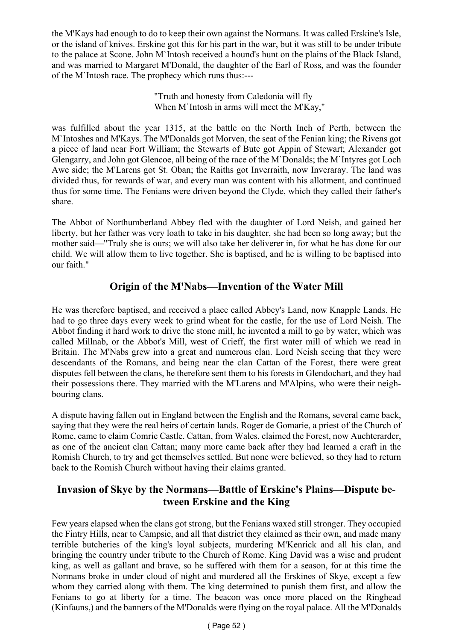the M'Kays had enough to do to keep their own against the Normans. It was called Erskine's Isle, or the island of knives. Erskine got this for his part in the war, but it was still to be under tribute to the palace at Scone. John M`Intosh received a hound's hunt on the plains of the Black Island, and was married to Margaret M'Donald, the daughter of the Earl of Ross, and was the founder of the M`Intosh race. The prophecy which runs thus:---

> "Truth and honesty from Caledonia will fly When M`Intosh in arms will meet the M'Kay,"

was fulfilled about the year 1315, at the battle on the North Inch of Perth, between the M`Intoshes and M'Kays. The M'Donalds got Morven, the seat of the Fenian king; the Rivens got a piece of land near Fort William; the Stewarts of Bute got Appin of Stewart; Alexander got Glengarry, and John got Glencoe, all being of the race of the M`Donalds; the M`Intyres got Loch Awe side; the M'Larens got St. Oban; the Raiths got Inverraith, now Inveraray. The land was divided thus, for rewards of war, and every man was content with his allotment, and continued thus for some time. The Fenians were driven beyond the Clyde, which they called their father's share.

The Abbot of Northumberland Abbey fled with the daughter of Lord Neish, and gained her liberty, but her father was very loath to take in his daughter, she had been so long away; but the mother said—"Truly she is ours; we will also take her deliverer in, for what he has done for our child. We will allow them to live together. She is baptised, and he is willing to be baptised into our faith."

# **Origin of the M'Nabs—Invention of the Water Mill**

He was therefore baptised, and received a place called Abbey's Land, now Knapple Lands. He had to go three days every week to grind wheat for the castle, for the use of Lord Neish. The Abbot finding it hard work to drive the stone mill, he invented a mill to go by water, which was called Millnab, or the Abbot's Mill, west of Crieff, the first water mill of which we read in Britain. The M'Nabs grew into a great and numerous clan. Lord Neish seeing that they were descendants of the Romans, and being near the clan Cattan of the Forest, there were great disputes fell between the clans, he therefore sent them to his forests in Glendochart, and they had their possessions there. They married with the M'Larens and M'Alpins, who were their neighbouring clans.

A dispute having fallen out in England between the English and the Romans, several came back, saying that they were the real heirs of certain lands. Roger de Gomarie, a priest of the Church of Rome, came to claim Comrie Castle. Cattan, from Wales, claimed the Forest, now Auchterarder, as one of the ancient clan Cattan; many more came back after they had learned a craft in the Romish Church, to try and get themselves settled. But none were believed, so they had to return back to the Romish Church without having their claims granted.

# **Invasion of Skye by the Normans—Battle of Erskine's Plains—Dispute between Erskine and the King**

Few years elapsed when the clans got strong, but the Fenians waxed still stronger. They occupied the Fintry Hills, near to Campsie, and all that district they claimed as their own, and made many terrible butcheries of the king's loyal subjects, murdering M'Kenrick and all his clan, and bringing the country under tribute to the Church of Rome. King David was a wise and prudent king, as well as gallant and brave, so he suffered with them for a season, for at this time the Normans broke in under cloud of night and murdered all the Erskines of Skye, except a few whom they carried along with them. The king determined to punish them first, and allow the Fenians to go at liberty for a time. The beacon was once more placed on the Ringhead (Kinfauns,) and the banners of the M'Donalds were flying on the royal palace. All the M'Donalds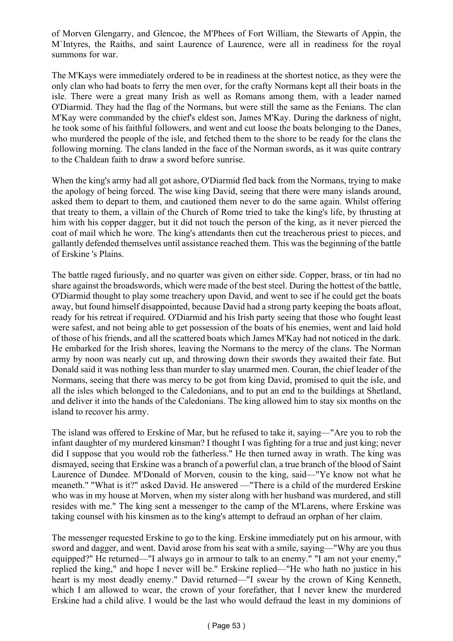of Morven Glengarry, and Glencoe, the M'Phees of Fort William, the Stewarts of Appin, the M`Intyres, the Raiths, and saint Laurence of Laurence, were all in readiness for the royal summons for war.

The M'Kays were immediately ordered to be in readiness at the shortest notice, as they were the only clan who had boats to ferry the men over, for the crafty Normans kept all their boats in the isle. There were a great many Irish as well as Romans among them, with a leader named O'Diarmid. They had the flag of the Normans, but were still the same as the Fenians. The clan M'Kay were commanded by the chief's eldest son, James M'Kay. During the darkness of night, he took some of his faithful followers, and went and cut loose the boats belonging to the Danes, who murdered the people of the isle, and fetched them to the shore to be ready for the clans the following morning. The clans landed in the face of the Norman swords, as it was quite contrary to the Chaldean faith to draw a sword before sunrise.

When the king's army had all got ashore, O'Diarmid fled back from the Normans, trying to make the apology of being forced. The wise king David, seeing that there were many islands around, asked them to depart to them, and cautioned them never to do the same again. Whilst offering that treaty to them, a villain of the Church of Rome tried to take the king's life, by thrusting at him with his copper dagger, but it did not touch the person of the king, as it never pierced the coat of mail which he wore. The king's attendants then cut the treacherous priest to pieces, and gallantly defended themselves until assistance reached them. This was the beginning of the battle of Erskine 's Plains.

The battle raged furiously, and no quarter was given on either side. Copper, brass, or tin had no share against the broadswords, which were made of the best steel. During the hottest of the battle, O'Diarmid thought to play some treachery upon David, and went to see if he could get the boats away, but found himself disappointed, because David had a strong party keeping the boats afloat, ready for his retreat if required. O'Diarmid and his Irish party seeing that those who fought least were safest, and not being able to get possession of the boats of his enemies, went and laid hold of those of his friends, and all the scattered boats which James M'Kay had not noticed in the dark. He embarked for the Irish shores, leaving the Normans to the mercy of the clans. The Norman army by noon was nearly cut up, and throwing down their swords they awaited their fate. But Donald said it was nothing less than murder to slay unarmed men. Couran, the chief leader of the Normans, seeing that there was mercy to be got from king David, promised to quit the isle, and all the isles which belonged to the Caledonians, and to put an end to the buildings at Shetland, and deliver it into the hands of the Caledonians. The king allowed him to stay six months on the island to recover his army.

The island was offered to Erskine of Mar, but he refused to take it, saying—"Are you to rob the infant daughter of my murdered kinsman? I thought I was fighting for a true and just king; never did I suppose that you would rob the fatherless." He then turned away in wrath. The king was dismayed, seeing that Erskine was a branch of a powerful clan, a true branch of the blood of Saint Laurence of Dundee. M'Donald of Morven, cousin to the king, said—"Ye know not what he meaneth." "What is it?" asked David. He answered —"There is a child of the murdered Erskine who was in my house at Morven, when my sister along with her husband was murdered, and still resides with me." The king sent a messenger to the camp of the M'Larens, where Erskine was taking counsel with his kinsmen as to the king's attempt to defraud an orphan of her claim.

The messenger requested Erskine to go to the king. Erskine immediately put on his armour, with sword and dagger, and went. David arose from his seat with a smile, saying—"Why are you thus equipped?" He returned—"I always go in armour to talk to an enemy." "I am not your enemy," replied the king," and hope I never will be." Erskine replied—"He who hath no justice in his heart is my most deadly enemy." David returned—"I swear by the crown of King Kenneth, which I am allowed to wear, the crown of your forefather, that I never knew the murdered Erskine had a child alive. I would be the last who would defraud the least in my dominions of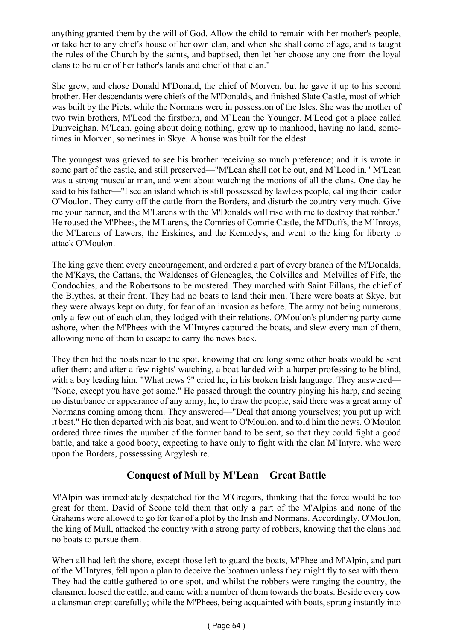anything granted them by the will of God. Allow the child to remain with her mother's people, or take her to any chief's house of her own clan, and when she shall come of age, and is taught the rules of the Church by the saints, and baptised, then let her choose any one from the loyal clans to be ruler of her father's lands and chief of that clan."

She grew, and chose Donald M'Donald, the chief of Morven, but he gave it up to his second brother. Her descendants were chiefs of the M'Donalds, and finished Slate Castle, most of which was built by the Picts, while the Normans were in possession of the Isles. She was the mother of two twin brothers, M'Leod the firstborn, and M`Lean the Younger. M'Leod got a place called Dunveighan. M'Lean, going about doing nothing, grew up to manhood, having no land, sometimes in Morven, sometimes in Skye. A house was built for the eldest.

The youngest was grieved to see his brother receiving so much preference; and it is wrote in some part of the castle, and still preserved—"M'Lean shall not he out, and M`Leod in." M'Lean was a strong muscular man, and went about watching the motions of all the clans. One day he said to his father—"I see an island which is still possessed by lawless people, calling their leader O'Moulon. They carry off the cattle from the Borders, and disturb the country very much. Give me your banner, and the M'Larens with the M'Donalds will rise with me to destroy that robber." He roused the M'Phees, the M'Larens, the Comries of Comrie Castle, the M'Duffs, the M'Inroys, the M'Larens of Lawers, the Erskines, and the Kennedys, and went to the king for liberty to attack O'Moulon.

The king gave them every encouragement, and ordered a part of every branch of the M'Donalds, the M'Kays, the Cattans, the Waldenses of Gleneagles, the Colvilles and Melvilles of Fife, the Condochies, and the Robertsons to be mustered. They marched with Saint Fillans, the chief of the Blythes, at their front. They had no boats to land their men. There were boats at Skye, but they were always kept on duty, for fear of an invasion as before. The army not being numerous, only a few out of each clan, they lodged with their relations. O'Moulon's plundering party came ashore, when the M'Phees with the M`Intyres captured the boats, and slew every man of them, allowing none of them to escape to carry the news back.

They then hid the boats near to the spot, knowing that ere long some other boats would be sent after them; and after a few nights' watching, a boat landed with a harper professing to be blind, with a boy leading him. "What news ?" cried he, in his broken Irish language. They answered— "None, except you have got some." He passed through the country playing his harp, and seeing no disturbance or appearance of any army, he, to draw the people, said there was a great army of Normans coming among them. They answered—"Deal that among yourselves; you put up with it best." He then departed with his boat, and went to O'Moulon, and told him the news. O'Moulon ordered three times the number of the former band to be sent, so that they could fight a good battle, and take a good booty, expecting to have only to fight with the clan M`Intyre, who were upon the Borders, possesssing Argyleshire.

# **Conquest of Mull by M'Lean—Great Battle**

M'Alpin was immediately despatched for the M'Gregors, thinking that the force would be too great for them. David of Scone told them that only a part of the M'Alpins and none of the Grahams were allowed to go for fear of a plot by the Irish and Normans. Accordingly, O'Moulon, the king of Mull, attacked the country with a strong party of robbers, knowing that the clans had no boats to pursue them.

When all had left the shore, except those left to guard the boats, M'Phee and M'Alpin, and part of the M`Intyres, fell upon a plan to deceive the boatmen unless they might fly to sea with them. They had the cattle gathered to one spot, and whilst the robbers were ranging the country, the clansmen loosed the cattle, and came with a number of them towards the boats. Beside every cow a clansman crept carefully; while the M'Phees, being acquainted with boats, sprang instantly into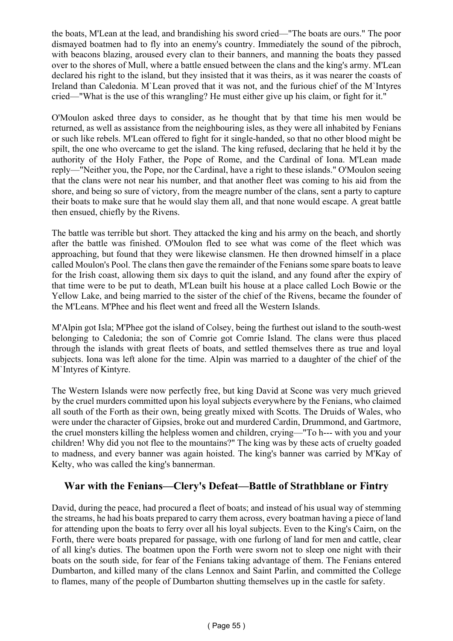the boats, M'Lean at the lead, and brandishing his sword cried—"The boats are ours." The poor dismayed boatmen had to fly into an enemy's country. Immediately the sound of the pibroch, with beacons blazing, aroused every clan to their banners, and manning the boats they passed over to the shores of Mull, where a battle ensued between the clans and the king's army. M'Lean declared his right to the island, but they insisted that it was theirs, as it was nearer the coasts of Ireland than Caledonia. M`Lean proved that it was not, and the furious chief of the M`Intyres cried—"What is the use of this wrangling? He must either give up his claim, or fight for it."

O'Moulon asked three days to consider, as he thought that by that time his men would be returned, as well as assistance from the neighbouring isles, as they were all inhabited by Fenians or such like rebels. M'Lean offered to fight for it single-handed, so that no other blood might be spilt, the one who overcame to get the island. The king refused, declaring that he held it by the authority of the Holy Father, the Pope of Rome, and the Cardinal of Iona. M'Lean made reply—"Neither you, the Pope, nor the Cardinal, have a right to these islands." O'Moulon seeing that the clans were not near his number, and that another fleet was coming to his aid from the shore, and being so sure of victory, from the meagre number of the clans, sent a party to capture their boats to make sure that he would slay them all, and that none would escape. A great battle then ensued, chiefly by the Rivens.

The battle was terrible but short. They attacked the king and his army on the beach, and shortly after the battle was finished. O'Moulon fled to see what was come of the fleet which was approaching, but found that they were likewise clansmen. He then drowned himself in a place called Moulon's Pool. The clans then gave the remainder of the Fenians some spare boats to leave for the Irish coast, allowing them six days to quit the island, and any found after the expiry of that time were to be put to death, M'Lean built his house at a place called Loch Bowie or the Yellow Lake, and being married to the sister of the chief of the Rivens, became the founder of the M'Leans. M'Phee and his fleet went and freed all the Western Islands.

M'Alpin got Isla; M'Phee got the island of Colsey, being the furthest out island to the south-west belonging to Caledonia; the son of Comrie got Comrie Island. The clans were thus placed through the islands with great fleets of boats, and settled themselves there as true and loyal subjects. Iona was left alone for the time. Alpin was married to a daughter of the chief of the M`Intyres of Kintyre.

The Western Islands were now perfectly free, but king David at Scone was very much grieved by the cruel murders committed upon his loyal subjects everywhere by the Fenians, who claimed all south of the Forth as their own, being greatly mixed with Scotts. The Druids of Wales, who were under the character of Gipsies, broke out and murdered Cardin, Drummond, and Gartmore, the cruel monsters killing the helpless women and children, crying—"To h--- with you and your children! Why did you not flee to the mountains?" The king was by these acts of cruelty goaded to madness, and every banner was again hoisted. The king's banner was carried by M'Kay of Kelty, who was called the king's bannerman.

### **War with the Fenians—Clery's Defeat—Battle of Strathblane or Fintry**

David, during the peace, had procured a fleet of boats; and instead of his usual way of stemming the streams, he had his boats prepared to carry them across, every boatman having a piece of land for attending upon the boats to ferry over all his loyal subjects. Even to the King's Cairn, on the Forth, there were boats prepared for passage, with one furlong of land for men and cattle, clear of all king's duties. The boatmen upon the Forth were sworn not to sleep one night with their boats on the south side, for fear of the Fenians taking advantage of them. The Fenians entered Dumbarton, and killed many of the clans Lennox and Saint Parlin, and committed the College to flames, many of the people of Dumbarton shutting themselves up in the castle for safety.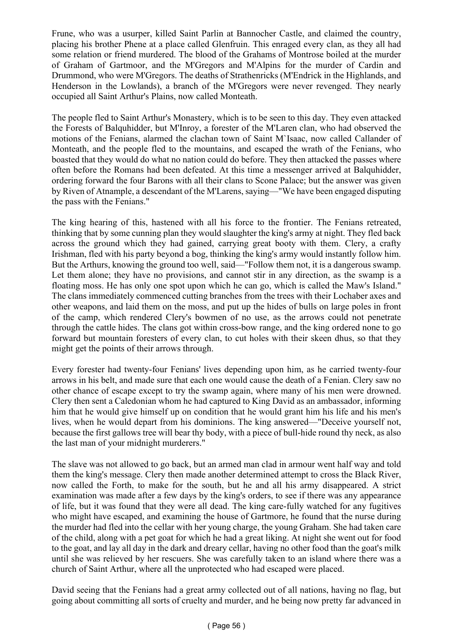Frune, who was a usurper, killed Saint Parlin at Bannocher Castle, and claimed the country, placing his brother Phene at a place called Glenfruin. This enraged every clan, as they all had some relation or friend murdered. The blood of the Grahams of Montrose boiled at the murder of Graham of Gartmoor, and the M'Gregors and M'Alpins for the murder of Cardin and Drummond, who were M'Gregors. The deaths of Strathenricks (M'Endrick in the Highlands, and Henderson in the Lowlands), a branch of the M'Gregors were never revenged. They nearly occupied all Saint Arthur's Plains, now called Monteath.

The people fled to Saint Arthur's Monastery, which is to be seen to this day. They even attacked the Forests of Balquhidder, but M'Inroy, a forester of the M'Laren clan, who had observed the motions of the Fenians, alarmed the clachan town of Saint M`Isaac, now called Callander of Monteath, and the people fled to the mountains, and escaped the wrath of the Fenians, who boasted that they would do what no nation could do before. They then attacked the passes where often before the Romans had been defeated. At this time a messenger arrived at Balquhidder, ordering forward the four Barons with all their clans to Scone Palace; but the answer was given by Riven of Atnample, a descendant of the M'Larens, saying—"We have been engaged disputing the pass with the Fenians."

The king hearing of this, hastened with all his force to the frontier. The Fenians retreated, thinking that by some cunning plan they would slaughter the king's army at night. They fled back across the ground which they had gained, carrying great booty with them. Clery, a crafty Irishman, fled with his party beyond a bog, thinking the king's army would instantly follow him. But the Arthurs, knowing the ground too well, said—"Follow them not, it is a dangerous swamp. Let them alone; they have no provisions, and cannot stir in any direction, as the swamp is a floating moss. He has only one spot upon which he can go, which is called the Maw's Island." The clans immediately commenced cutting branches from the trees with their Lochaber axes and other weapons, and laid them on the moss, and put up the hides of bulls on large poles in front of the camp, which rendered Clery's bowmen of no use, as the arrows could not penetrate through the cattle hides. The clans got within cross-bow range, and the king ordered none to go forward but mountain foresters of every clan, to cut holes with their skeen dhus, so that they might get the points of their arrows through.

Every forester had twenty-four Fenians' lives depending upon him, as he carried twenty-four arrows in his belt, and made sure that each one would cause the death of a Fenian. Clery saw no other chance of escape except to try the swamp again, where many of his men were drowned. Clery then sent a Caledonian whom he had captured to King David as an ambassador, informing him that he would give himself up on condition that he would grant him his life and his men's lives, when he would depart from his dominions. The king answered—"Deceive yourself not, because the first gallows tree will bear thy body, with a piece of bull-hide round thy neck, as also the last man of your midnight murderers."

The slave was not allowed to go back, but an armed man clad in armour went half way and told them the king's message. Clery then made another determined attempt to cross the Black River, now called the Forth, to make for the south, but he and all his army disappeared. A strict examination was made after a few days by the king's orders, to see if there was any appearance of life, but it was found that they were all dead. The king care-fully watched for any fugitives who might have escaped, and examining the house of Gartmore, he found that the nurse during the murder had fled into the cellar with her young charge, the young Graham. She had taken care of the child, along with a pet goat for which he had a great liking. At night she went out for food to the goat, and lay all day in the dark and dreary cellar, having no other food than the goat's milk until she was relieved by her rescuers. She was carefully taken to an island where there was a church of Saint Arthur, where all the unprotected who had escaped were placed.

David seeing that the Fenians had a great army collected out of all nations, having no flag, but going about committing all sorts of cruelty and murder, and he being now pretty far advanced in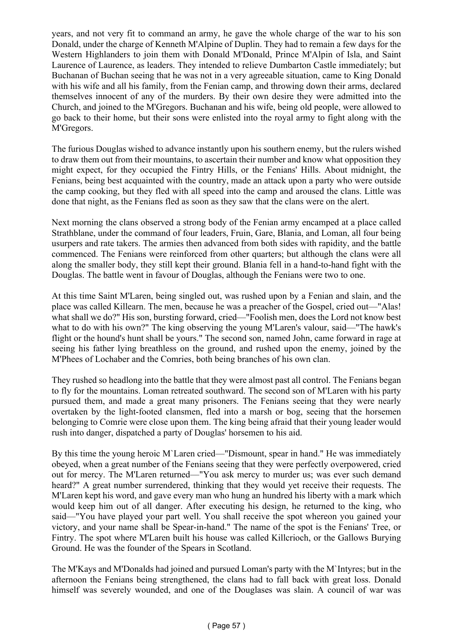years, and not very fit to command an army, he gave the whole charge of the war to his son Donald, under the charge of Kenneth M'Alpine of Duplin. They had to remain a few days for the Western Highlanders to join them with Donald M'Donald, Prince M'Alpin of Isla, and Saint Laurence of Laurence, as leaders. They intended to relieve Dumbarton Castle immediately; but Buchanan of Buchan seeing that he was not in a very agreeable situation, came to King Donald with his wife and all his family, from the Fenian camp, and throwing down their arms, declared themselves innocent of any of the murders. By their own desire they were admitted into the Church, and joined to the M'Gregors. Buchanan and his wife, being old people, were allowed to go back to their home, but their sons were enlisted into the royal army to fight along with the M'Gregors.

The furious Douglas wished to advance instantly upon his southern enemy, but the rulers wished to draw them out from their mountains, to ascertain their number and know what opposition they might expect, for they occupied the Fintry Hills, or the Fenians' Hills. About midnight, the Fenians, being best acquainted with the country, made an attack upon a party who were outside the camp cooking, but they fled with all speed into the camp and aroused the clans. Little was done that night, as the Fenians fled as soon as they saw that the clans were on the alert.

Next morning the clans observed a strong body of the Fenian army encamped at a place called Strathblane, under the command of four leaders, Fruin, Gare, Blania, and Loman, all four being usurpers and rate takers. The armies then advanced from both sides with rapidity, and the battle commenced. The Fenians were reinforced from other quarters; but although the clans were all along the smaller body, they still kept their ground. Blania fell in a hand-to-hand fight with the Douglas. The battle went in favour of Douglas, although the Fenians were two to one.

At this time Saint M'Laren, being singled out, was rushed upon by a Fenian and slain, and the place was called Killearn. The men, because he was a preacher of the Gospel, cried out—"Alas! what shall we do?" His son, bursting forward, cried—"Foolish men, does the Lord not know best what to do with his own?" The king observing the young M'Laren's valour, said—"The hawk's flight or the hound's hunt shall be yours." The second son, named John, came forward in rage at seeing his father lying breathless on the ground, and rushed upon the enemy, joined by the M'Phees of Lochaber and the Comries, both being branches of his own clan.

They rushed so headlong into the battle that they were almost past all control. The Fenians began to fly for the mountains. Loman retreated southward. The second son of M'Laren with his party pursued them, and made a great many prisoners. The Fenians seeing that they were nearly overtaken by the light-footed clansmen, fled into a marsh or bog, seeing that the horsemen belonging to Comrie were close upon them. The king being afraid that their young leader would rush into danger, dispatched a party of Douglas' horsemen to his aid.

By this time the young heroic M`Laren cried—"Dismount, spear in hand." He was immediately obeyed, when a great number of the Fenians seeing that they were perfectly overpowered, cried out for mercy. The M'Laren returned—"You ask mercy to murder us; was ever such demand heard?" A great number surrendered, thinking that they would yet receive their requests. The M'Laren kept his word, and gave every man who hung an hundred his liberty with a mark which would keep him out of all danger. After executing his design, he returned to the king, who said—"You have played your part well. You shall receive the spot whereon you gained your victory, and your name shall be Spear-in-hand." The name of the spot is the Fenians' Tree, or Fintry. The spot where M'Laren built his house was called Killcrioch, or the Gallows Burying Ground. He was the founder of the Spears in Scotland.

The M'Kays and M'Donalds had joined and pursued Loman's party with the M`Intyres; but in the afternoon the Fenians being strengthened, the clans had to fall back with great loss. Donald himself was severely wounded, and one of the Douglases was slain. A council of war was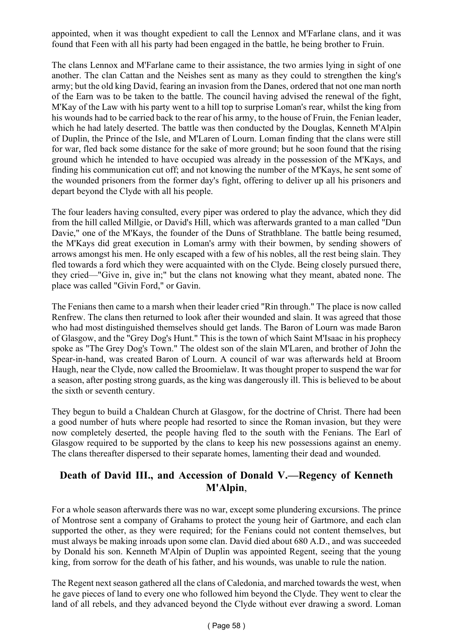appointed, when it was thought expedient to call the Lennox and M'Farlane clans, and it was found that Feen with all his party had been engaged in the battle, he being brother to Fruin.

The clans Lennox and M'Farlane came to their assistance, the two armies lying in sight of one another. The clan Cattan and the Neishes sent as many as they could to strengthen the king's army; but the old king David, fearing an invasion from the Danes, ordered that not one man north of the Earn was to be taken to the battle. The council having advised the renewal of the fight, M'Kay of the Law with his party went to a hill top to surprise Loman's rear, whilst the king from his wounds had to be carried back to the rear of his army, to the house of Fruin, the Fenian leader, which he had lately deserted. The battle was then conducted by the Douglas, Kenneth M'Alpin of Duplin, the Prince of the Isle, and M'Laren of Lourn. Loman finding that the clans were still for war, fled back some distance for the sake of more ground; but he soon found that the rising ground which he intended to have occupied was already in the possession of the M'Kays, and finding his communication cut off; and not knowing the number of the M'Kays, he sent some of the wounded prisoners from the former day's fight, offering to deliver up all his prisoners and depart beyond the Clyde with all his people.

The four leaders having consulted, every piper was ordered to play the advance, which they did from the hill called Millgie, or David's Hill, which was afterwards granted to a man called "Dun Davie," one of the M'Kays, the founder of the Duns of Strathblane. The battle being resumed, the M'Kays did great execution in Loman's army with their bowmen, by sending showers of arrows amongst his men. He only escaped with a few of his nobles, all the rest being slain. They fled towards a ford which they were acquainted with on the Clyde. Being closely pursued there, they cried—"Give in, give in;" but the clans not knowing what they meant, abated none. The place was called "Givin Ford," or Gavin.

The Fenians then came to a marsh when their leader cried "Rin through." The place is now called Renfrew. The clans then returned to look after their wounded and slain. It was agreed that those who had most distinguished themselves should get lands. The Baron of Lourn was made Baron of Glasgow, and the "Grey Dog's Hunt." This is the town of which Saint M'Isaac in his prophecy spoke as "The Grey Dog's Town." The oldest son of the slain M'Laren, and brother of John the Spear-in-hand, was created Baron of Lourn. A council of war was afterwards held at Broom Haugh, near the Clyde, now called the Broomielaw. It was thought proper to suspend the war for a season, after posting strong guards, as the king was dangerously ill. This is believed to be about the sixth or seventh century.

They begun to build a Chaldean Church at Glasgow, for the doctrine of Christ. There had been a good number of huts where people had resorted to since the Roman invasion, but they were now completely deserted, the people having fled to the south with the Fenians. The Earl of Glasgow required to be supported by the clans to keep his new possessions against an enemy. The clans thereafter dispersed to their separate homes, lamenting their dead and wounded.

### **Death of David III., and Accession of Donald V.—Regency of Kenneth M'Alpin**,

For a whole season afterwards there was no war, except some plundering excursions. The prince of Montrose sent a company of Grahams to protect the young heir of Gartmore, and each clan supported the other, as they were required; for the Fenians could not content themselves, but must always be making inroads upon some clan. David died about 680 A.D., and was succeeded by Donald his son. Kenneth M'Alpin of Duplin was appointed Regent, seeing that the young king, from sorrow for the death of his father, and his wounds, was unable to rule the nation.

The Regent next season gathered all the clans of Caledonia, and marched towards the west, when he gave pieces of land to every one who followed him beyond the Clyde. They went to clear the land of all rebels, and they advanced beyond the Clyde without ever drawing a sword. Loman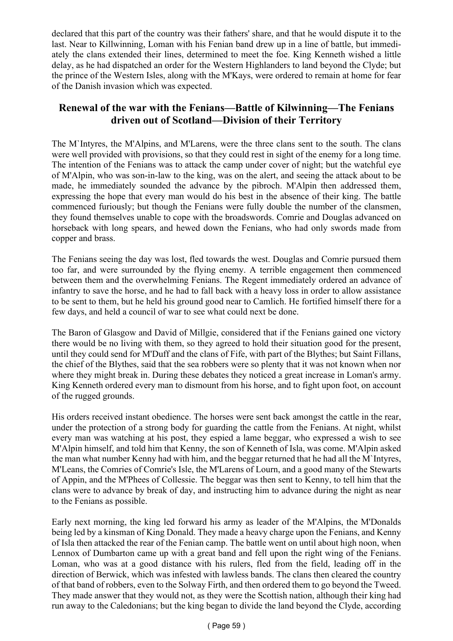declared that this part of the country was their fathers' share, and that he would dispute it to the last. Near to Killwinning, Loman with his Fenian band drew up in a line of battle, but immediately the clans extended their lines, determined to meet the foe. King Kenneth wished a little delay, as he had dispatched an order for the Western Highlanders to land beyond the Clyde; but the prince of the Western Isles, along with the M'Kays, were ordered to remain at home for fear of the Danish invasion which was expected.

# **Renewal of the war with the Fenians—Battle of Kilwinning—The Fenians driven out of Scotland—Division of their Territory**

The M`Intyres, the M'Alpins, and M'Larens, were the three clans sent to the south. The clans were well provided with provisions, so that they could rest in sight of the enemy for a long time. The intention of the Fenians was to attack the camp under cover of night; but the watchful eye of M'Alpin, who was son-in-law to the king, was on the alert, and seeing the attack about to be made, he immediately sounded the advance by the pibroch. M'Alpin then addressed them, expressing the hope that every man would do his best in the absence of their king. The battle commenced furiously; but though the Fenians were fully double the number of the clansmen, they found themselves unable to cope with the broadswords. Comrie and Douglas advanced on horseback with long spears, and hewed down the Fenians, who had only swords made from copper and brass.

The Fenians seeing the day was lost, fled towards the west. Douglas and Comrie pursued them too far, and were surrounded by the flying enemy. A terrible engagement then commenced between them and the overwhelming Fenians. The Regent immediately ordered an advance of infantry to save the horse, and he had to fall back with a heavy loss in order to allow assistance to be sent to them, but he held his ground good near to Camlich. He fortified himself there for a few days, and held a council of war to see what could next be done.

The Baron of Glasgow and David of Millgie, considered that if the Fenians gained one victory there would be no living with them, so they agreed to hold their situation good for the present, until they could send for M'Duff and the clans of Fife, with part of the Blythes; but Saint Fillans, the chief of the Blythes, said that the sea robbers were so plenty that it was not known when nor where they might break in. During these debates they noticed a great increase in Loman's army. King Kenneth ordered every man to dismount from his horse, and to fight upon foot, on account of the rugged grounds.

His orders received instant obedience. The horses were sent back amongst the cattle in the rear, under the protection of a strong body for guarding the cattle from the Fenians. At night, whilst every man was watching at his post, they espied a lame beggar, who expressed a wish to see M'Alpin himself, and told him that Kenny, the son of Kenneth of Isla, was come. M'Alpin asked the man what number Kenny had with him, and the beggar returned that he had all the M`Intyres, M'Leans, the Comries of Comrie's Isle, the M'Larens of Lourn, and a good many of the Stewarts of Appin, and the M'Phees of Collessie. The beggar was then sent to Kenny, to tell him that the clans were to advance by break of day, and instructing him to advance during the night as near to the Fenians as possible.

Early next morning, the king led forward his army as leader of the M'Alpins, the M'Donalds being led by a kinsman of King Donald. They made a heavy charge upon the Fenians, and Kenny of Isla then attacked the rear of the Fenian camp. The battle went on until about high noon, when Lennox of Dumbarton came up with a great band and fell upon the right wing of the Fenians. Loman, who was at a good distance with his rulers, fled from the field, leading off in the direction of Berwick, which was infested with lawless bands. The clans then cleared the country of that band of robbers, even to the Solway Firth, and then ordered them to go beyond the Tweed. They made answer that they would not, as they were the Scottish nation, although their king had run away to the Caledonians; but the king began to divide the land beyond the Clyde, according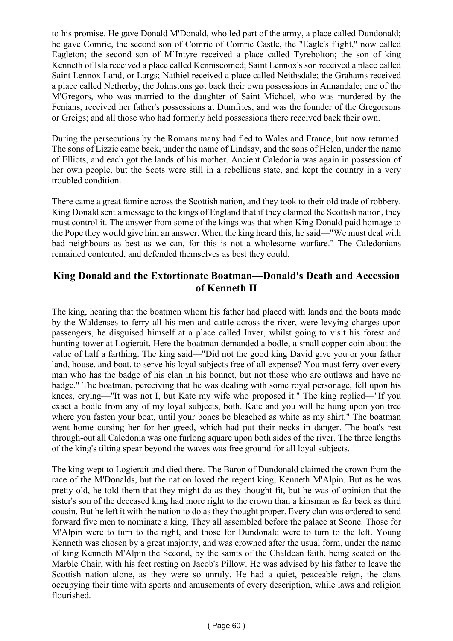to his promise. He gave Donald M'Donald, who led part of the army, a place called Dundonald; he gave Comrie, the second son of Comrie of Comrie Castle, the "Eagle's flight," now called Eagleton; the second son of M`Intyre received a place called Tyrebolton; the son of king Kenneth of Isla received a place called Kenniscomed; Saint Lennox's son received a place called Saint Lennox Land, or Largs; Nathiel received a place called Neithsdale; the Grahams received a place called Netherby; the Johnstons got back their own possessions in Annandale; one of the M'Gregors, who was married to the daughter of Saint Michael, who was murdered by the Fenians, received her father's possessions at Dumfries, and was the founder of the Gregorsons or Greigs; and all those who had formerly held possessions there received back their own.

During the persecutions by the Romans many had fled to Wales and France, but now returned. The sons of Lizzie came back, under the name of Lindsay, and the sons of Helen, under the name of Elliots, and each got the lands of his mother. Ancient Caledonia was again in possession of her own people, but the Scots were still in a rebellious state, and kept the country in a very troubled condition.

There came a great famine across the Scottish nation, and they took to their old trade of robbery. King Donald sent a message to the kings of England that if they claimed the Scottish nation, they must control it. The answer from some of the kings was that when King Donald paid homage to the Pope they would give him an answer. When the king heard this, he said—"We must deal with bad neighbours as best as we can, for this is not a wholesome warfare." The Caledonians remained contented, and defended themselves as best they could.

### **King Donald and the Extortionate Boatman—Donald's Death and Accession of Kenneth II**

The king, hearing that the boatmen whom his father had placed with lands and the boats made by the Waldenses to ferry all his men and cattle across the river, were levying charges upon passengers, he disguised himself at a place called Inver, whilst going to visit his forest and hunting-tower at Logierait. Here the boatman demanded a bodle, a small copper coin about the value of half a farthing. The king said—"Did not the good king David give you or your father land, house, and boat, to serve his loyal subjects free of all expense? You must ferry over every man who has the badge of his clan in his bonnet, but not those who are outlaws and have no badge." The boatman, perceiving that he was dealing with some royal personage, fell upon his knees, crying—"It was not I, but Kate my wife who proposed it." The king replied—"If you exact a bodle from any of my loyal subjects, both. Kate and you will be hung upon yon tree where you fasten your boat, until your bones be bleached as white as my shirt." The boatman went home cursing her for her greed, which had put their necks in danger. The boat's rest through-out all Caledonia was one furlong square upon both sides of the river. The three lengths of the king's tilting spear beyond the waves was free ground for all loyal subjects.

The king wept to Logierait and died there. The Baron of Dundonald claimed the crown from the race of the M'Donalds, but the nation loved the regent king, Kenneth M'Alpin. But as he was pretty old, he told them that they might do as they thought fit, but he was of opinion that the sister's son of the deceased king had more right to the crown than a kinsman as far back as third cousin. But he left it with the nation to do as they thought proper. Every clan was ordered to send forward five men to nominate a king. They all assembled before the palace at Scone. Those for M'Alpin were to turn to the right, and those for Dundonald were to turn to the left. Young Kenneth was chosen by a great majority, and was crowned after the usual form, under the name of king Kenneth M'Alpin the Second, by the saints of the Chaldean faith, being seated on the Marble Chair, with his feet resting on Jacob's Pillow. He was advised by his father to leave the Scottish nation alone, as they were so unruly. He had a quiet, peaceable reign, the clans occupying their time with sports and amusements of every description, while laws and religion flourished.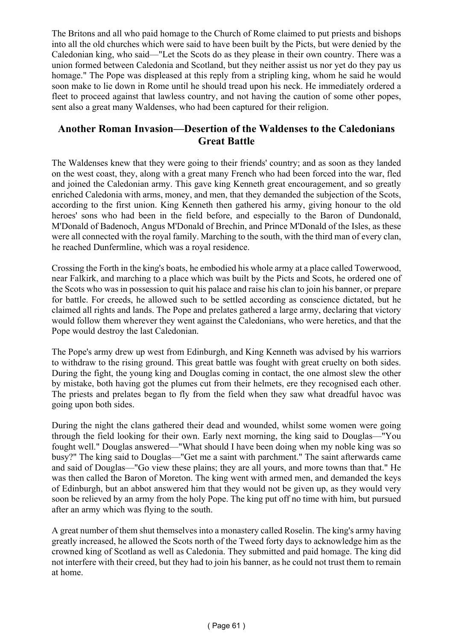The Britons and all who paid homage to the Church of Rome claimed to put priests and bishops into all the old churches which were said to have been built by the Picts, but were denied by the Caledonian king, who said—"Let the Scots do as they please in their own country. There was a union formed between Caledonia and Scotland, but they neither assist us nor yet do they pay us homage." The Pope was displeased at this reply from a stripling king, whom he said he would soon make to lie down in Rome until he should tread upon his neck. He immediately ordered a fleet to proceed against that lawless country, and not having the caution of some other popes, sent also a great many Waldenses, who had been captured for their religion.

### **Another Roman Invasion—Desertion of the Waldenses to the Caledonians Great Battle**

The Waldenses knew that they were going to their friends' country; and as soon as they landed on the west coast, they, along with a great many French who had been forced into the war, fled and joined the Caledonian army. This gave king Kenneth great encouragement, and so greatly enriched Caledonia with arms, money, and men, that they demanded the subjection of the Scots, according to the first union. King Kenneth then gathered his army, giving honour to the old heroes' sons who had been in the field before, and especially to the Baron of Dundonald, M'Donald of Badenoch, Angus M'Donald of Brechin, and Prince M'Donald of the Isles, as these were all connected with the royal family. Marching to the south, with the third man of every clan, he reached Dunfermline, which was a royal residence.

Crossing the Forth in the king's boats, he embodied his whole army at a place called Towerwood, near Falkirk, and marching to a place which was built by the Picts and Scots, he ordered one of the Scots who was in possession to quit his palace and raise his clan to join his banner, or prepare for battle. For creeds, he allowed such to be settled according as conscience dictated, but he claimed all rights and lands. The Pope and prelates gathered a large army, declaring that victory would follow them wherever they went against the Caledonians, who were heretics, and that the Pope would destroy the last Caledonian.

The Pope's army drew up west from Edinburgh, and King Kenneth was advised by his warriors to withdraw to the rising ground. This great battle was fought with great cruelty on both sides. During the fight, the young king and Douglas coming in contact, the one almost slew the other by mistake, both having got the plumes cut from their helmets, ere they recognised each other. The priests and prelates began to fly from the field when they saw what dreadful havoc was going upon both sides.

During the night the clans gathered their dead and wounded, whilst some women were going through the field looking for their own. Early next morning, the king said to Douglas—"You fought well." Douglas answered—"What should I have been doing when my noble king was so busy?" The king said to Douglas—"Get me a saint with parchment." The saint afterwards came and said of Douglas—"Go view these plains; they are all yours, and more towns than that." He was then called the Baron of Moreton. The king went with armed men, and demanded the keys of Edinburgh, but an abbot answered him that they would not be given up, as they would very soon be relieved by an army from the holy Pope. The king put off no time with him, but pursued after an army which was flying to the south.

A great number of them shut themselves into a monastery called Roselin. The king's army having greatly increased, he allowed the Scots north of the Tweed forty days to acknowledge him as the crowned king of Scotland as well as Caledonia. They submitted and paid homage. The king did not interfere with their creed, but they had to join his banner, as he could not trust them to remain at home.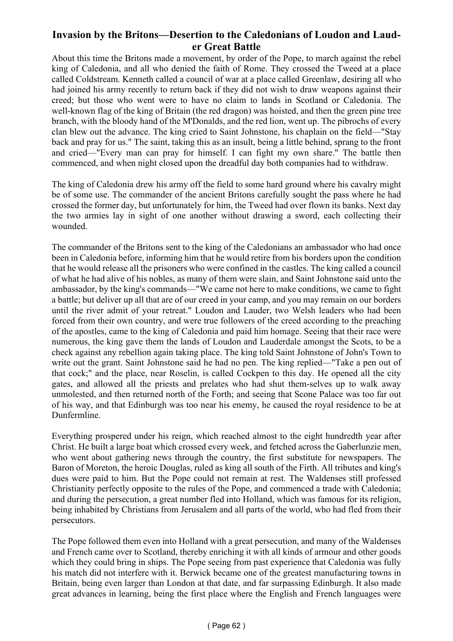# **Invasion by the Britons—Desertion to the Caledonians of Loudon and Lauder Great Battle**

About this time the Britons made a movement, by order of the Pope, to march against the rebel king of Caledonia, and all who denied the faith of Rome. They crossed the Tweed at a place called Coldstream. Kenneth called a council of war at a place called Greenlaw, desiring all who had joined his army recently to return back if they did not wish to draw weapons against their creed; but those who went were to have no claim to lands in Scotland or Caledonia. The well-known flag of the king of Britain (the red dragon) was hoisted, and then the green pine tree branch, with the bloody hand of the M'Donalds, and the red lion, went up. The pibrochs of every clan blew out the advance. The king cried to Saint Johnstone, his chaplain on the field—"Stay back and pray for us." The saint, taking this as an insult, being a little behind, sprang to the front and cried—"Every man can pray for himself. I can fight my own share." The battle then commenced, and when night closed upon the dreadful day both companies had to withdraw.

The king of Caledonia drew his army off the field to some hard ground where his cavalry might be of some use. The commander of the ancient Britons carefully sought the pass where he had crossed the former day, but unfortunately for him, the Tweed had over flown its banks. Next day the two armies lay in sight of one another without drawing a sword, each collecting their wounded.

The commander of the Britons sent to the king of the Caledonians an ambassador who had once been in Caledonia before, informing him that he would retire from his borders upon the condition that he would release all the prisoners who were confined in the castles. The king called a council of what he had alive of his nobles, as many of them were slain, and Saint Johnstone said unto the ambassador, by the king's commands—"We came not here to make conditions, we came to fight a battle; but deliver up all that are of our creed in your camp, and you may remain on our borders until the river admit of your retreat." Loudon and Lauder, two Welsh leaders who had been forced from their own country, and were true followers of the creed according to the preaching of the apostles, came to the king of Caledonia and paid him homage. Seeing that their race were numerous, the king gave them the lands of Loudon and Lauderdale amongst the Scots, to be a check against any rebellion again taking place. The king told Saint Johnstone of John's Town to write out the grant. Saint Johnstone said he had no pen. The king replied—"Take a pen out of that cock;" and the place, near Roselin, is called Cockpen to this day. He opened all the city gates, and allowed all the priests and prelates who had shut them-selves up to walk away unmolested, and then returned north of the Forth; and seeing that Scone Palace was too far out of his way, and that Edinburgh was too near his enemy, he caused the royal residence to be at Dunfermline.

Everything prospered under his reign, which reached almost to the eight hundredth year after Christ. He built a large boat which crossed every week, and fetched across the Gaberlunzie men, who went about gathering news through the country, the first substitute for newspapers. The Baron of Moreton, the heroic Douglas, ruled as king all south of the Firth. All tributes and king's dues were paid to him. But the Pope could not remain at rest. The Waldenses still professed Christianity perfectly opposite to the rules of the Pope, and commenced a trade with Caledonia; and during the persecution, a great number fled into Holland, which was famous for its religion, being inhabited by Christians from Jerusalem and all parts of the world, who had fled from their persecutors.

The Pope followed them even into Holland with a great persecution, and many of the Waldenses and French came over to Scotland, thereby enriching it with all kinds of armour and other goods which they could bring in ships. The Pope seeing from past experience that Caledonia was fully his match did not interfere with it. Berwick became one of the greatest manufacturing towns in Britain, being even larger than London at that date, and far surpassing Edinburgh. It also made great advances in learning, being the first place where the English and French languages were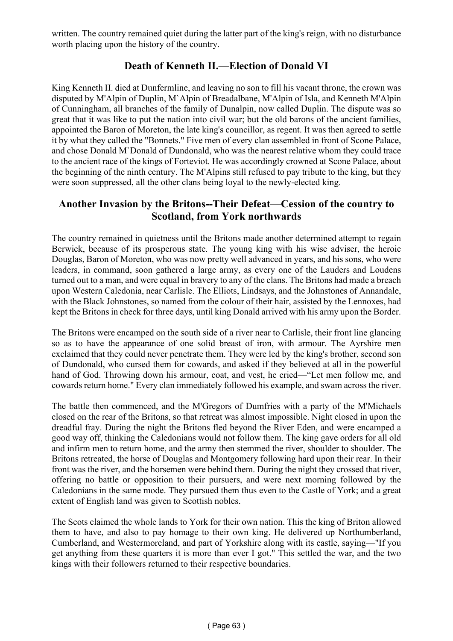written. The country remained quiet during the latter part of the king's reign, with no disturbance worth placing upon the history of the country.

# **Death of Kenneth II.—Election of Donald VI**

King Kenneth II. died at Dunfermline, and leaving no son to fill his vacant throne, the crown was disputed by M'Alpin of Duplin, M`Alpin of Breadalbane, M'Alpin of Isla, and Kenneth M'Alpin of Cunningham, all branches of the family of Dunalpin, now called Duplin. The dispute was so great that it was like to put the nation into civil war; but the old barons of the ancient families, appointed the Baron of Moreton, the late king's councillor, as regent. It was then agreed to settle it by what they called the "Bonnets." Five men of every clan assembled in front of Scone Palace, and chose Donald M`Donald of Dundonald, who was the nearest relative whom they could trace to the ancient race of the kings of Forteviot. He was accordingly crowned at Scone Palace, about the beginning of the ninth century. The M'Alpins still refused to pay tribute to the king, but they were soon suppressed, all the other clans being loyal to the newly-elected king.

#### **Another Invasion by the Britons--Their Defeat—Cession of the country to Scotland, from York northwards**

The country remained in quietness until the Britons made another determined attempt to regain Berwick, because of its prosperous state. The young king with his wise adviser, the heroic Douglas, Baron of Moreton, who was now pretty well advanced in years, and his sons, who were leaders, in command, soon gathered a large army, as every one of the Lauders and Loudens turned out to a man, and were equal in bravery to any of the clans. The Britons had made a breach upon Western Caledonia, near Carlisle. The Elliots, Lindsays, and the Johnstones of Annandale, with the Black Johnstones, so named from the colour of their hair, assisted by the Lennoxes, had kept the Britons in check for three days, until king Donald arrived with his army upon the Border.

The Britons were encamped on the south side of a river near to Carlisle, their front line glancing so as to have the appearance of one solid breast of iron, with armour. The Ayrshire men exclaimed that they could never penetrate them. They were led by the king's brother, second son of Dundonald, who cursed them for cowards, and asked if they believed at all in the powerful hand of God. Throwing down his armour, coat, and vest, he cried—"Let men follow me, and cowards return home." Every clan immediately followed his example, and swam across the river.

The battle then commenced, and the M'Gregors of Dumfries with a party of the M'Michaels closed on the rear of the Britons, so that retreat was almost impossible. Night closed in upon the dreadful fray. During the night the Britons fled beyond the River Eden, and were encamped a good way off, thinking the Caledonians would not follow them. The king gave orders for all old and infirm men to return home, and the army then stemmed the river, shoulder to shoulder. The Britons retreated, the horse of Douglas and Montgomery following hard upon their rear. In their front was the river, and the horsemen were behind them. During the night they crossed that river, offering no battle or opposition to their pursuers, and were next morning followed by the Caledonians in the same mode. They pursued them thus even to the Castle of York; and a great extent of English land was given to Scottish nobles.

The Scots claimed the whole lands to York for their own nation. This the king of Briton allowed them to have, and also to pay homage to their own king. He delivered up Northumberland, Cumberland, and Westermoreland, and part of Yorkshire along with its castle, saying—"If you get anything from these quarters it is more than ever I got." This settled the war, and the two kings with their followers returned to their respective boundaries.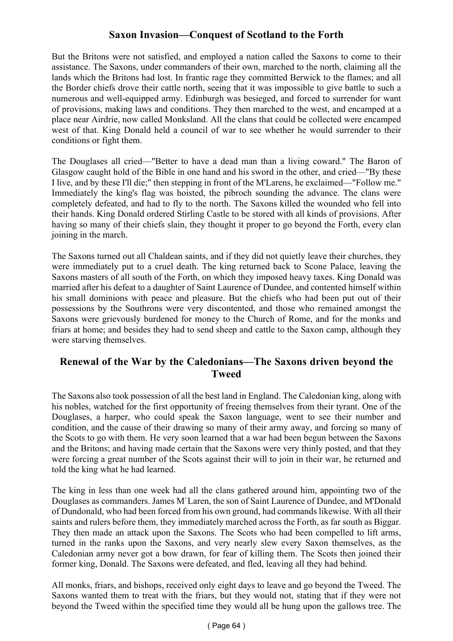# **Saxon Invasion—Conquest of Scotland to the Forth**

But the Britons were not satisfied, and employed a nation called the Saxons to come to their assistance. The Saxons, under commanders of their own, marched to the north, claiming all the lands which the Britons had lost. In frantic rage they committed Berwick to the flames; and all the Border chiefs drove their cattle north, seeing that it was impossible to give battle to such a numerous and well-equipped army. Edinburgh was besieged, and forced to surrender for want of provisions, making laws and conditions. They then marched to the west, and encamped at a place near Airdrie, now called Monksland. All the clans that could be collected were encamped west of that. King Donald held a council of war to see whether he would surrender to their conditions or fight them.

The Douglases all cried—"Better to have a dead man than a living coward." The Baron of Glasgow caught hold of the Bible in one hand and his sword in the other, and cried—"By these I live, and by these I'll die;" then stepping in front of the M'Larens, he exclaimed—"Follow me." Immediately the king's flag was hoisted, the pibroch sounding the advance. The clans were completely defeated, and had to fly to the north. The Saxons killed the wounded who fell into their hands. King Donald ordered Stirling Castle to be stored with all kinds of provisions. After having so many of their chiefs slain, they thought it proper to go beyond the Forth, every clan joining in the march.

The Saxons turned out all Chaldean saints, and if they did not quietly leave their churches, they were immediately put to a cruel death. The king returned back to Scone Palace, leaving the Saxons masters of all south of the Forth, on which they imposed heavy taxes. King Donald was married after his defeat to a daughter of Saint Laurence of Dundee, and contented himself within his small dominions with peace and pleasure. But the chiefs who had been put out of their possessions by the Southrons were very discontented, and those who remained amongst the Saxons were grievously burdened for money to the Church of Rome, and for the monks and friars at home; and besides they had to send sheep and cattle to the Saxon camp, although they were starving themselves.

### **Renewal of the War by the Caledonians—The Saxons driven beyond the Tweed**

The Saxons also took possession of all the best land in England. The Caledonian king, along with his nobles, watched for the first opportunity of freeing themselves from their tyrant. One of the Douglases, a harper, who could speak the Saxon language, went to see their number and condition, and the cause of their drawing so many of their army away, and forcing so many of the Scots to go with them. He very soon learned that a war had been begun between the Saxons and the Britons; and having made certain that the Saxons were very thinly posted, and that they were forcing a great number of the Scots against their will to join in their war, he returned and told the king what he had learned.

The king in less than one week had all the clans gathered around him, appointing two of the Douglases as commanders. James M`Laren, the son of Saint Laurence of Dundee, and M'Donald of Dundonald, who had been forced from his own ground, had commands likewise. With all their saints and rulers before them, they immediately marched across the Forth, as far south as Biggar. They then made an attack upon the Saxons. The Scots who had been compelled to lift arms, turned in the ranks upon the Saxons, and very nearly slew every Saxon themselves, as the Caledonian army never got a bow drawn, for fear of killing them. The Scots then joined their former king, Donald. The Saxons were defeated, and fled, leaving all they had behind.

All monks, friars, and bishops, received only eight days to leave and go beyond the Tweed. The Saxons wanted them to treat with the friars, but they would not, stating that if they were not beyond the Tweed within the specified time they would all be hung upon the gallows tree. The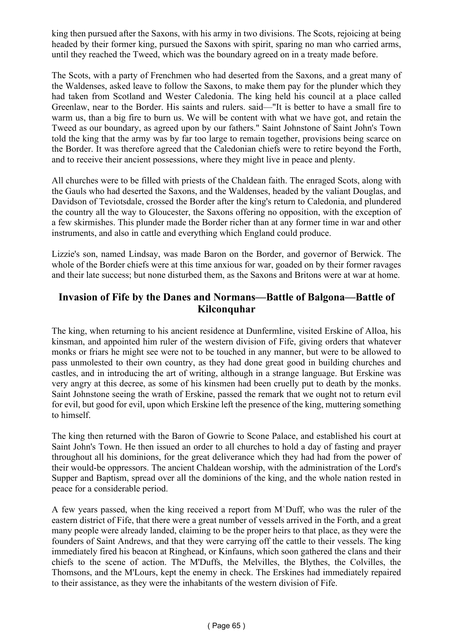king then pursued after the Saxons, with his army in two divisions. The Scots, rejoicing at being headed by their former king, pursued the Saxons with spirit, sparing no man who carried arms, until they reached the Tweed, which was the boundary agreed on in a treaty made before.

The Scots, with a party of Frenchmen who had deserted from the Saxons, and a great many of the Waldenses, asked leave to follow the Saxons, to make them pay for the plunder which they had taken from Scotland and Wester Caledonia. The king held his council at a place called Greenlaw, near to the Border. His saints and rulers. said—"It is better to have a small fire to warm us, than a big fire to burn us. We will be content with what we have got, and retain the Tweed as our boundary, as agreed upon by our fathers." Saint Johnstone of Saint John's Town told the king that the army was by far too large to remain together, provisions being scarce on the Border. It was therefore agreed that the Caledonian chiefs were to retire beyond the Forth, and to receive their ancient possessions, where they might live in peace and plenty.

All churches were to be filled with priests of the Chaldean faith. The enraged Scots, along with the Gauls who had deserted the Saxons, and the Waldenses, headed by the valiant Douglas, and Davidson of Teviotsdale, crossed the Border after the king's return to Caledonia, and plundered the country all the way to Gloucester, the Saxons offering no opposition, with the exception of a few skirmishes. This plunder made the Border richer than at any former time in war and other instruments, and also in cattle and everything which England could produce.

Lizzie's son, named Lindsay, was made Baron on the Border, and governor of Berwick. The whole of the Border chiefs were at this time anxious for war, goaded on by their former ravages and their late success; but none disturbed them, as the Saxons and Britons were at war at home.

### **Invasion of Fife by the Danes and Normans—Battle of Balgona—Battle of Kilconquhar**

The king, when returning to his ancient residence at Dunfermline, visited Erskine of Alloa, his kinsman, and appointed him ruler of the western division of Fife, giving orders that whatever monks or friars he might see were not to be touched in any manner, but were to be allowed to pass unmolested to their own country, as they had done great good in building churches and castles, and in introducing the art of writing, although in a strange language. But Erskine was very angry at this decree, as some of his kinsmen had been cruelly put to death by the monks. Saint Johnstone seeing the wrath of Erskine, passed the remark that we ought not to return evil for evil, but good for evil, upon which Erskine left the presence of the king, muttering something to himself.

The king then returned with the Baron of Gowrie to Scone Palace, and established his court at Saint John's Town. He then issued an order to all churches to hold a day of fasting and prayer throughout all his dominions, for the great deliverance which they had had from the power of their would-be oppressors. The ancient Chaldean worship, with the administration of the Lord's Supper and Baptism, spread over all the dominions of the king, and the whole nation rested in peace for a considerable period.

A few years passed, when the king received a report from M`Duff, who was the ruler of the eastern district of Fife, that there were a great number of vessels arrived in the Forth, and a great many people were already landed, claiming to be the proper heirs to that place, as they were the founders of Saint Andrews, and that they were carrying off the cattle to their vessels. The king immediately fired his beacon at Ringhead, or Kinfauns, which soon gathered the clans and their chiefs to the scene of action. The M'Duffs, the Melvilles, the Blythes, the Colvilles, the Thomsons, and the M'Lours, kept the enemy in check. The Erskines had immediately repaired to their assistance, as they were the inhabitants of the western division of Fife.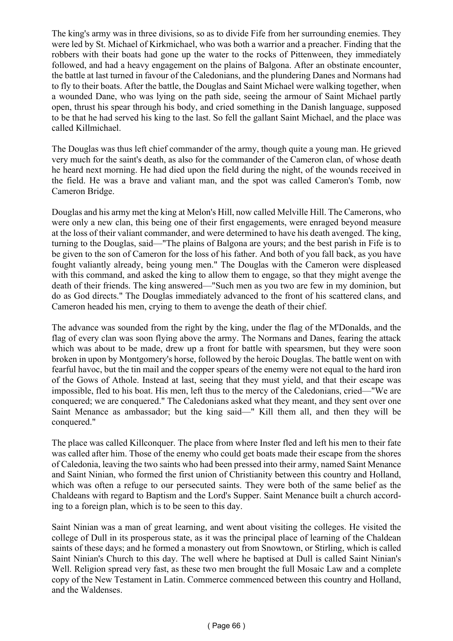The king's army was in three divisions, so as to divide Fife from her surrounding enemies. They were led by St. Michael of Kirkmichael, who was both a warrior and a preacher. Finding that the robbers with their boats had gone up the water to the rocks of Pittenween, they immediately followed, and had a heavy engagement on the plains of Balgona. After an obstinate encounter, the battle at last turned in favour of the Caledonians, and the plundering Danes and Normans had to fly to their boats. After the battle, the Douglas and Saint Michael were walking together, when a wounded Dane, who was lying on the path side, seeing the armour of Saint Michael partly open, thrust his spear through his body, and cried something in the Danish language, supposed to be that he had served his king to the last. So fell the gallant Saint Michael, and the place was called Killmichael.

The Douglas was thus left chief commander of the army, though quite a young man. He grieved very much for the saint's death, as also for the commander of the Cameron clan, of whose death he heard next morning. He had died upon the field during the night, of the wounds received in the field. He was a brave and valiant man, and the spot was called Cameron's Tomb, now Cameron Bridge.

Douglas and his army met the king at Melon's Hill, now called Melville Hill. The Camerons, who were only a new clan, this being one of their first engagements, were enraged beyond measure at the loss of their valiant commander, and were determined to have his death avenged. The king, turning to the Douglas, said—"The plains of Balgona are yours; and the best parish in Fife is to be given to the son of Cameron for the loss of his father. And both of you fall back, as you have fought valiantly already, being young men." The Douglas with the Cameron were displeased with this command, and asked the king to allow them to engage, so that they might avenge the death of their friends. The king answered—"Such men as you two are few in my dominion, but do as God directs." The Douglas immediately advanced to the front of his scattered clans, and Cameron headed his men, crying to them to avenge the death of their chief.

The advance was sounded from the right by the king, under the flag of the M'Donalds, and the flag of every clan was soon flying above the army. The Normans and Danes, fearing the attack which was about to be made, drew up a front for battle with spearsmen, but they were soon broken in upon by Montgomery's horse, followed by the heroic Douglas. The battle went on with fearful havoc, but the tin mail and the copper spears of the enemy were not equal to the hard iron of the Gows of Athole. Instead at last, seeing that they must yield, and that their escape was impossible, fled to his boat. His men, left thus to the mercy of the Caledonians, cried—"We are conquered; we are conquered." The Caledonians asked what they meant, and they sent over one Saint Menance as ambassador; but the king said—" Kill them all, and then they will be conquered."

The place was called Killconquer. The place from where Inster fled and left his men to their fate was called after him. Those of the enemy who could get boats made their escape from the shores of Caledonia, leaving the two saints who had been pressed into their army, named Saint Menance and Saint Ninian, who formed the first union of Christianity between this country and Holland, which was often a refuge to our persecuted saints. They were both of the same belief as the Chaldeans with regard to Baptism and the Lord's Supper. Saint Menance built a church according to a foreign plan, which is to be seen to this day.

Saint Ninian was a man of great learning, and went about visiting the colleges. He visited the college of Dull in its prosperous state, as it was the principal place of learning of the Chaldean saints of these days; and he formed a monastery out from Snowtown, or Stirling, which is called Saint Ninian's Church to this day. The well where he baptised at Dull is called Saint Ninian's Well. Religion spread very fast, as these two men brought the full Mosaic Law and a complete copy of the New Testament in Latin. Commerce commenced between this country and Holland, and the Waldenses.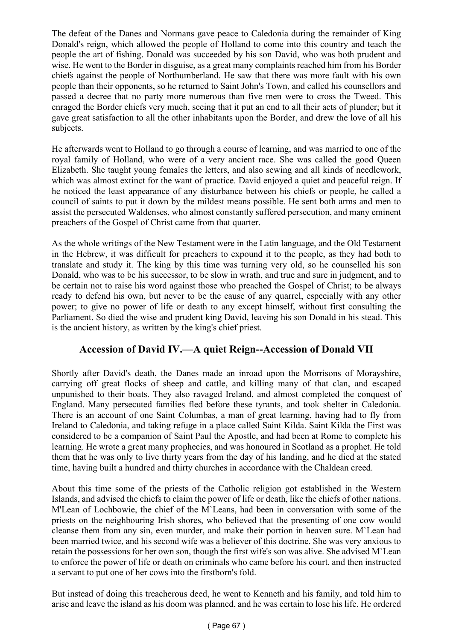The defeat of the Danes and Normans gave peace to Caledonia during the remainder of King Donald's reign, which allowed the people of Holland to come into this country and teach the people the art of fishing. Donald was succeeded by his son David, who was both prudent and wise. He went to the Border in disguise, as a great many complaints reached him from his Border chiefs against the people of Northumberland. He saw that there was more fault with his own people than their opponents, so he returned to Saint John's Town, and called his counsellors and passed a decree that no party more numerous than five men were to cross the Tweed. This enraged the Border chiefs very much, seeing that it put an end to all their acts of plunder; but it gave great satisfaction to all the other inhabitants upon the Border, and drew the love of all his subjects.

He afterwards went to Holland to go through a course of learning, and was married to one of the royal family of Holland, who were of a very ancient race. She was called the good Queen Elizabeth. She taught young females the letters, and also sewing and all kinds of needlework, which was almost extinct for the want of practice. David enjoyed a quiet and peaceful reign. If he noticed the least appearance of any disturbance between his chiefs or people, he called a council of saints to put it down by the mildest means possible. He sent both arms and men to assist the persecuted Waldenses, who almost constantly suffered persecution, and many eminent preachers of the Gospel of Christ came from that quarter.

As the whole writings of the New Testament were in the Latin language, and the Old Testament in the Hebrew, it was difficult for preachers to expound it to the people, as they had both to translate and study it. The king by this time was turning very old, so he counselled his son Donald, who was to be his successor, to be slow in wrath, and true and sure in judgment, and to be certain not to raise his word against those who preached the Gospel of Christ; to be always ready to defend his own, but never to be the cause of any quarrel, especially with any other power; to give no power of life or death to any except himself, without first consulting the Parliament. So died the wise and prudent king David, leaving his son Donald in his stead. This is the ancient history, as written by the king's chief priest.

# **Accession of David IV.—A quiet Reign--Accession of Donald VII**

Shortly after David's death, the Danes made an inroad upon the Morrisons of Morayshire, carrying off great flocks of sheep and cattle, and killing many of that clan, and escaped unpunished to their boats. They also ravaged Ireland, and almost completed the conquest of England. Many persecuted families fled before these tyrants, and took shelter in Caledonia. There is an account of one Saint Columbas, a man of great learning, having had to fly from Ireland to Caledonia, and taking refuge in a place called Saint Kilda. Saint Kilda the First was considered to be a companion of Saint Paul the Apostle, and had been at Rome to complete his learning. He wrote a great many prophecies, and was honoured in Scotland as a prophet. He told them that he was only to live thirty years from the day of his landing, and he died at the stated time, having built a hundred and thirty churches in accordance with the Chaldean creed.

About this time some of the priests of the Catholic religion got established in the Western Islands, and advised the chiefs to claim the power of life or death, like the chiefs of other nations. M'Lean of Lochbowie, the chief of the M`Leans, had been in conversation with some of the priests on the neighbouring Irish shores, who believed that the presenting of one cow would cleanse them from any sin, even murder, and make their portion in heaven sure. M`Lean had been married twice, and his second wife was a believer of this doctrine. She was very anxious to retain the possessions for her own son, though the first wife's son was alive. She advised M`Lean to enforce the power of life or death on criminals who came before his court, and then instructed a servant to put one of her cows into the firstborn's fold.

But instead of doing this treacherous deed, he went to Kenneth and his family, and told him to arise and leave the island as his doom was planned, and he was certain to lose his life. He ordered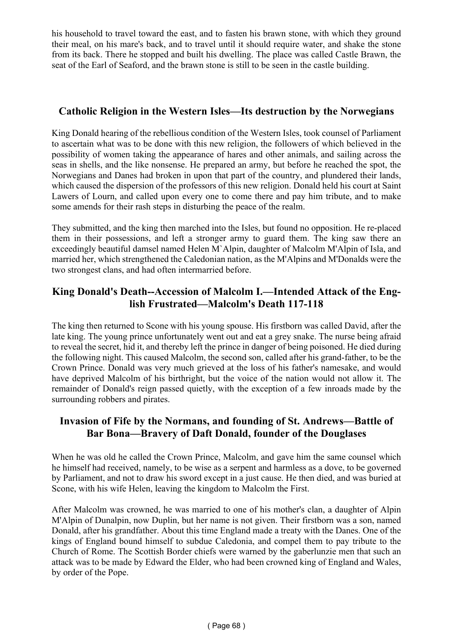his household to travel toward the east, and to fasten his brawn stone, with which they ground their meal, on his mare's back, and to travel until it should require water, and shake the stone from its back. There he stopped and built his dwelling. The place was called Castle Brawn, the seat of the Earl of Seaford, and the brawn stone is still to be seen in the castle building.

### **Catholic Religion in the Western Isles—Its destruction by the Norwegians**

King Donald hearing of the rebellious condition of the Western Isles, took counsel of Parliament to ascertain what was to be done with this new religion, the followers of which believed in the possibility of women taking the appearance of hares and other animals, and sailing across the seas in shells, and the like nonsense. He prepared an army, but before he reached the spot, the Norwegians and Danes had broken in upon that part of the country, and plundered their lands, which caused the dispersion of the professors of this new religion. Donald held his court at Saint Lawers of Lourn, and called upon every one to come there and pay him tribute, and to make some amends for their rash steps in disturbing the peace of the realm.

They submitted, and the king then marched into the Isles, but found no opposition. He re-placed them in their possessions, and left a stronger army to guard them. The king saw there an exceedingly beautiful damsel named Helen M`Alpin, daughter of Malcolm M'Alpin of Isla, and married her, which strengthened the Caledonian nation, as the M'Alpins and M'Donalds were the two strongest clans, and had often intermarried before.

### **King Donald's Death--Accession of Malcolm I.—Intended Attack of the English Frustrated—Malcolm's Death 117-118**

The king then returned to Scone with his young spouse. His firstborn was called David, after the late king. The young prince unfortunately went out and eat a grey snake. The nurse being afraid to reveal the secret, hid it, and thereby left the prince in danger of being poisoned. He died during the following night. This caused Malcolm, the second son, called after his grand-father, to be the Crown Prince. Donald was very much grieved at the loss of his father's namesake, and would have deprived Malcolm of his birthright, but the voice of the nation would not allow it. The remainder of Donald's reign passed quietly, with the exception of a few inroads made by the surrounding robbers and pirates.

#### **Invasion of Fife by the Normans, and founding of St. Andrews—Battle of Bar Bona—Bravery of Daft Donald, founder of the Douglases**

When he was old he called the Crown Prince, Malcolm, and gave him the same counsel which he himself had received, namely, to be wise as a serpent and harmless as a dove, to be governed by Parliament, and not to draw his sword except in a just cause. He then died, and was buried at Scone, with his wife Helen, leaving the kingdom to Malcolm the First.

After Malcolm was crowned, he was married to one of his mother's clan, a daughter of Alpin M'Alpin of Dunalpin, now Duplin, but her name is not given. Their firstborn was a son, named Donald, after his grandfather. About this time England made a treaty with the Danes. One of the kings of England bound himself to subdue Caledonia, and compel them to pay tribute to the Church of Rome. The Scottish Border chiefs were warned by the gaberlunzie men that such an attack was to be made by Edward the Elder, who had been crowned king of England and Wales, by order of the Pope.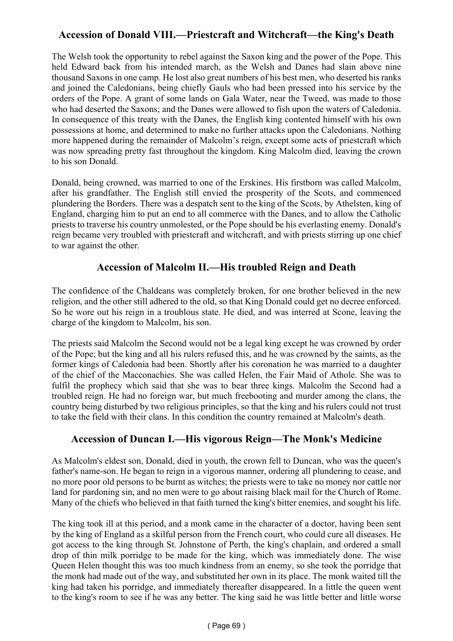# **Accession of Donald VIII.—Priestcraft and Witchcraft—the King's Death**

The Welsh took the opportunity to rebel against the Saxon king and the power of the Pope. This held Edward back from his intended march, as the Welsh and Danes had slain above nine thousand Saxons in one camp. He lost also great numbers of his best men, who deserted his ranks and joined the Caledonians, being chiefly Gauls who had been pressed into his service by the orders of the Pope. A grant of some lands on Gala Water, near the Tweed, was made to those who had deserted the Saxons; and the Danes were allowed to fish upon the waters of Caledonia. In consequence of this treaty with the Danes, the English king contented himself with his own possessions at home, and determined to make no further attacks upon the Caledonians. Nothing more happened during the remainder of Malcolm's reign, except some acts of priestcraft which was now spreading pretty fast throughout the kingdom. King Malcolm died, leaving the crown to his son Donald.

Donald, being crowned, was married to one of the Erskines. His firstborn was called Malcolm, after his grandfather. The English still envied the prosperity of the Scots, and commenced plundering the Borders. There was a despatch sent to the king of the Scots, by Athelsten, king of England, charging him to put an end to all commerce with the Danes, and to allow the Catholic priests to traverse his country unmolested, or the Pope should be his everlasting enemy. Donald's reign became very troubled with priestcraft and witchcraft, and with priests stirring up one chief to war against the other.

# **Accession of Malcolm II.—His troubled Reign and Death**

The confidence of the Chaldeans was completely broken, for one brother believed in the new religion, and the other still adhered to the old, so that King Donald could get no decree enforced. So he wore out his reign in a troublous state. He died, and was interred at Scone, leaving the charge of the kingdom to Malcolm, his son.

The priests said Malcolm the Second would not be a legal king except he was crowned by order of the Pope; but the king and all his rulers refused this, and he was crowned by the saints, as the former kings of Caledonia had been. Shortly after his coronation he was married to a daughter of the chief of the Macconachies. She was called Helen, the Fair Maid of Athole. She was to fulfil the prophecy which said that she was to bear three kings. Malcolm the Second had a troubled reign. He had no foreign war, but much freebooting and murder among the clans, the country being disturbed by two religious principles, so that the king and his rulers could not trust to take the field with their clans. In this condition the country remained at Malcolm's death.

# **Accession of Duncan I.—His vigorous Reign—The Monk's Medicine**

As Malcolm's eldest son, Donald, died in youth, the crown fell to Duncan, who was the queen's father's name-son. He began to reign in a vigorous manner, ordering all plundering to cease, and no more poor old persons to be burnt as witches; the priests were to take no money nor cattle nor land for pardoning sin, and no men were to go about raising black mail for the Church of Rome. Many of the chiefs who believed in that faith turned the king's bitter enemies, and sought his life.

The king took ill at this period, and a monk came in the character of a doctor, having been sent by the king of England as a skilful person from the French court, who could cure all diseases. He got access to the king through St. Johnstone of Perth, the king's chaplain, and ordered a small drop of thin milk porridge to be made for the king, which was immediately done. The wise Queen Helen thought this was too much kindness from an enemy, so she took the porridge that the monk had made out of the way, and substituted her own in its place. The monk waited till the king had taken his porridge, and immediately thereafter disappeared. In a little the queen went to the king's room to see if he was any better. The king said he was little better and little worse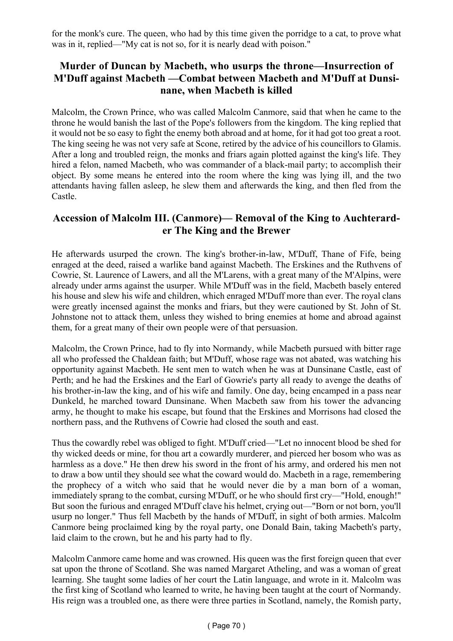for the monk's cure. The queen, who had by this time given the porridge to a cat, to prove what was in it, replied—"My cat is not so, for it is nearly dead with poison."

# **Murder of Duncan by Macbeth, who usurps the throne—Insurrection of M'Duff against Macbeth —Combat between Macbeth and M'Duff at Dunsinane, when Macbeth is killed**

Malcolm, the Crown Prince, who was called Malcolm Canmore, said that when he came to the throne he would banish the last of the Pope's followers from the kingdom. The king replied that it would not be so easy to fight the enemy both abroad and at home, for it had got too great a root. The king seeing he was not very safe at Scone, retired by the advice of his councillors to Glamis. After a long and troubled reign, the monks and friars again plotted against the king's life. They hired a felon, named Macbeth, who was commander of a black-mail party; to accomplish their object. By some means he entered into the room where the king was lying ill, and the two attendants having fallen asleep, he slew them and afterwards the king, and then fled from the Castle.

### **Accession of Malcolm III. (Canmore)— Removal of the King to Auchterarder The King and the Brewer**

He afterwards usurped the crown. The king's brother-in-law, M'Duff, Thane of Fife, being enraged at the deed, raised a warlike band against Macbeth. The Erskines and the Ruthvens of Cowrie, St. Laurence of Lawers, and all the M'Larens, with a great many of the M'Alpins, were already under arms against the usurper. While M'Duff was in the field, Macbeth basely entered his house and slew his wife and children, which enraged M'Duff more than ever. The royal clans were greatly incensed against the monks and friars, but they were cautioned by St. John of St. Johnstone not to attack them, unless they wished to bring enemies at home and abroad against them, for a great many of their own people were of that persuasion.

Malcolm, the Crown Prince, had to fly into Normandy, while Macbeth pursued with bitter rage all who professed the Chaldean faith; but M'Duff, whose rage was not abated, was watching his opportunity against Macbeth. He sent men to watch when he was at Dunsinane Castle, east of Perth; and he had the Erskines and the Earl of Gowrie's party all ready to avenge the deaths of his brother-in-law the king, and of his wife and family. One day, being encamped in a pass near Dunkeld, he marched toward Dunsinane. When Macbeth saw from his tower the advancing army, he thought to make his escape, but found that the Erskines and Morrisons had closed the northern pass, and the Ruthvens of Cowrie had closed the south and east.

Thus the cowardly rebel was obliged to fight. M'Duff cried—"Let no innocent blood be shed for thy wicked deeds or mine, for thou art a cowardly murderer, and pierced her bosom who was as harmless as a dove." He then drew his sword in the front of his army, and ordered his men not to draw a bow until they should see what the coward would do. Macbeth in a rage, remembering the prophecy of a witch who said that he would never die by a man born of a woman, immediately sprang to the combat, cursing M'Duff, or he who should first cry—"Hold, enough!" But soon the furious and enraged M'Duff clave his helmet, crying out—"Born or not born, you'll usurp no longer." Thus fell Macbeth by the hands of M'Duff, in sight of both armies. Malcolm Canmore being proclaimed king by the royal party, one Donald Bain, taking Macbeth's party, laid claim to the crown, but he and his party had to fly.

Malcolm Canmore came home and was crowned. His queen was the first foreign queen that ever sat upon the throne of Scotland. She was named Margaret Atheling, and was a woman of great learning. She taught some ladies of her court the Latin language, and wrote in it. Malcolm was the first king of Scotland who learned to write, he having been taught at the court of Normandy. His reign was a troubled one, as there were three parties in Scotland, namely, the Romish party,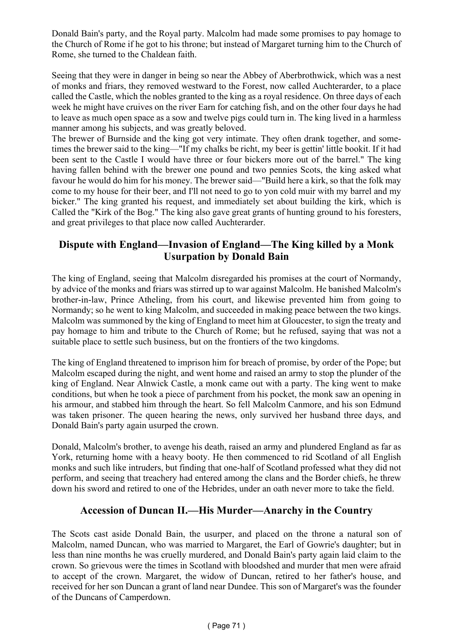Donald Bain's party, and the Royal party. Malcolm had made some promises to pay homage to the Church of Rome if he got to his throne; but instead of Margaret turning him to the Church of Rome, she turned to the Chaldean faith.

Seeing that they were in danger in being so near the Abbey of Aberbrothwick, which was a nest of monks and friars, they removed westward to the Forest, now called Auchterarder, to a place called the Castle, which the nobles granted to the king as a royal residence. On three days of each week he might have cruives on the river Earn for catching fish, and on the other four days he had to leave as much open space as a sow and twelve pigs could turn in. The king lived in a harmless manner among his subjects, and was greatly beloved.

The brewer of Burnside and the king got very intimate. They often drank together, and sometimes the brewer said to the king—"If my chalks be richt, my beer is gettin' little bookit. If it had been sent to the Castle I would have three or four bickers more out of the barrel." The king having fallen behind with the brewer one pound and two pennies Scots, the king asked what favour he would do him for his money. The brewer said—"Build here a kirk, so that the folk may come to my house for their beer, and I'll not need to go to yon cold muir with my barrel and my bicker." The king granted his request, and immediately set about building the kirk, which is Called the "Kirk of the Bog." The king also gave great grants of hunting ground to his foresters, and great privileges to that place now called Auchterarder.

# **Dispute with England—Invasion of England—The King killed by a Monk Usurpation by Donald Bain**

The king of England, seeing that Malcolm disregarded his promises at the court of Normandy, by advice of the monks and friars was stirred up to war against Malcolm. He banished Malcolm's brother-in-law, Prince Atheling, from his court, and likewise prevented him from going to Normandy; so he went to king Malcolm, and succeeded in making peace between the two kings. Malcolm was summoned by the king of England to meet him at Gloucester, to sign the treaty and pay homage to him and tribute to the Church of Rome; but he refused, saying that was not a suitable place to settle such business, but on the frontiers of the two kingdoms.

The king of England threatened to imprison him for breach of promise, by order of the Pope; but Malcolm escaped during the night, and went home and raised an army to stop the plunder of the king of England. Near Alnwick Castle, a monk came out with a party. The king went to make conditions, but when he took a piece of parchment from his pocket, the monk saw an opening in his armour, and stabbed him through the heart. So fell Malcolm Canmore, and his son Edmund was taken prisoner. The queen hearing the news, only survived her husband three days, and Donald Bain's party again usurped the crown.

Donald, Malcolm's brother, to avenge his death, raised an army and plundered England as far as York, returning home with a heavy booty. He then commenced to rid Scotland of all English monks and such like intruders, but finding that one-half of Scotland professed what they did not perform, and seeing that treachery had entered among the clans and the Border chiefs, he threw down his sword and retired to one of the Hebrides, under an oath never more to take the field.

# **Accession of Duncan II.—His Murder—Anarchy in the Country**

The Scots cast aside Donald Bain, the usurper, and placed on the throne a natural son of Malcolm, named Duncan, who was married to Margaret, the Earl of Gowrie's daughter; but in less than nine months he was cruelly murdered, and Donald Bain's party again laid claim to the crown. So grievous were the times in Scotland with bloodshed and murder that men were afraid to accept of the crown. Margaret, the widow of Duncan, retired to her father's house, and received for her son Duncan a grant of land near Dundee. This son of Margaret's was the founder of the Duncans of Camperdown.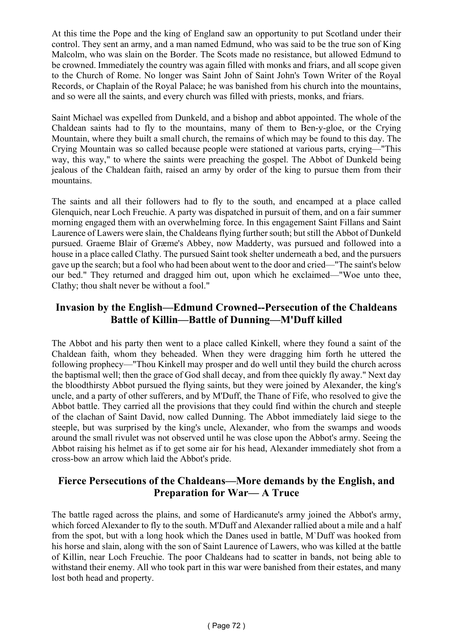At this time the Pope and the king of England saw an opportunity to put Scotland under their control. They sent an army, and a man named Edmund, who was said to be the true son of King Malcolm, who was slain on the Border. The Scots made no resistance, but allowed Edmund to be crowned. Immediately the country was again filled with monks and friars, and all scope given to the Church of Rome. No longer was Saint John of Saint John's Town Writer of the Royal Records, or Chaplain of the Royal Palace; he was banished from his church into the mountains, and so were all the saints, and every church was filled with priests, monks, and friars.

Saint Michael was expelled from Dunkeld, and a bishop and abbot appointed. The whole of the Chaldean saints had to fly to the mountains, many of them to Ben-y-gloe, or the Crying Mountain, where they built a small church, the remains of which may be found to this day. The Crying Mountain was so called because people were stationed at various parts, crying—"This way, this way," to where the saints were preaching the gospel. The Abbot of Dunkeld being jealous of the Chaldean faith, raised an army by order of the king to pursue them from their mountains.

The saints and all their followers had to fly to the south, and encamped at a place called Glenquich, near Loch Freuchie. A party was dispatched in pursuit of them, and on a fair summer morning engaged them with an overwhelming force. In this engagement Saint Fillans and Saint Laurence of Lawers were slain, the Chaldeans flying further south; but still the Abbot of Dunkeld pursued. Graeme Blair of Græme's Abbey, now Madderty, was pursued and followed into a house in a place called Clathy. The pursued Saint took shelter underneath a bed, and the pursuers gave up the search; but a fool who had been about went to the door and cried—"The saint's below our bed." They returned and dragged him out, upon which he exclaimed—"Woe unto thee, Clathy; thou shalt never be without a fool."

# **Invasion by the English—Edmund Crowned--Persecution of the Chaldeans Battle of Killin—Battle of Dunning—M'Duff killed**

The Abbot and his party then went to a place called Kinkell, where they found a saint of the Chaldean faith, whom they beheaded. When they were dragging him forth he uttered the following prophecy—"Thou Kinkell may prosper and do well until they build the church across the baptismal well; then the grace of God shall decay, and from thee quickly fly away." Next day the bloodthirsty Abbot pursued the flying saints, but they were joined by Alexander, the king's uncle, and a party of other sufferers, and by M'Duff, the Thane of Fife, who resolved to give the Abbot battle. They carried all the provisions that they could find within the church and steeple of the clachan of Saint David, now called Dunning. The Abbot immediately laid siege to the steeple, but was surprised by the king's uncle, Alexander, who from the swamps and woods around the small rivulet was not observed until he was close upon the Abbot's army. Seeing the Abbot raising his helmet as if to get some air for his head, Alexander immediately shot from a cross-bow an arrow which laid the Abbot's pride.

# **Fierce Persecutions of the Chaldeans—More demands by the English, and Preparation for War— A Truce**

The battle raged across the plains, and some of Hardicanute's army joined the Abbot's army, which forced Alexander to fly to the south. M'Duff and Alexander rallied about a mile and a half from the spot, but with a long hook which the Danes used in battle, M`Duff was hooked from his horse and slain, along with the son of Saint Laurence of Lawers, who was killed at the battle of Killin, near Loch Freuchie. The poor Chaldeans had to scatter in bands, not being able to withstand their enemy. All who took part in this war were banished from their estates, and many lost both head and property.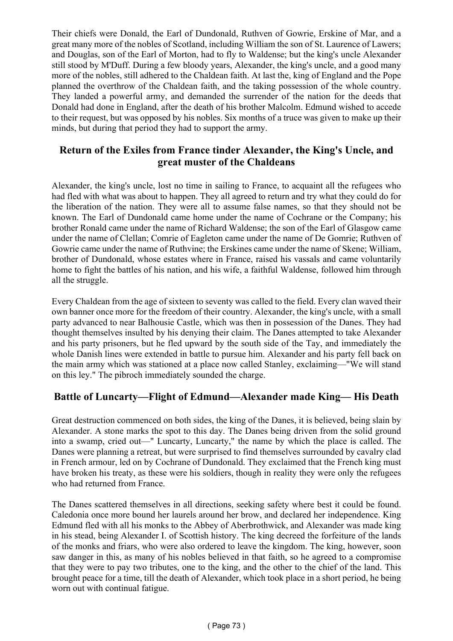Their chiefs were Donald, the Earl of Dundonald, Ruthven of Gowrie, Erskine of Mar, and a great many more of the nobles of Scotland, including William the son of St. Laurence of Lawers; and Douglas, son of the Earl of Morton, had to fly to Waldense; but the king's uncle Alexander still stood by M'Duff. During a few bloody years, Alexander, the king's uncle, and a good many more of the nobles, still adhered to the Chaldean faith. At last the, king of England and the Pope planned the overthrow of the Chaldean faith, and the taking possession of the whole country. They landed a powerful army, and demanded the surrender of the nation for the deeds that Donald had done in England, after the death of his brother Malcolm. Edmund wished to accede to their request, but was opposed by his nobles. Six months of a truce was given to make up their minds, but during that period they had to support the army.

#### **Return of the Exiles from France tinder Alexander, the King's Uncle, and great muster of the Chaldeans**

Alexander, the king's uncle, lost no time in sailing to France, to acquaint all the refugees who had fled with what was about to happen. They all agreed to return and try what they could do for the liberation of the nation. They were all to assume false names, so that they should not be known. The Earl of Dundonald came home under the name of Cochrane or the Company; his brother Ronald came under the name of Richard Waldense; the son of the Earl of Glasgow came under the name of Clellan; Comrie of Eagleton came under the name of De Gomrie; Ruthven of Gowrie came under the name of Ruthvine; the Erskines came under the name of Skene; William, brother of Dundonald, whose estates where in France, raised his vassals and came voluntarily home to fight the battles of his nation, and his wife, a faithful Waldense, followed him through all the struggle.

Every Chaldean from the age of sixteen to seventy was called to the field. Every clan waved their own banner once more for the freedom of their country. Alexander, the king's uncle, with a small party advanced to near Balhousie Castle, which was then in possession of the Danes. They had thought themselves insulted by his denying their claim. The Danes attempted to take Alexander and his party prisoners, but he fled upward by the south side of the Tay, and immediately the whole Danish lines were extended in battle to pursue him. Alexander and his party fell back on the main army which was stationed at a place now called Stanley, exclaiming—"We will stand on this ley." The pibroch immediately sounded the charge.

# **Battle of Luncarty—Flight of Edmund—Alexander made King— His Death**

Great destruction commenced on both sides, the king of the Danes, it is believed, being slain by Alexander. A stone marks the spot to this day. The Danes being driven from the solid ground into a swamp, cried out—" Luncarty, Luncarty," the name by which the place is called. The Danes were planning a retreat, but were surprised to find themselves surrounded by cavalry clad in French armour, led on by Cochrane of Dundonald. They exclaimed that the French king must have broken his treaty, as these were his soldiers, though in reality they were only the refugees who had returned from France.

The Danes scattered themselves in all directions, seeking safety where best it could be found. Caledonia once more bound her laurels around her brow, and declared her independence. King Edmund fled with all his monks to the Abbey of Aberbrothwick, and Alexander was made king in his stead, being Alexander I. of Scottish history. The king decreed the forfeiture of the lands of the monks and friars, who were also ordered to leave the kingdom. The king, however, soon saw danger in this, as many of his nobles believed in that faith, so he agreed to a compromise that they were to pay two tributes, one to the king, and the other to the chief of the land. This brought peace for a time, till the death of Alexander, which took place in a short period, he being worn out with continual fatigue.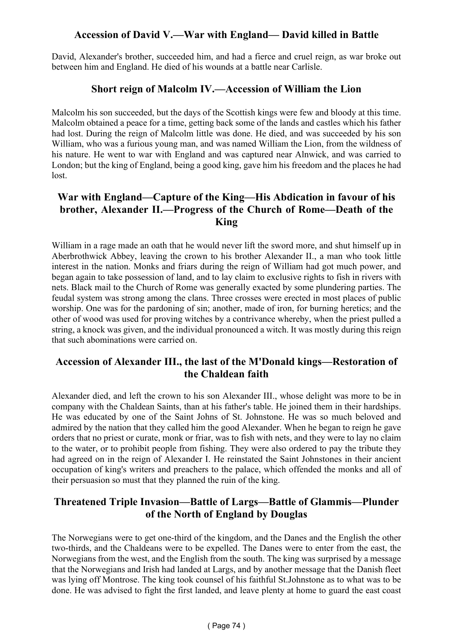# **Accession of David V.—War with England— David killed in Battle**

David, Alexander's brother, succeeded him, and had a fierce and cruel reign, as war broke out between him and England. He died of his wounds at a battle near Carlisle.

#### **Short reign of Malcolm IV.—Accession of William the Lion**

Malcolm his son succeeded, but the days of the Scottish kings were few and bloody at this time. Malcolm obtained a peace for a time, getting back some of the lands and castles which his father had lost. During the reign of Malcolm little was done. He died, and was succeeded by his son William, who was a furious young man, and was named William the Lion, from the wildness of his nature. He went to war with England and was captured near Alnwick, and was carried to London; but the king of England, being a good king, gave him his freedom and the places he had lost.

### **War with England—Capture of the King—His Abdication in favour of his brother, Alexander II.—Progress of the Church of Rome—Death of the King**

William in a rage made an oath that he would never lift the sword more, and shut himself up in Aberbrothwick Abbey, leaving the crown to his brother Alexander II., a man who took little interest in the nation. Monks and friars during the reign of William had got much power, and began again to take possession of land, and to lay claim to exclusive rights to fish in rivers with nets. Black mail to the Church of Rome was generally exacted by some plundering parties. The feudal system was strong among the clans. Three crosses were erected in most places of public worship. One was for the pardoning of sin; another, made of iron, for burning heretics; and the other of wood was used for proving witches by a contrivance whereby, when the priest pulled a string, a knock was given, and the individual pronounced a witch. It was mostly during this reign that such abominations were carried on.

# **Accession of Alexander III., the last of the M'Donald kings—Restoration of the Chaldean faith**

Alexander died, and left the crown to his son Alexander III., whose delight was more to be in company with the Chaldean Saints, than at his father's table. He joined them in their hardships. He was educated by one of the Saint Johns of St. Johnstone. He was so much beloved and admired by the nation that they called him the good Alexander. When he began to reign he gave orders that no priest or curate, monk or friar, was to fish with nets, and they were to lay no claim to the water, or to prohibit people from fishing. They were also ordered to pay the tribute they had agreed on in the reign of Alexander I. He reinstated the Saint Johnstones in their ancient occupation of king's writers and preachers to the palace, which offended the monks and all of their persuasion so must that they planned the ruin of the king.

#### **Threatened Triple Invasion—Battle of Largs—Battle of Glammis—Plunder of the North of England by Douglas**

The Norwegians were to get one-third of the kingdom, and the Danes and the English the other two-thirds, and the Chaldeans were to be expelled. The Danes were to enter from the east, the Norwegians from the west, and the English from the south. The king was surprised by a message that the Norwegians and Irish had landed at Largs, and by another message that the Danish fleet was lying off Montrose. The king took counsel of his faithful St.Johnstone as to what was to be done. He was advised to fight the first landed, and leave plenty at home to guard the east coast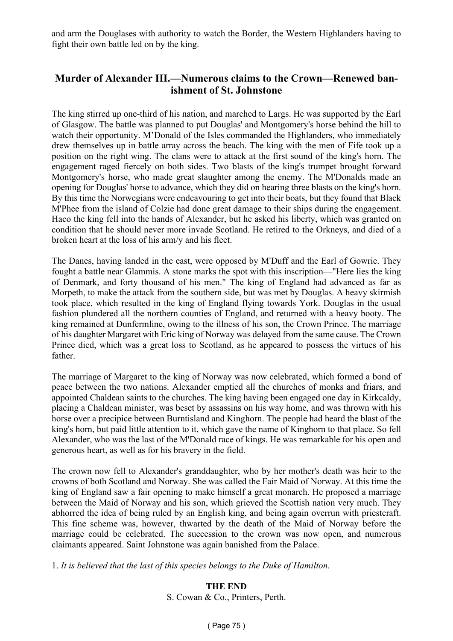and arm the Douglases with authority to watch the Border, the Western Highlanders having to fight their own battle led on by the king.

## **Murder of Alexander III.—Numerous claims to the Crown—Renewed banishment of St. Johnstone**

The king stirred up one-third of his nation, and marched to Largs. He was supported by the Earl of Glasgow. The battle was planned to put Douglas' and Montgomery's horse behind the hill to watch their opportunity. M'Donald of the Isles commanded the Highlanders, who immediately drew themselves up in battle array across the beach. The king with the men of Fife took up a position on the right wing. The clans were to attack at the first sound of the king's horn. The engagement raged fiercely on both sides. Two blasts of the king's trumpet brought forward Montgomery's horse, who made great slaughter among the enemy. The M'Donalds made an opening for Douglas' horse to advance, which they did on hearing three blasts on the king's horn. By this time the Norwegians were endeavouring to get into their boats, but they found that Black M'Phee from the island of Colzie had done great damage to their ships during the engagement. Haco the king fell into the hands of Alexander, but he asked his liberty, which was granted on condition that he should never more invade Scotland. He retired to the Orkneys, and died of a broken heart at the loss of his arm/y and his fleet.

The Danes, having landed in the east, were opposed by M'Duff and the Earl of Gowrie. They fought a battle near Glammis. A stone marks the spot with this inscription—"Here lies the king of Denmark, and forty thousand of his men." The king of England had advanced as far as Morpeth, to make the attack from the southern side, but was met by Douglas. A heavy skirmish took place, which resulted in the king of England flying towards York. Douglas in the usual fashion plundered all the northern counties of England, and returned with a heavy booty. The king remained at Dunfermline, owing to the illness of his son, the Crown Prince. The marriage of his daughter Margaret with Eric king of Norway was delayed from the same cause. The Crown Prince died, which was a great loss to Scotland, as he appeared to possess the virtues of his father.

The marriage of Margaret to the king of Norway was now celebrated, which formed a bond of peace between the two nations. Alexander emptied all the churches of monks and friars, and appointed Chaldean saints to the churches. The king having been engaged one day in Kirkcaldy, placing a Chaldean minister, was beset by assassins on his way home, and was thrown with his horse over a precipice between Burntisland and Kinghorn. The people had heard the blast of the king's horn, but paid little attention to it, which gave the name of Kinghorn to that place. So fell Alexander, who was the last of the M'Donald race of kings. He was remarkable for his open and generous heart, as well as for his bravery in the field.

The crown now fell to Alexander's granddaughter, who by her mother's death was heir to the crowns of both Scotland and Norway. She was called the Fair Maid of Norway. At this time the king of England saw a fair opening to make himself a great monarch. He proposed a marriage between the Maid of Norway and his son, which grieved the Scottish nation very much. They abhorred the idea of being ruled by an English king, and being again overrun with priestcraft. This fine scheme was, however, thwarted by the death of the Maid of Norway before the marriage could be celebrated. The succession to the crown was now open, and numerous claimants appeared. Saint Johnstone was again banished from the Palace.

1. *It is believed that the last of this species belongs to the Duke of Hamilton.*

**THE END** S. Cowan & Co., Printers, Perth.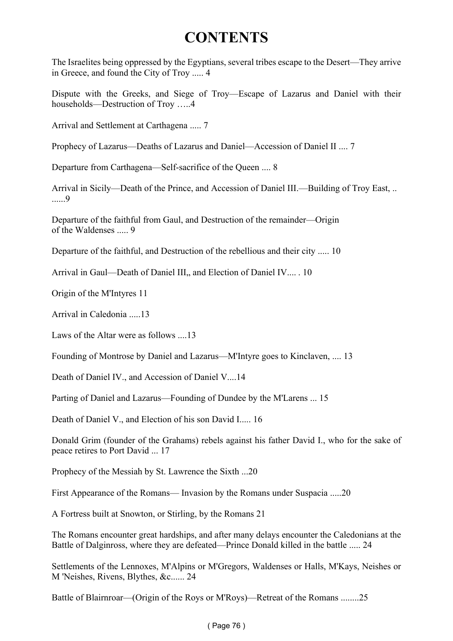# **CONTENTS**

The Israelites being oppressed by the Egyptians, several tribes escape to the Desert—They arrive in Greece, and found the City of Troy ..... 4

Dispute with the Greeks, and Siege of Troy—Escape of Lazarus and Daniel with their households—Destruction of Troy …..4

Arrival and Settlement at Carthagena ..... 7

Prophecy of Lazarus—Deaths of Lazarus and Daniel—Accession of Daniel II .... 7

Departure from Carthagena—Self-sacrifice of the Queen .... 8

Arrival in Sicily—Death of the Prince, and Accession of Daniel III.—Building of Troy East, .. ......9

Departure of the faithful from Gaul, and Destruction of the remainder—Origin of the Waldenses ..... 9

Departure of the faithful, and Destruction of the rebellious and their city ..... 10

Arrival in Gaul—Death of Daniel III., and Election of Daniel IV.... 10

Origin of the M'Intyres 11

Arrival in Caledonia 13

Laws of the Altar were as follows ....13

Founding of Montrose by Daniel and Lazarus—M'Intyre goes to Kinclaven, .... 13

Death of Daniel IV., and Accession of Daniel V....14

Parting of Daniel and Lazarus—Founding of Dundee by the M'Larens ... 15

Death of Daniel V., and Election of his son David I..... 16

Donald Grim (founder of the Grahams) rebels against his father David I., who for the sake of peace retires to Port David ... 17

Prophecy of the Messiah by St. Lawrence the Sixth ...20

First Appearance of the Romans— Invasion by the Romans under Suspacia .....20

A Fortress built at Snowton, or Stirling, by the Romans 21

The Romans encounter great hardships, and after many delays encounter the Caledonians at the Battle of Dalginross, where they are defeated—Prince Donald killed in the battle ..... 24

Settlements of the Lennoxes, M'Alpins or M'Gregors, Waldenses or Halls, M'Kays, Neishes or M 'Neishes, Rivens, Blythes, &c...... 24

Battle of Blairnroar—(Origin of the Roys or M'Roys)—Retreat of the Romans ........25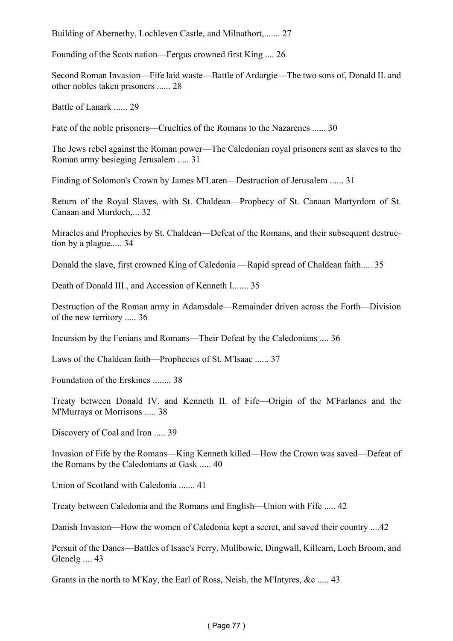Building of Abernethy, Lochleven Castle, and Milnathort,....... 27

Founding of the Scots nation—Fergus crowned first King .... 26

Second Roman Invasion—Fife laid waste—Battle of Ardargie—The two sons of, Donald II. and other nobles taken prisoners ...... 28

Battle of Lanark ...... 29

Fate of the noble prisoners—Cruelties of the Romans to the Nazarenes ...... 30

The Jews rebel against the Roman power—The Caledonian royal prisoners sent as slaves to the Roman army besieging Jerusalem ..... 31

Finding of Solomon's Crown by James M'Laren—Destruction of Jerusalem ...... 31

Return of the Royal Slaves, with St. Chaldean—Prophecy of St. Canaan Martyrdom of St. Canaan and Murdoch,... 32

Miracles and Prophecies by St. Chaldean—Defeat of the Romans, and their subsequent destruction by a plague..... 34

Donald the slave, first crowned King of Caledonia —Rapid spread of Chaldean faith..... 35

Death of Donald III., and Accession of Kenneth I....... 35

Destruction of the Roman army in Adamsdale—Remainder driven across the Forth—Division of the new territory ..... 36

Incursion by the Fenians and Romans—Their Defeat by the Caledonians .... 36

Laws of the Chaldean faith—Prophecies of St. M'Isaac ...... 37

Foundation of the Erskines ........ 38

Treaty between Donald IV. and Kenneth II. of Fife—Origin of the M'Farlanes and the M'Murrays or Morrisons ..... 38

Discovery of Coal and Iron ..... 39

Invasion of Fife by the Romans—King Kenneth killed—How the Crown was saved—Defeat of the Romans by the Caledonians at Gask ..... 40

Union of Scotland with Caledonia ....... 41

Treaty between Caledonia and the Romans and English—Union with Fife ..... 42

Danish Invasion—How the women of Caledonia kept a secret, and saved their country ....42

Persuit of the Danes—Battles of Isaac's Ferry, Mullbowie, Dingwall, Killearn, Loch Broom, and Glenelg .... 43

Grants in the north to M'Kay, the Earl of Ross, Neish, the M'Intyres, &c ..... 43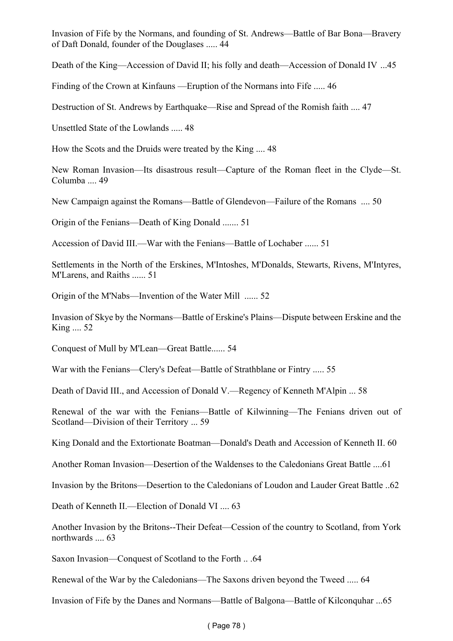Invasion of Fife by the Normans, and founding of St. Andrews—Battle of Bar Bona—Bravery of Daft Donald, founder of the Douglases ..... 44

Death of the King—Accession of David II; his folly and death—Accession of Donald IV ...45

Finding of the Crown at Kinfauns —Eruption of the Normans into Fife ..... 46

Destruction of St. Andrews by Earthquake—Rise and Spread of the Romish faith .... 47

Unsettled State of the Lowlands ..... 48

How the Scots and the Druids were treated by the King .... 48

New Roman Invasion—Its disastrous result—Capture of the Roman fleet in the Clyde—St. Columba .... 49

New Campaign against the Romans—Battle of Glendevon—Failure of the Romans .... 50

Origin of the Fenians—Death of King Donald ....... 51

Accession of David III.—War with the Fenians—Battle of Lochaber ...... 51

Settlements in the North of the Erskines, M'Intoshes, M'Donalds, Stewarts, Rivens, M'Intyres, M'Larens, and Raiths ...... 51

Origin of the M'Nabs—Invention of the Water Mill ...... 52

Invasion of Skye by the Normans—Battle of Erskine's Plains—Dispute between Erskine and the King .... 52

Conquest of Mull by M'Lean—Great Battle...... 54

War with the Fenians—Clery's Defeat—Battle of Strathblane or Fintry ..... 55

Death of David III., and Accession of Donald V.—Regency of Kenneth M'Alpin ... 58

Renewal of the war with the Fenians—Battle of Kilwinning—The Fenians driven out of Scotland—Division of their Territory ... 59

King Donald and the Extortionate Boatman—Donald's Death and Accession of Kenneth II. 60

Another Roman Invasion—Desertion of the Waldenses to the Caledonians Great Battle ....61

Invasion by the Britons—Desertion to the Caledonians of Loudon and Lauder Great Battle ..62

Death of Kenneth II.—Election of Donald VI .... 63

Another Invasion by the Britons--Their Defeat—Cession of the country to Scotland, from York northwards .... 63

Saxon Invasion—Conquest of Scotland to the Forth .. .64

Renewal of the War by the Caledonians—The Saxons driven beyond the Tweed ..... 64

Invasion of Fife by the Danes and Normans—Battle of Balgona—Battle of Kilconquhar ...65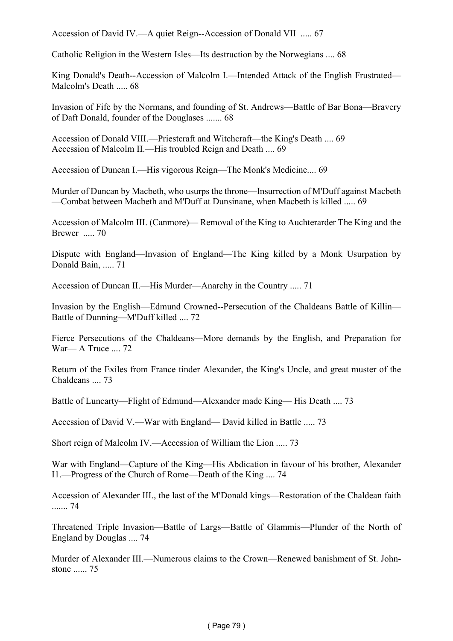Accession of David IV.—A quiet Reign--Accession of Donald VII ..... 67

Catholic Religion in the Western Isles—Its destruction by the Norwegians .... 68

King Donald's Death--Accession of Malcolm I.—Intended Attack of the English Frustrated— Malcolm's Death ..... 68

Invasion of Fife by the Normans, and founding of St. Andrews—Battle of Bar Bona—Bravery of Daft Donald, founder of the Douglases ....... 68

Accession of Donald VIII.—Priestcraft and Witchcraft—the King's Death .... 69 Accession of Malcolm II.—His troubled Reign and Death .... 69

Accession of Duncan I.—His vigorous Reign—The Monk's Medicine.... 69

Murder of Duncan by Macbeth, who usurps the throne—Insurrection of M'Duff against Macbeth —Combat between Macbeth and M'Duff at Dunsinane, when Macbeth is killed ..... 69

Accession of Malcolm III. (Canmore)— Removal of the King to Auchterarder The King and the Brewer ..... 70

Dispute with England—Invasion of England—The King killed by a Monk Usurpation by Donald Bain, ..... 71

Accession of Duncan II.—His Murder—Anarchy in the Country ..... 71

Invasion by the English—Edmund Crowned--Persecution of the Chaldeans Battle of Killin— Battle of Dunning—M'Duff killed .... 72

Fierce Persecutions of the Chaldeans—More demands by the English, and Preparation for War— A Truce .... 72

Return of the Exiles from France tinder Alexander, the King's Uncle, and great muster of the Chaldeans .... 73

Battle of Luncarty—Flight of Edmund—Alexander made King— His Death .... 73

Accession of David V.—War with England— David killed in Battle ..... 73

Short reign of Malcolm IV.—Accession of William the Lion ..... 73

War with England—Capture of the King—His Abdication in favour of his brother, Alexander I1.—Progress of the Church of Rome—Death of the King .... 74

Accession of Alexander III., the last of the M'Donald kings—Restoration of the Chaldean faith ....... 74

Threatened Triple Invasion—Battle of Largs—Battle of Glammis—Plunder of the North of England by Douglas .... 74

Murder of Alexander III.—Numerous claims to the Crown—Renewed banishment of St. Johnstone 75